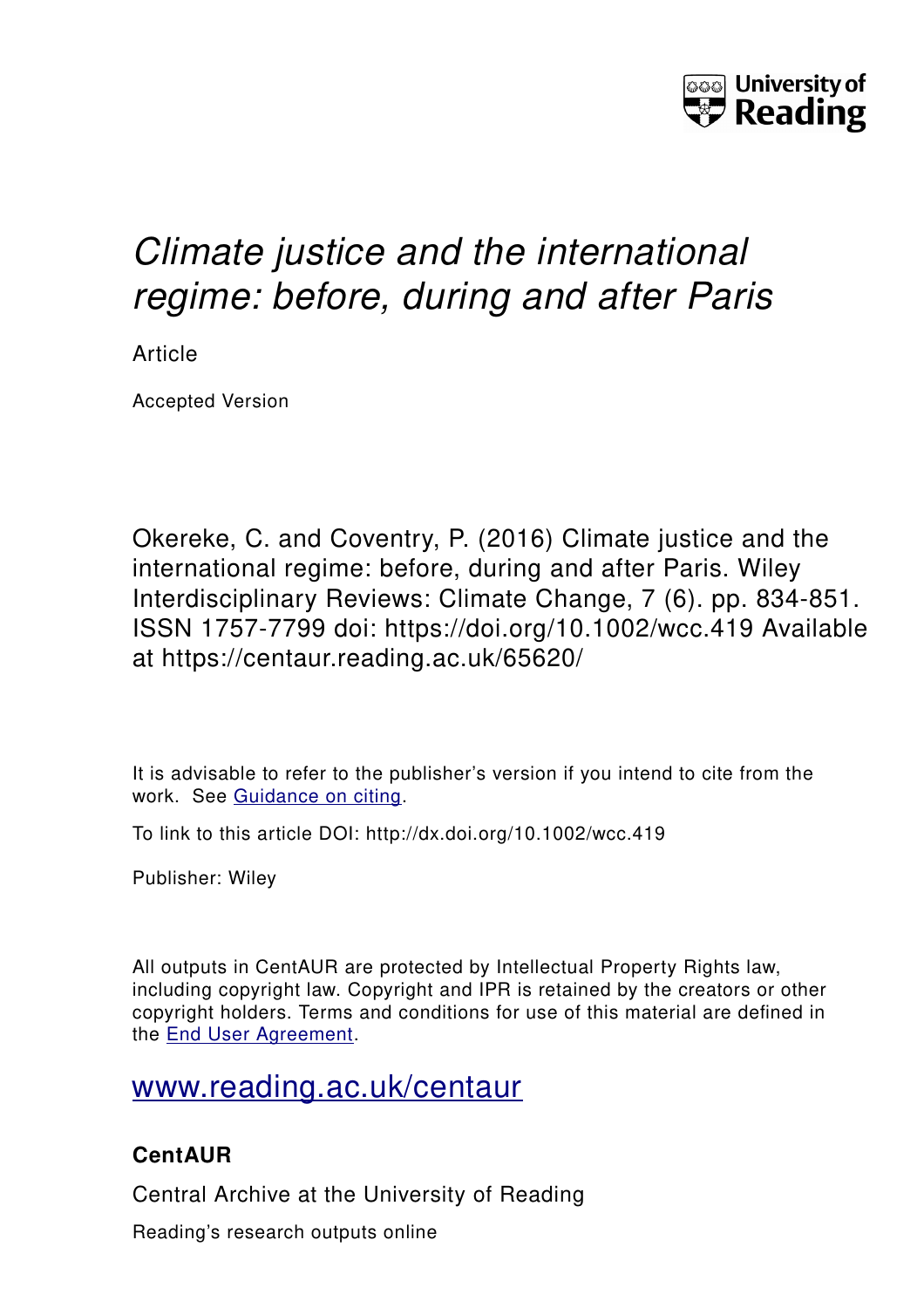

# *Climate justice and the international regime: before, during and after Paris*

Article

Accepted Version

Okereke, C. and Coventry, P. (2016) Climate justice and the international regime: before, during and after Paris. Wiley Interdisciplinary Reviews: Climate Change, 7 (6). pp. 834-851. ISSN 1757-7799 doi: https://doi.org/10.1002/wcc.419 Available at https://centaur.reading.ac.uk/65620/

It is advisable to refer to the publisher's version if you intend to cite from the work. See [Guidance on citing.](http://centaur.reading.ac.uk/71187/10/CentAUR%20citing%20guide.pdf)

To link to this article DOI: http://dx.doi.org/10.1002/wcc.419

Publisher: Wiley

All outputs in CentAUR are protected by Intellectual Property Rights law, including copyright law. Copyright and IPR is retained by the creators or other copyright holders. Terms and conditions for use of this material are defined in the [End User Agreement.](http://centaur.reading.ac.uk/licence)

# [www.reading.ac.uk/centaur](http://www.reading.ac.uk/centaur)

# **CentAUR**

Central Archive at the University of Reading

Reading's research outputs online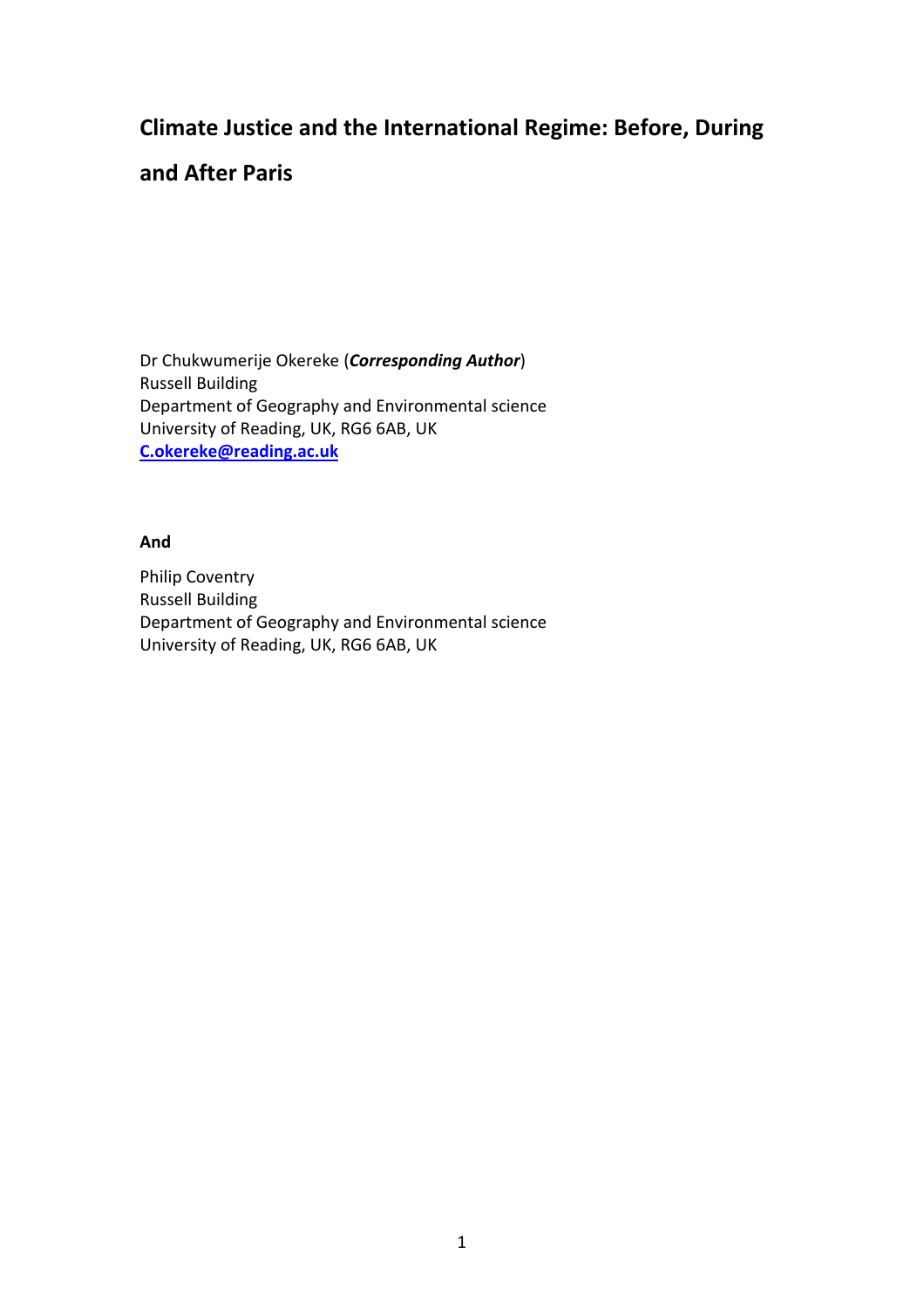## **Climate Justice and the International Regime: Before, During**

### **and After Paris**

Dr Chukwumerije Okereke (*Corresponding Author*) Russell Building Department of Geography and Environmental science University of Reading, UK, RG6 6AB, UK **[C.okereke@reading.ac.uk](mailto:C.okereke@reading.ac.uk)**

#### **And**

Philip Coventry Russell Building Department of Geography and Environmental science University of Reading, UK, RG6 6AB, UK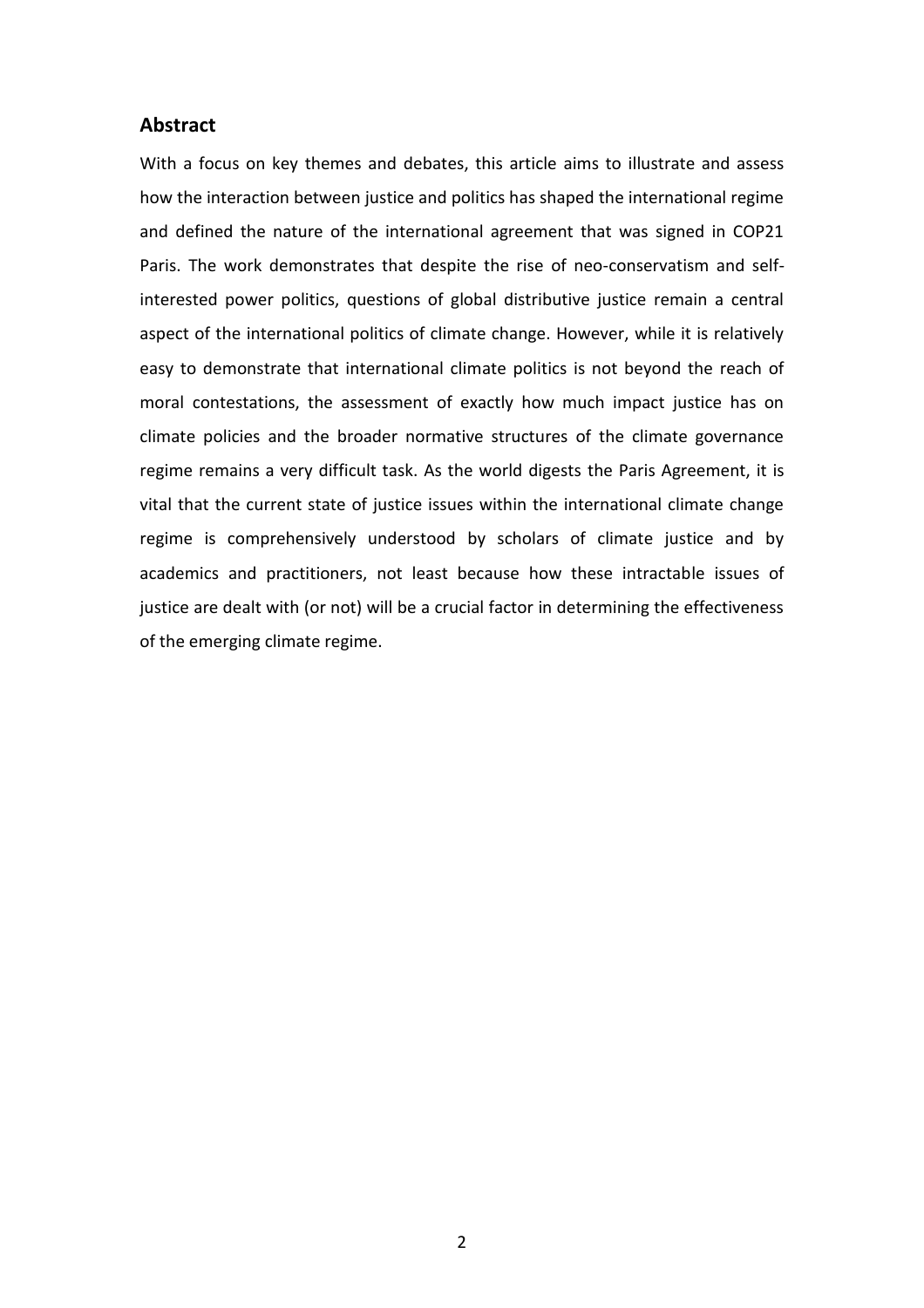#### **Abstract**

With a focus on key themes and debates, this article aims to illustrate and assess how the interaction between justice and politics has shaped the international regime and defined the nature of the international agreement that was signed in COP21 Paris. The work demonstrates that despite the rise of neo-conservatism and selfinterested power politics, questions of global distributive justice remain a central aspect of the international politics of climate change. However, while it is relatively easy to demonstrate that international climate politics is not beyond the reach of moral contestations, the assessment of exactly how much impact justice has on climate policies and the broader normative structures of the climate governance regime remains a very difficult task. As the world digests the Paris Agreement, it is vital that the current state of justice issues within the international climate change regime is comprehensively understood by scholars of climate justice and by academics and practitioners, not least because how these intractable issues of justice are dealt with (or not) will be a crucial factor in determining the effectiveness of the emerging climate regime.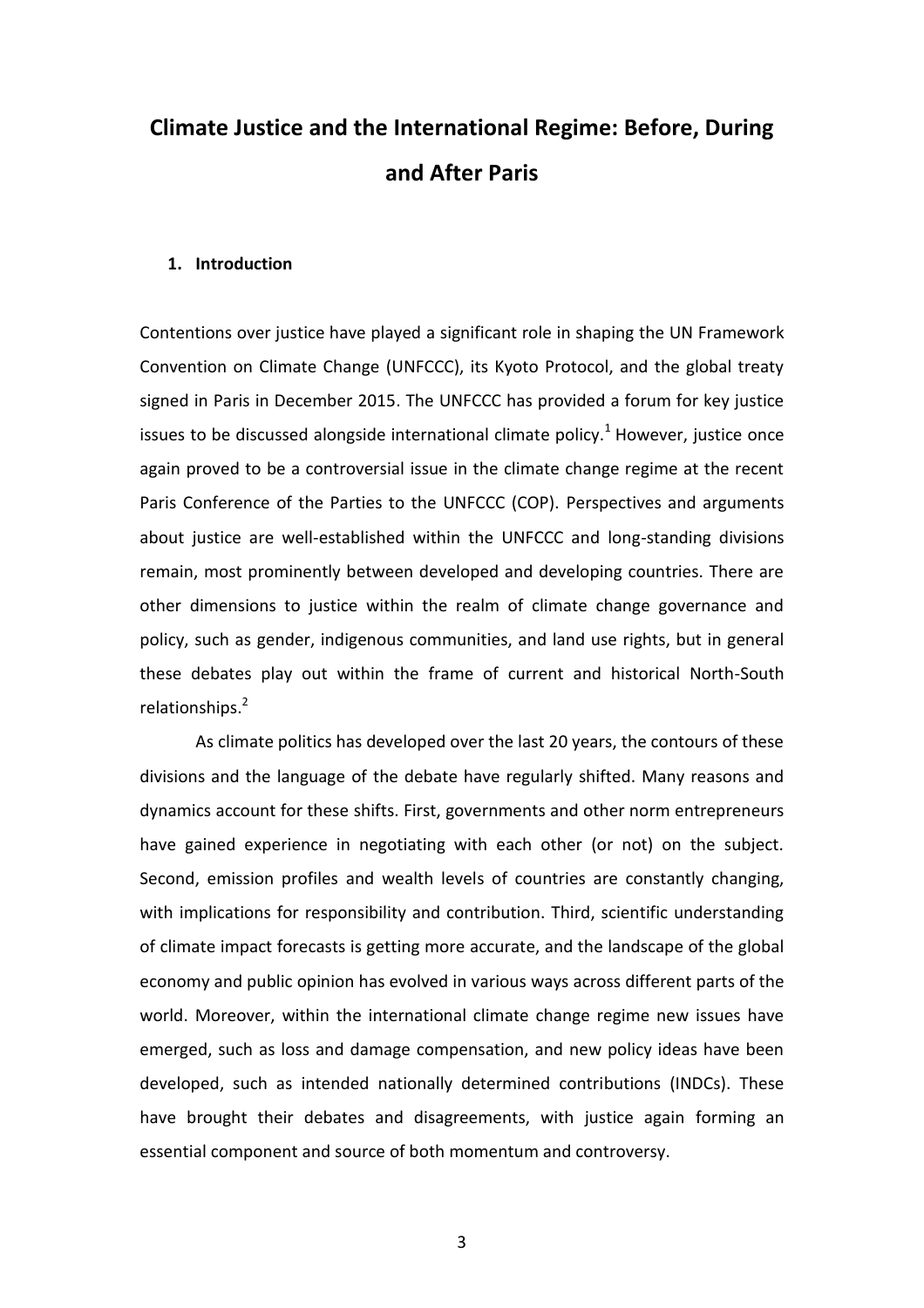# **Climate Justice and the International Regime: Before, During and After Paris**

#### **1. Introduction**

Contentions over justice have played a significant role in shaping the UN Framework Convention on Climate Change (UNFCCC), its Kyoto Protocol, and the global treaty signed in Paris in December 2015. The UNFCCC has provided a forum for key justice issues to be discussed alongside international climate policy.<sup>1</sup> However, justice once again proved to be a controversial issue in the climate change regime at the recent Paris Conference of the Parties to the UNFCCC (COP). Perspectives and arguments about justice are well-established within the UNFCCC and long-standing divisions remain, most prominently between developed and developing countries. There are other dimensions to justice within the realm of climate change governance and policy, such as gender, indigenous communities, and land use rights, but in general these debates play out within the frame of current and historical North-South relationships.<sup>2</sup>

As climate politics has developed over the last 20 years, the contours of these divisions and the language of the debate have regularly shifted. Many reasons and dynamics account for these shifts. First, governments and other norm entrepreneurs have gained experience in negotiating with each other (or not) on the subject. Second, emission profiles and wealth levels of countries are constantly changing, with implications for responsibility and contribution. Third, scientific understanding of climate impact forecasts is getting more accurate, and the landscape of the global economy and public opinion has evolved in various ways across different parts of the world. Moreover, within the international climate change regime new issues have emerged, such as loss and damage compensation, and new policy ideas have been developed, such as intended nationally determined contributions (INDCs). These have brought their debates and disagreements, with justice again forming an essential component and source of both momentum and controversy.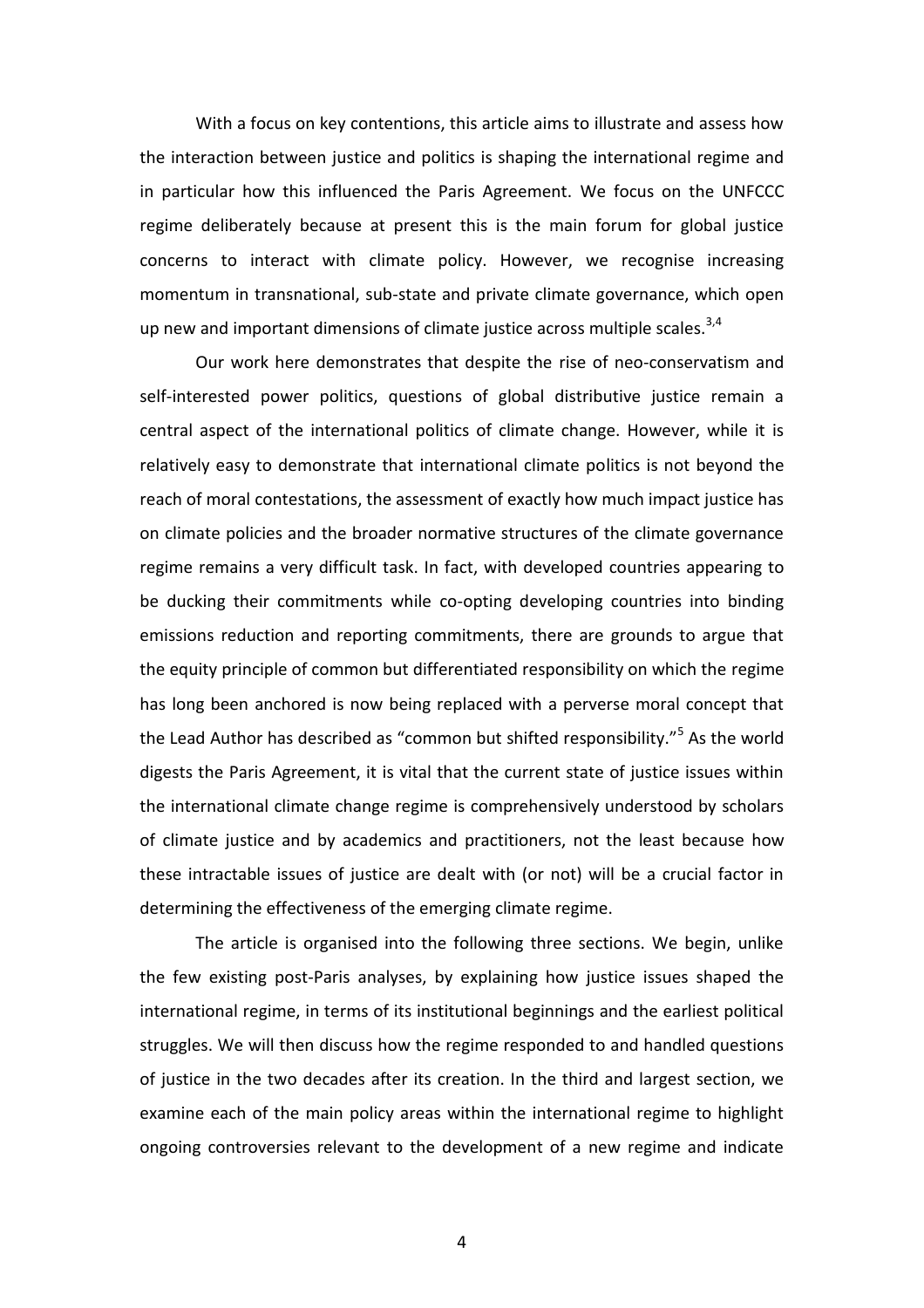With a focus on key contentions, this article aims to illustrate and assess how the interaction between justice and politics is shaping the international regime and in particular how this influenced the Paris Agreement. We focus on the UNFCCC regime deliberately because at present this is the main forum for global justice concerns to interact with climate policy. However, we recognise increasing momentum in transnational, sub-state and private climate governance, which open up new and important dimensions of climate justice across multiple scales.<sup>3,4</sup>

Our work here demonstrates that despite the rise of neo-conservatism and self-interested power politics, questions of global distributive justice remain a central aspect of the international politics of climate change. However, while it is relatively easy to demonstrate that international climate politics is not beyond the reach of moral contestations, the assessment of exactly how much impact justice has on climate policies and the broader normative structures of the climate governance regime remains a very difficult task. In fact, with developed countries appearing to be ducking their commitments while co-opting developing countries into binding emissions reduction and reporting commitments, there are grounds to argue that the equity principle of common but differentiated responsibility on which the regime has long been anchored is now being replaced with a perverse moral concept that the Lead Author has described as "common but shifted responsibility."<sup>5</sup> As the world digests the Paris Agreement, it is vital that the current state of justice issues within the international climate change regime is comprehensively understood by scholars of climate justice and by academics and practitioners, not the least because how these intractable issues of justice are dealt with (or not) will be a crucial factor in determining the effectiveness of the emerging climate regime.

The article is organised into the following three sections. We begin, unlike the few existing post-Paris analyses, by explaining how justice issues shaped the international regime, in terms of its institutional beginnings and the earliest political struggles. We will then discuss how the regime responded to and handled questions of justice in the two decades after its creation. In the third and largest section, we examine each of the main policy areas within the international regime to highlight ongoing controversies relevant to the development of a new regime and indicate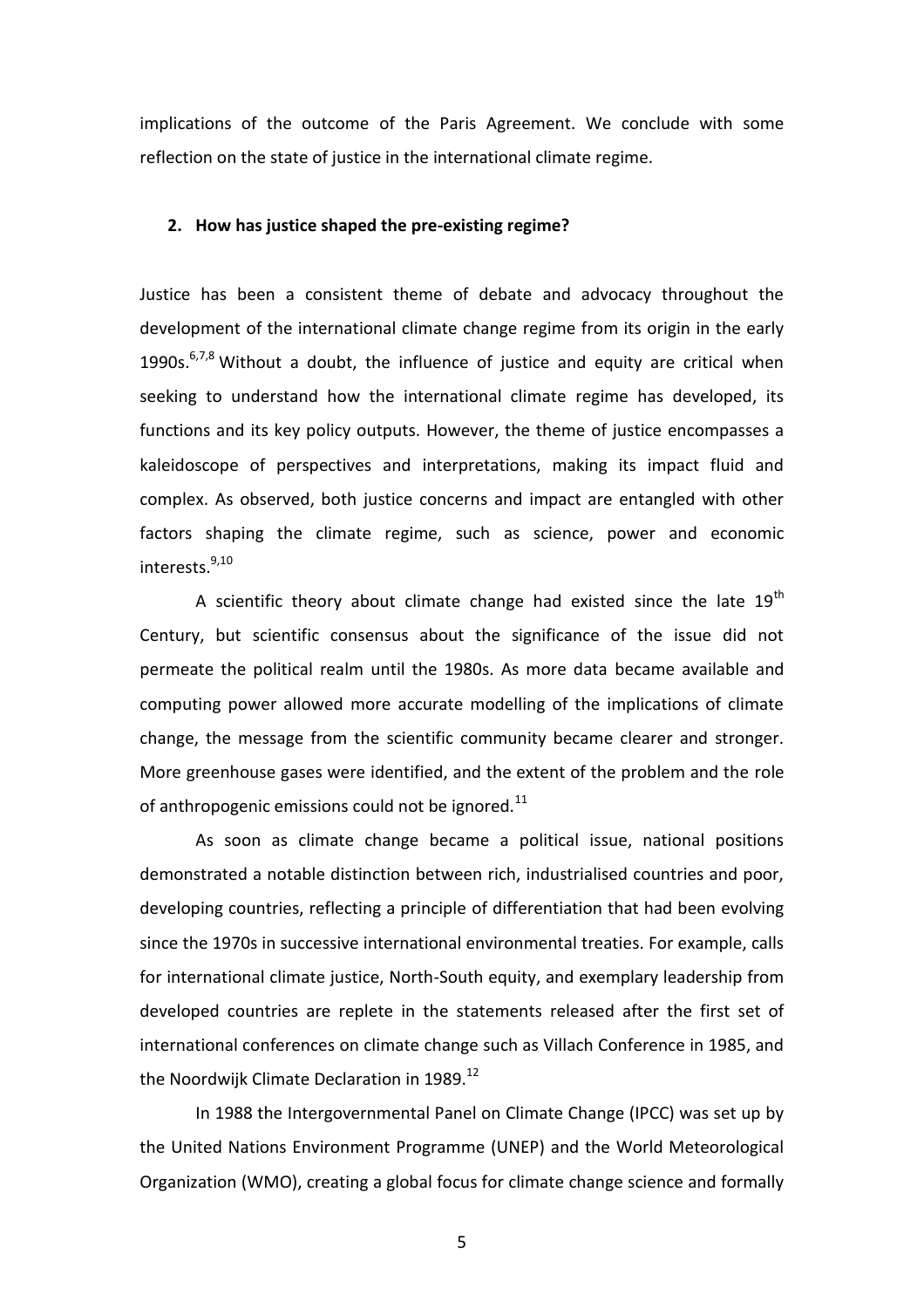implications of the outcome of the Paris Agreement. We conclude with some reflection on the state of justice in the international climate regime.

#### **2. How has justice shaped the pre-existing regime?**

Justice has been a consistent theme of debate and advocacy throughout the development of the international climate change regime from its origin in the early 1990s. $6,7,8$  Without a doubt, the influence of justice and equity are critical when seeking to understand how the international climate regime has developed, its functions and its key policy outputs. However, the theme of justice encompasses a kaleidoscope of perspectives and interpretations, making its impact fluid and complex. As observed, both justice concerns and impact are entangled with other factors shaping the climate regime, such as science, power and economic interests.<sup>9,10</sup>

A scientific theory about climate change had existed since the late  $19<sup>th</sup>$ Century, but scientific consensus about the significance of the issue did not permeate the political realm until the 1980s. As more data became available and computing power allowed more accurate modelling of the implications of climate change, the message from the scientific community became clearer and stronger. More greenhouse gases were identified, and the extent of the problem and the role of anthropogenic emissions could not be ignored.<sup>11</sup>

As soon as climate change became a political issue, national positions demonstrated a notable distinction between rich, industrialised countries and poor, developing countries, reflecting a principle of differentiation that had been evolving since the 1970s in successive international environmental treaties. For example, calls for international climate justice, North-South equity, and exemplary leadership from developed countries are replete in the statements released after the first set of international conferences on climate change such as Villach Conference in 1985, and the Noordwijk Climate Declaration in 1989.<sup>12</sup>

In 1988 the Intergovernmental Panel on Climate Change (IPCC) was set up by the United Nations Environment Programme (UNEP) and the World Meteorological Organization (WMO), creating a global focus for climate change science and formally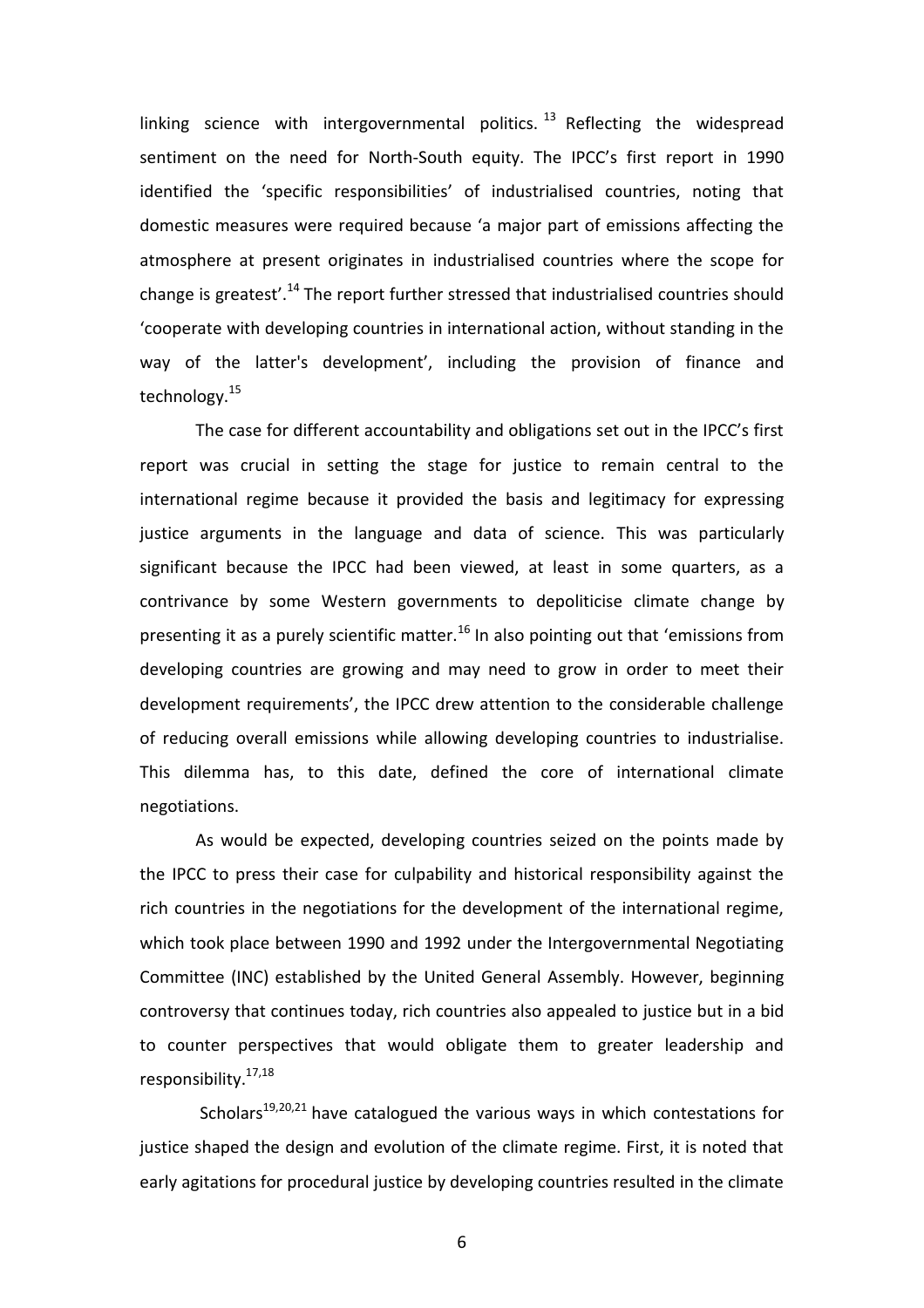linking science with intergovernmental politics.  $^{13}$  Reflecting the widespread sentiment on the need for North-South equity. The IPCC's first report in 1990 identified the 'specific responsibilities' of industrialised countries, noting that domestic measures were required because 'a major part of emissions affecting the atmosphere at present originates in industrialised countries where the scope for change is greatest'.<sup>14</sup> The report further stressed that industrialised countries should 'cooperate with developing countries in international action, without standing in the way of the latter's development', including the provision of finance and technology.<sup>15</sup>

The case for different accountability and obligations set out in the IPCC's first report was crucial in setting the stage for justice to remain central to the international regime because it provided the basis and legitimacy for expressing justice arguments in the language and data of science. This was particularly significant because the IPCC had been viewed, at least in some quarters, as a contrivance by some Western governments to depoliticise climate change by presenting it as a purely scientific matter.<sup>16</sup> In also pointing out that 'emissions from developing countries are growing and may need to grow in order to meet their development requirements', the IPCC drew attention to the considerable challenge of reducing overall emissions while allowing developing countries to industrialise. This dilemma has, to this date, defined the core of international climate negotiations.

As would be expected, developing countries seized on the points made by the IPCC to press their case for culpability and historical responsibility against the rich countries in the negotiations for the development of the international regime, which took place between 1990 and 1992 under the Intergovernmental Negotiating Committee (INC) established by the United General Assembly. However, beginning controversy that continues today, rich countries also appealed to justice but in a bid to counter perspectives that would obligate them to greater leadership and responsibility.<sup>17,18</sup>

Scholars<sup>19,20,21</sup> have catalogued the various ways in which contestations for justice shaped the design and evolution of the climate regime. First, it is noted that early agitations for procedural justice by developing countries resulted in the climate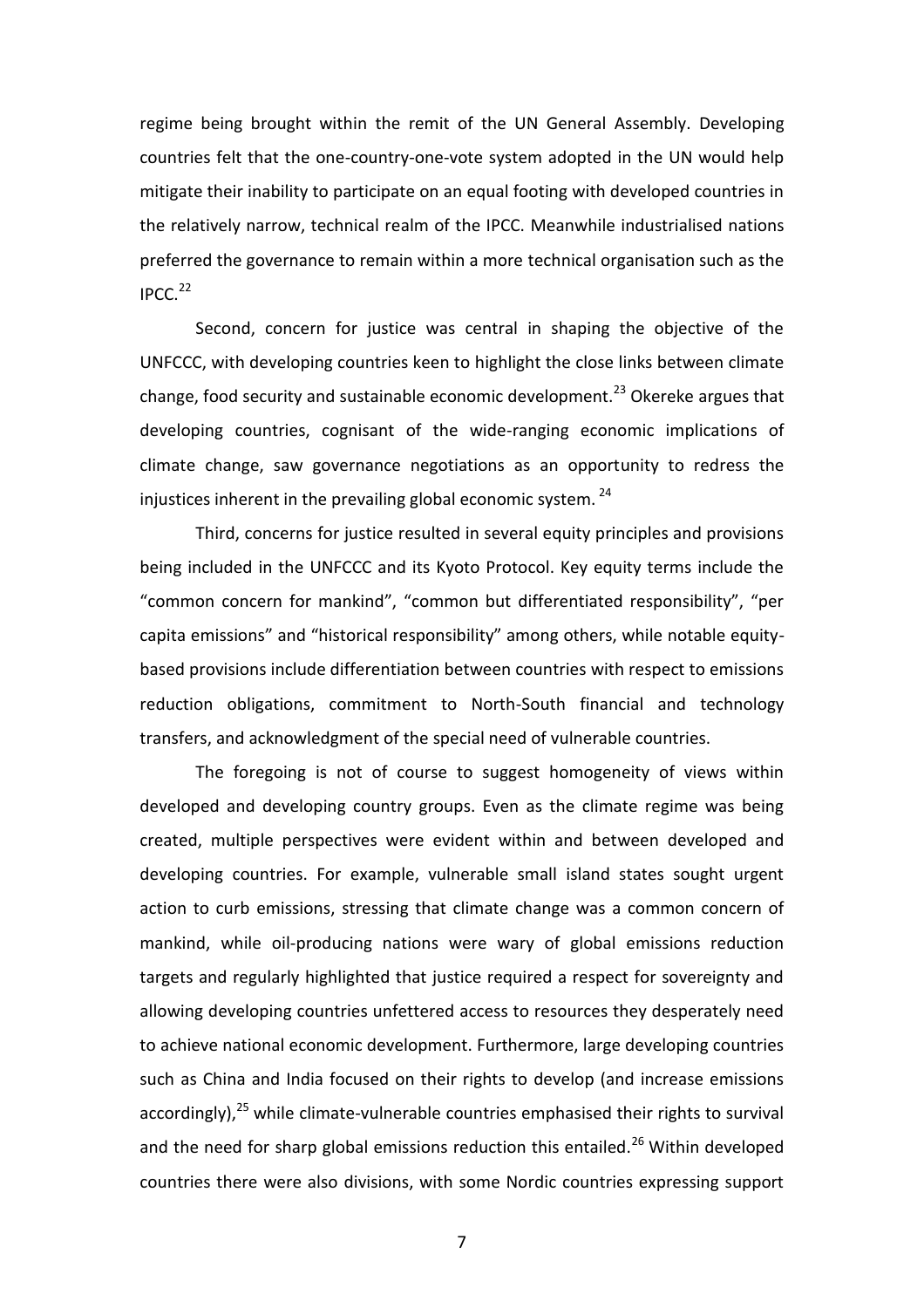regime being brought within the remit of the UN General Assembly. Developing countries felt that the one-country-one-vote system adopted in the UN would help mitigate their inability to participate on an equal footing with developed countries in the relatively narrow, technical realm of the IPCC. Meanwhile industrialised nations preferred the governance to remain within a more technical organisation such as the  $IPCC.<sup>22</sup>$ 

Second, concern for justice was central in shaping the objective of the UNFCCC, with developing countries keen to highlight the close links between climate change, food security and sustainable economic development.<sup>23</sup> Okereke argues that developing countries, cognisant of the wide-ranging economic implications of climate change, saw governance negotiations as an opportunity to redress the injustices inherent in the prevailing global economic system.<sup>24</sup>

Third, concerns for justice resulted in several equity principles and provisions being included in the UNFCCC and its Kyoto Protocol. Key equity terms include the "common concern for mankind", "common but differentiated responsibility", "per capita emissions" and "historical responsibility" among others, while notable equitybased provisions include differentiation between countries with respect to emissions reduction obligations, commitment to North-South financial and technology transfers, and acknowledgment of the special need of vulnerable countries.

The foregoing is not of course to suggest homogeneity of views within developed and developing country groups. Even as the climate regime was being created, multiple perspectives were evident within and between developed and developing countries. For example, vulnerable small island states sought urgent action to curb emissions, stressing that climate change was a common concern of mankind, while oil-producing nations were wary of global emissions reduction targets and regularly highlighted that justice required a respect for sovereignty and allowing developing countries unfettered access to resources they desperately need to achieve national economic development. Furthermore, large developing countries such as China and India focused on their rights to develop (and increase emissions accordingly), $^{25}$  while climate-vulnerable countries emphasised their rights to survival and the need for sharp global emissions reduction this entailed.<sup>26</sup> Within developed countries there were also divisions, with some Nordic countries expressing support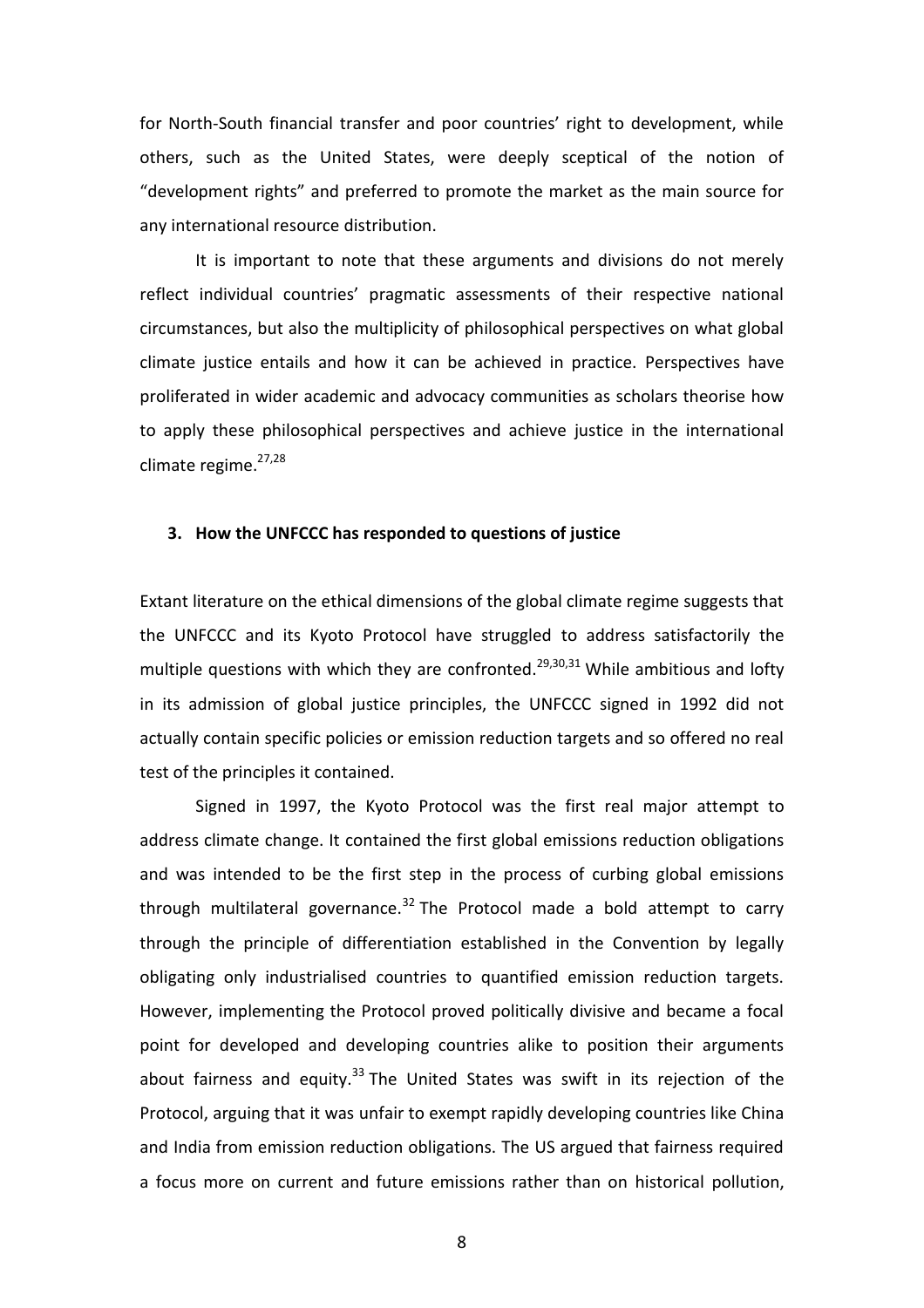for North-South financial transfer and poor countries' right to development, while others, such as the United States, were deeply sceptical of the notion of "development rights" and preferred to promote the market as the main source for any international resource distribution.

It is important to note that these arguments and divisions do not merely reflect individual countries' pragmatic assessments of their respective national circumstances, but also the multiplicity of philosophical perspectives on what global climate justice entails and how it can be achieved in practice. Perspectives have proliferated in wider academic and advocacy communities as scholars theorise how to apply these philosophical perspectives and achieve justice in the international climate regime. $27,28$ 

#### **3. How the UNFCCC has responded to questions of justice**

Extant literature on the ethical dimensions of the global climate regime suggests that the UNFCCC and its Kyoto Protocol have struggled to address satisfactorily the multiple questions with which they are confronted.<sup>29,30,31</sup> While ambitious and lofty in its admission of global justice principles, the UNFCCC signed in 1992 did not actually contain specific policies or emission reduction targets and so offered no real test of the principles it contained.

Signed in 1997, the Kyoto Protocol was the first real major attempt to address climate change. It contained the first global emissions reduction obligations and was intended to be the first step in the process of curbing global emissions through multilateral governance.<sup>32</sup> The Protocol made a bold attempt to carry through the principle of differentiation established in the Convention by legally obligating only industrialised countries to quantified emission reduction targets. However, implementing the Protocol proved politically divisive and became a focal point for developed and developing countries alike to position their arguments about fairness and equity.<sup>33</sup> The United States was swift in its rejection of the Protocol, arguing that it was unfair to exempt rapidly developing countries like China and India from emission reduction obligations. The US argued that fairness required a focus more on current and future emissions rather than on historical pollution,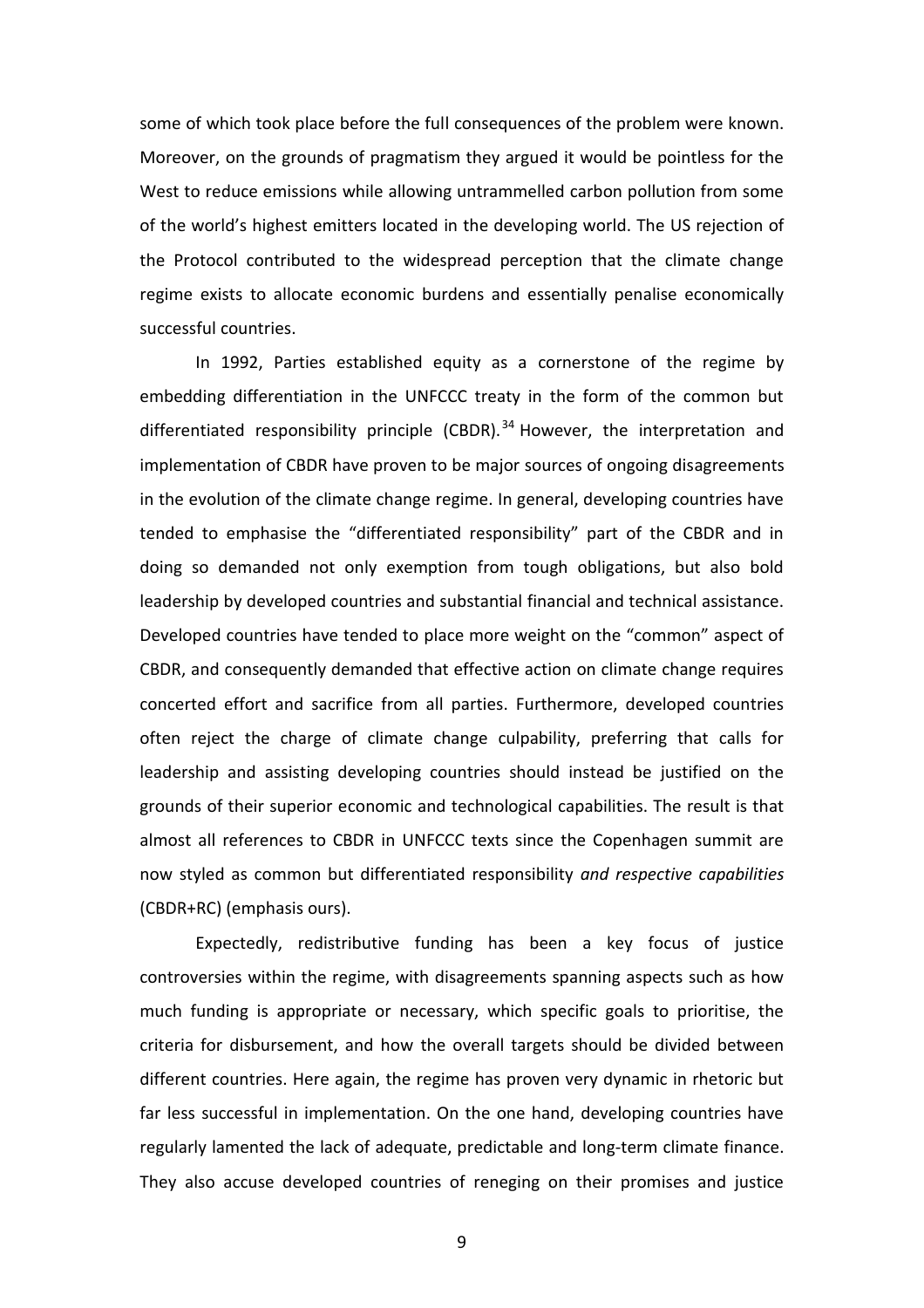some of which took place before the full consequences of the problem were known. Moreover, on the grounds of pragmatism they argued it would be pointless for the West to reduce emissions while allowing untrammelled carbon pollution from some of the world's highest emitters located in the developing world. The US rejection of the Protocol contributed to the widespread perception that the climate change regime exists to allocate economic burdens and essentially penalise economically successful countries.

In 1992, Parties established equity as a cornerstone of the regime by embedding differentiation in the UNFCCC treaty in the form of the common but differentiated responsibility principle (CBDR).<sup>34</sup> However, the interpretation and implementation of CBDR have proven to be major sources of ongoing disagreements in the evolution of the climate change regime. In general, developing countries have tended to emphasise the "differentiated responsibility" part of the CBDR and in doing so demanded not only exemption from tough obligations, but also bold leadership by developed countries and substantial financial and technical assistance. Developed countries have tended to place more weight on the "common" aspect of CBDR, and consequently demanded that effective action on climate change requires concerted effort and sacrifice from all parties. Furthermore, developed countries often reject the charge of climate change culpability, preferring that calls for leadership and assisting developing countries should instead be justified on the grounds of their superior economic and technological capabilities. The result is that almost all references to CBDR in UNFCCC texts since the Copenhagen summit are now styled as common but differentiated responsibility *and respective capabilities* (CBDR+RC) (emphasis ours).

Expectedly, redistributive funding has been a key focus of justice controversies within the regime, with disagreements spanning aspects such as how much funding is appropriate or necessary, which specific goals to prioritise, the criteria for disbursement, and how the overall targets should be divided between different countries. Here again, the regime has proven very dynamic in rhetoric but far less successful in implementation. On the one hand, developing countries have regularly lamented the lack of adequate, predictable and long-term climate finance. They also accuse developed countries of reneging on their promises and justice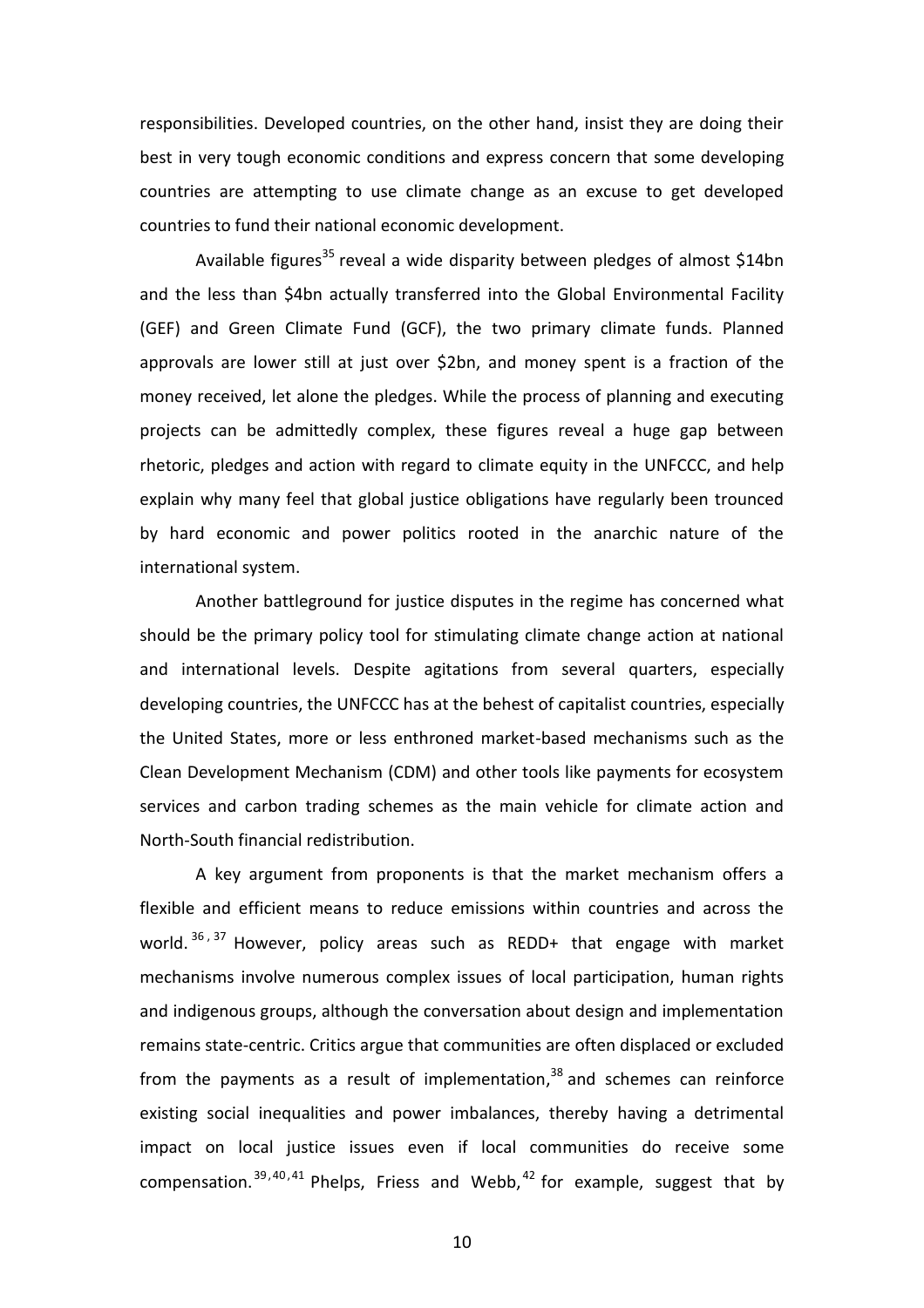responsibilities. Developed countries, on the other hand, insist they are doing their best in very tough economic conditions and express concern that some developing countries are attempting to use climate change as an excuse to get developed countries to fund their national economic development.

Available figures<sup>35</sup> reveal a wide disparity between pledges of almost \$14bn and the less than \$4bn actually transferred into the Global Environmental Facility (GEF) and Green Climate Fund (GCF), the two primary climate funds. Planned approvals are lower still at just over \$2bn, and money spent is a fraction of the money received, let alone the pledges. While the process of planning and executing projects can be admittedly complex, these figures reveal a huge gap between rhetoric, pledges and action with regard to climate equity in the UNFCCC, and help explain why many feel that global justice obligations have regularly been trounced by hard economic and power politics rooted in the anarchic nature of the international system.

Another battleground for justice disputes in the regime has concerned what should be the primary policy tool for stimulating climate change action at national and international levels. Despite agitations from several quarters, especially developing countries, the UNFCCC has at the behest of capitalist countries, especially the United States, more or less enthroned market-based mechanisms such as the Clean Development Mechanism (CDM) and other tools like payments for ecosystem services and carbon trading schemes as the main vehicle for climate action and North-South financial redistribution.

A key argument from proponents is that the market mechanism offers a flexible and efficient means to reduce emissions within countries and across the world.<sup>36,37</sup> However, policy areas such as REDD+ that engage with market mechanisms involve numerous complex issues of local participation, human rights and indigenous groups, although the conversation about design and implementation remains state-centric. Critics argue that communities are often displaced or excluded from the payments as a result of implementation,<sup>38</sup> and schemes can reinforce existing social inequalities and power imbalances, thereby having a detrimental impact on local justice issues even if local communities do receive some compensation.<sup>39,40,41</sup> Phelps, Friess and Webb,<sup>42</sup> for example, suggest that by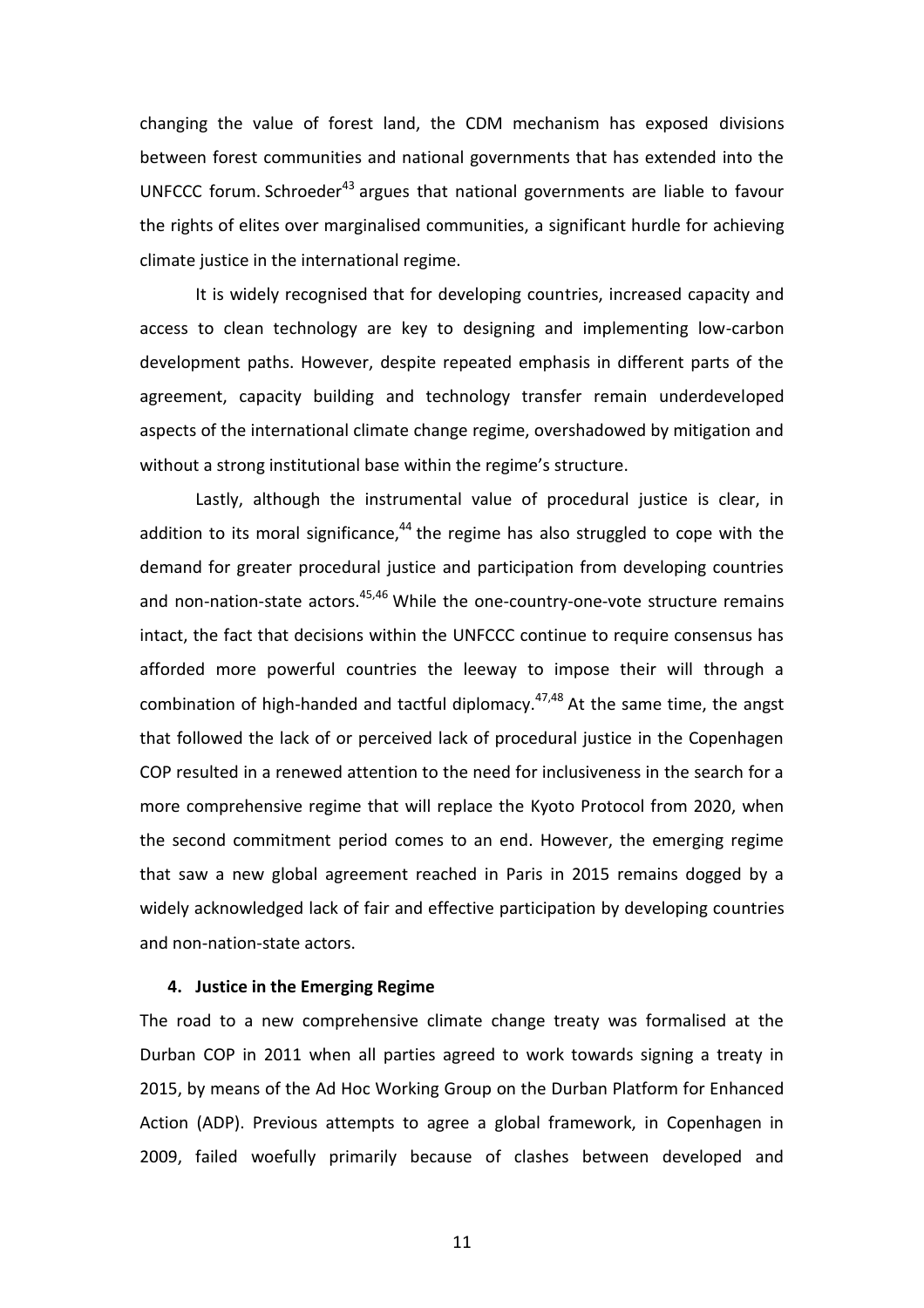changing the value of forest land, the CDM mechanism has exposed divisions between forest communities and national governments that has extended into the UNFCCC forum. Schroeder $43$  argues that national governments are liable to favour the rights of elites over marginalised communities, a significant hurdle for achieving climate justice in the international regime.

It is widely recognised that for developing countries, increased capacity and access to clean technology are key to designing and implementing low-carbon development paths. However, despite repeated emphasis in different parts of the agreement, capacity building and technology transfer remain underdeveloped aspects of the international climate change regime, overshadowed by mitigation and without a strong institutional base within the regime's structure.

Lastly, although the instrumental value of procedural justice is clear, in addition to its moral significance, $44$  the regime has also struggled to cope with the demand for greater procedural justice and participation from developing countries and non-nation-state actors.<sup>45,46</sup> While the one-country-one-vote structure remains intact, the fact that decisions within the UNFCCC continue to require consensus has afforded more powerful countries the leeway to impose their will through a combination of high-handed and tactful diplomacy. $47,48$  At the same time, the angst that followed the lack of or perceived lack of procedural justice in the Copenhagen COP resulted in a renewed attention to the need for inclusiveness in the search for a more comprehensive regime that will replace the Kyoto Protocol from 2020, when the second commitment period comes to an end. However, the emerging regime that saw a new global agreement reached in Paris in 2015 remains dogged by a widely acknowledged lack of fair and effective participation by developing countries and non-nation-state actors.

#### **4. Justice in the Emerging Regime**

The road to a new comprehensive climate change treaty was formalised at the Durban COP in 2011 when all parties agreed to work towards signing a treaty in 2015, by means of the Ad Hoc Working Group on the Durban Platform for Enhanced Action (ADP). Previous attempts to agree a global framework, in Copenhagen in 2009, failed woefully primarily because of clashes between developed and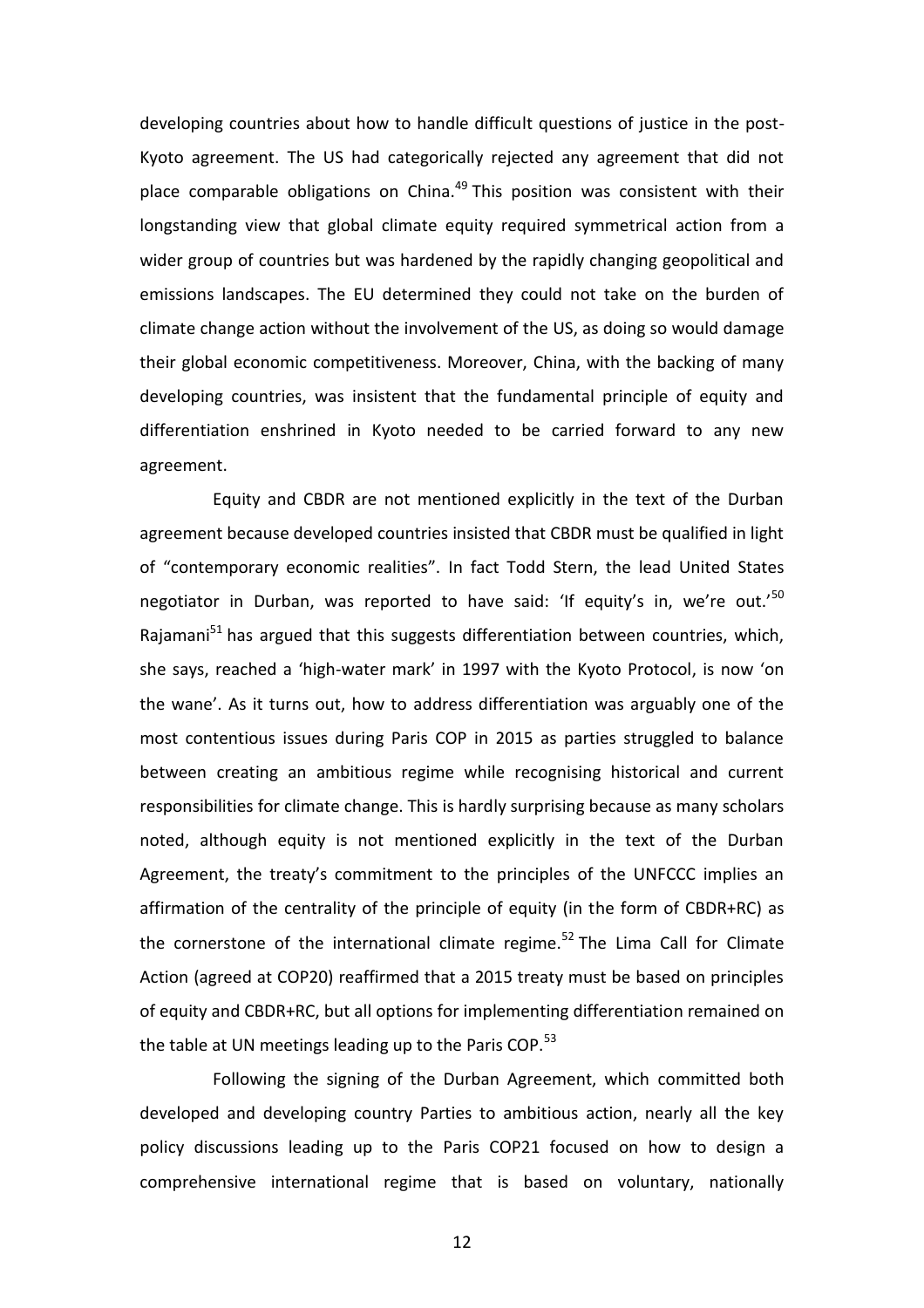developing countries about how to handle difficult questions of justice in the post-Kyoto agreement. The US had categorically rejected any agreement that did not place comparable obligations on China. $49$  This position was consistent with their longstanding view that global climate equity required symmetrical action from a wider group of countries but was hardened by the rapidly changing geopolitical and emissions landscapes. The EU determined they could not take on the burden of climate change action without the involvement of the US, as doing so would damage their global economic competitiveness. Moreover, China, with the backing of many developing countries, was insistent that the fundamental principle of equity and differentiation enshrined in Kyoto needed to be carried forward to any new agreement.

Equity and CBDR are not mentioned explicitly in the text of the Durban agreement because developed countries insisted that CBDR must be qualified in light of "contemporary economic realities". In fact Todd Stern, the lead United States negotiator in Durban, was reported to have said: 'If equity's in, we're out.'<sup>50</sup> Rajamani<sup>51</sup> has argued that this suggests differentiation between countries, which, she says, reached a 'high-water mark' in 1997 with the Kyoto Protocol, is now 'on the wane'. As it turns out, how to address differentiation was arguably one of the most contentious issues during Paris COP in 2015 as parties struggled to balance between creating an ambitious regime while recognising historical and current responsibilities for climate change. This is hardly surprising because as many scholars noted, although equity is not mentioned explicitly in the text of the Durban Agreement, the treaty's commitment to the principles of the UNFCCC implies an affirmation of the centrality of the principle of equity (in the form of CBDR+RC) as the cornerstone of the international climate regime.<sup>52</sup> The Lima Call for Climate Action (agreed at COP20) reaffirmed that a 2015 treaty must be based on principles of equity and CBDR+RC, but all options for implementing differentiation remained on the table at UN meetings leading up to the Paris COP.<sup>53</sup>

Following the signing of the Durban Agreement, which committed both developed and developing country Parties to ambitious action, nearly all the key policy discussions leading up to the Paris COP21 focused on how to design a comprehensive international regime that is based on voluntary, nationally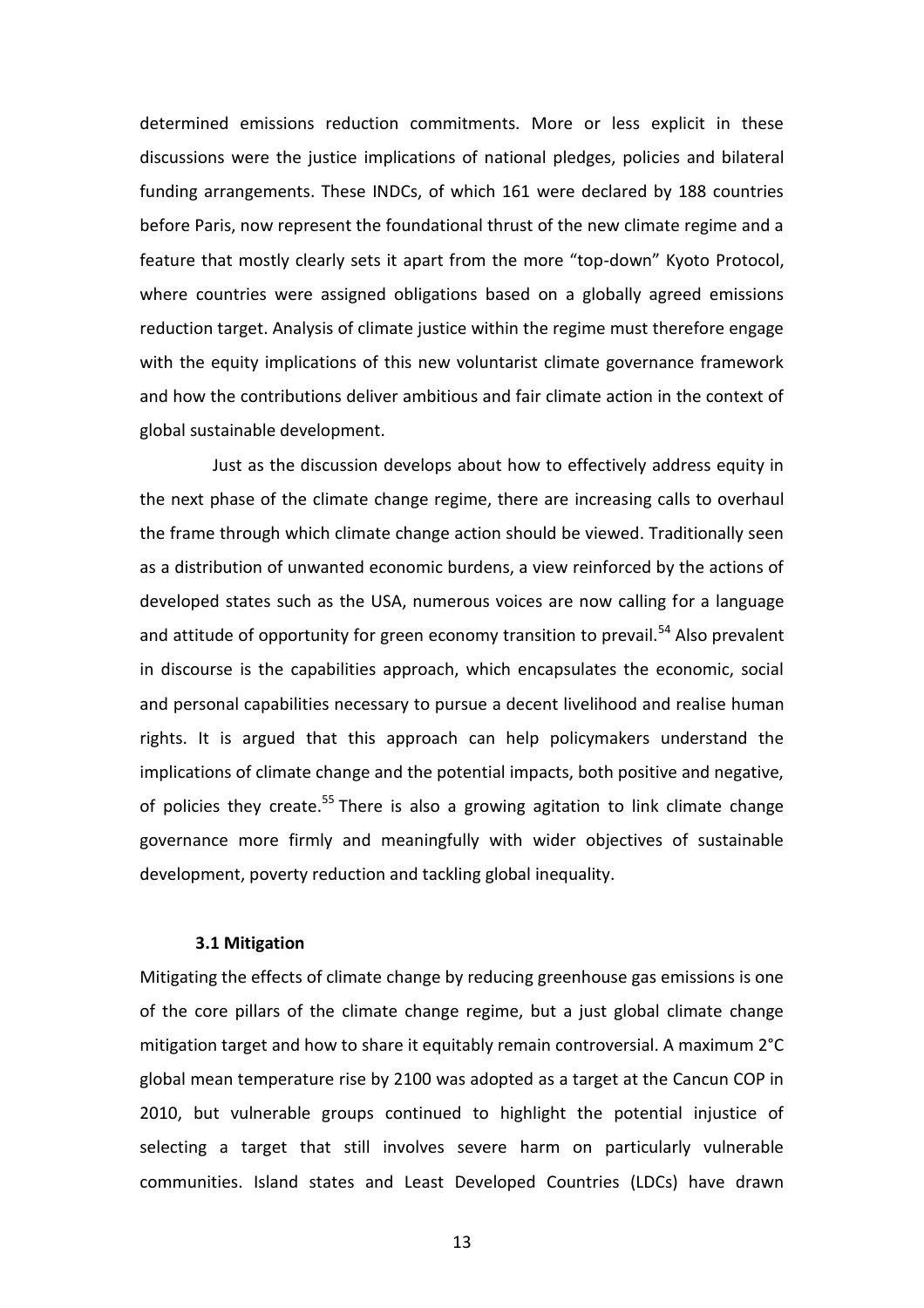determined emissions reduction commitments. More or less explicit in these discussions were the justice implications of national pledges, policies and bilateral funding arrangements. These INDCs, of which 161 were declared by 188 countries before Paris, now represent the foundational thrust of the new climate regime and a feature that mostly clearly sets it apart from the more "top-down" Kyoto Protocol, where countries were assigned obligations based on a globally agreed emissions reduction target. Analysis of climate justice within the regime must therefore engage with the equity implications of this new voluntarist climate governance framework and how the contributions deliver ambitious and fair climate action in the context of global sustainable development.

Just as the discussion develops about how to effectively address equity in the next phase of the climate change regime, there are increasing calls to overhaul the frame through which climate change action should be viewed. Traditionally seen as a distribution of unwanted economic burdens, a view reinforced by the actions of developed states such as the USA, numerous voices are now calling for a language and attitude of opportunity for green economy transition to prevail.<sup>54</sup> Also prevalent in discourse is the capabilities approach, which encapsulates the economic, social and personal capabilities necessary to pursue a decent livelihood and realise human rights. It is argued that this approach can help policymakers understand the implications of climate change and the potential impacts, both positive and negative, of policies they create.<sup>55</sup> There is also a growing agitation to link climate change governance more firmly and meaningfully with wider objectives of sustainable development, poverty reduction and tackling global inequality.

#### **3.1 Mitigation**

Mitigating the effects of climate change by reducing greenhouse gas emissions is one of the core pillars of the climate change regime, but a just global climate change mitigation target and how to share it equitably remain controversial. A maximum 2°C global mean temperature rise by 2100 was adopted as a target at the Cancun COP in 2010, but vulnerable groups continued to highlight the potential injustice of selecting a target that still involves severe harm on particularly vulnerable communities. Island states and Least Developed Countries (LDCs) have drawn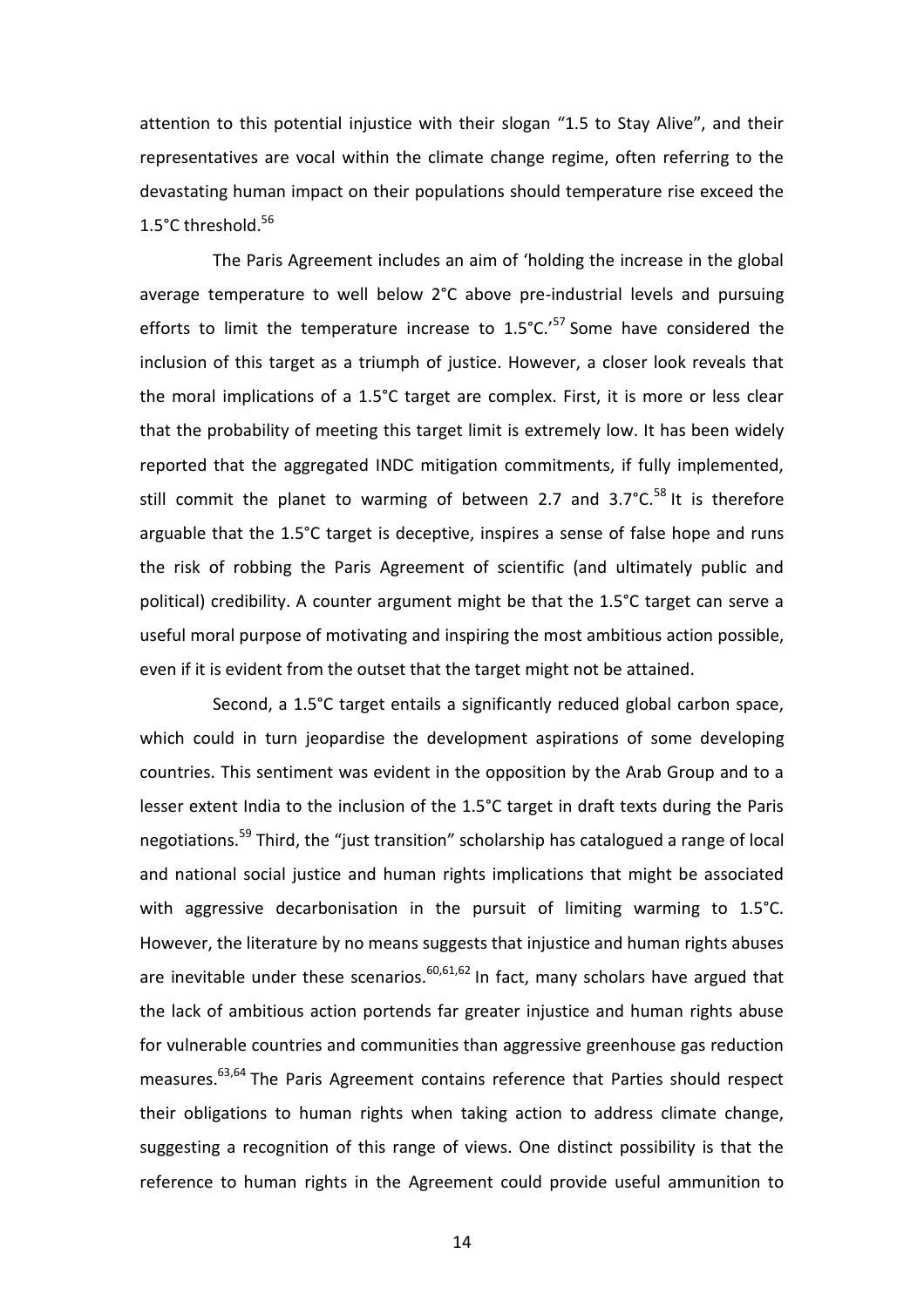attention to this potential injustice with their slogan "1.5 to Stay Alive", and their representatives are vocal within the climate change regime, often referring to the devastating human impact on their populations should temperature rise exceed the 1.5°C threshold.<sup>56</sup>

The Paris Agreement includes an aim of 'holding the increase in the global average temperature to well below 2°C above pre-industrial levels and pursuing efforts to limit the temperature increase to  $1.5^{\circ}$ C.'<sup>57</sup> Some have considered the inclusion of this target as a triumph of justice. However, a closer look reveals that the moral implications of a 1.5°C target are complex. First, it is more or less clear that the probability of meeting this target limit is extremely low. It has been widely reported that the aggregated INDC mitigation commitments, if fully implemented, still commit the planet to warming of between 2.7 and  $3.7^{\circ}$ C.<sup>58</sup> It is therefore arguable that the 1.5°C target is deceptive, inspires a sense of false hope and runs the risk of robbing the Paris Agreement of scientific (and ultimately public and political) credibility. A counter argument might be that the 1.5°C target can serve a useful moral purpose of motivating and inspiring the most ambitious action possible, even if it is evident from the outset that the target might not be attained.

Second, a 1.5°C target entails a significantly reduced global carbon space, which could in turn jeopardise the development aspirations of some developing countries. This sentiment was evident in the opposition by the Arab Group and to a lesser extent India to the inclusion of the 1.5°C target in draft texts during the Paris negotiations.<sup>59</sup> Third, the "just transition" scholarship has catalogued a range of local and national social justice and human rights implications that might be associated with aggressive decarbonisation in the pursuit of limiting warming to 1.5°C. However, the literature by no means suggests that injustice and human rights abuses are inevitable under these scenarios.<sup>60,61,62</sup> In fact, many scholars have argued that the lack of ambitious action portends far greater injustice and human rights abuse for vulnerable countries and communities than aggressive greenhouse gas reduction measures. 63,64 The Paris Agreement contains reference that Parties should respect their obligations to human rights when taking action to address climate change, suggesting a recognition of this range of views. One distinct possibility is that the reference to human rights in the Agreement could provide useful ammunition to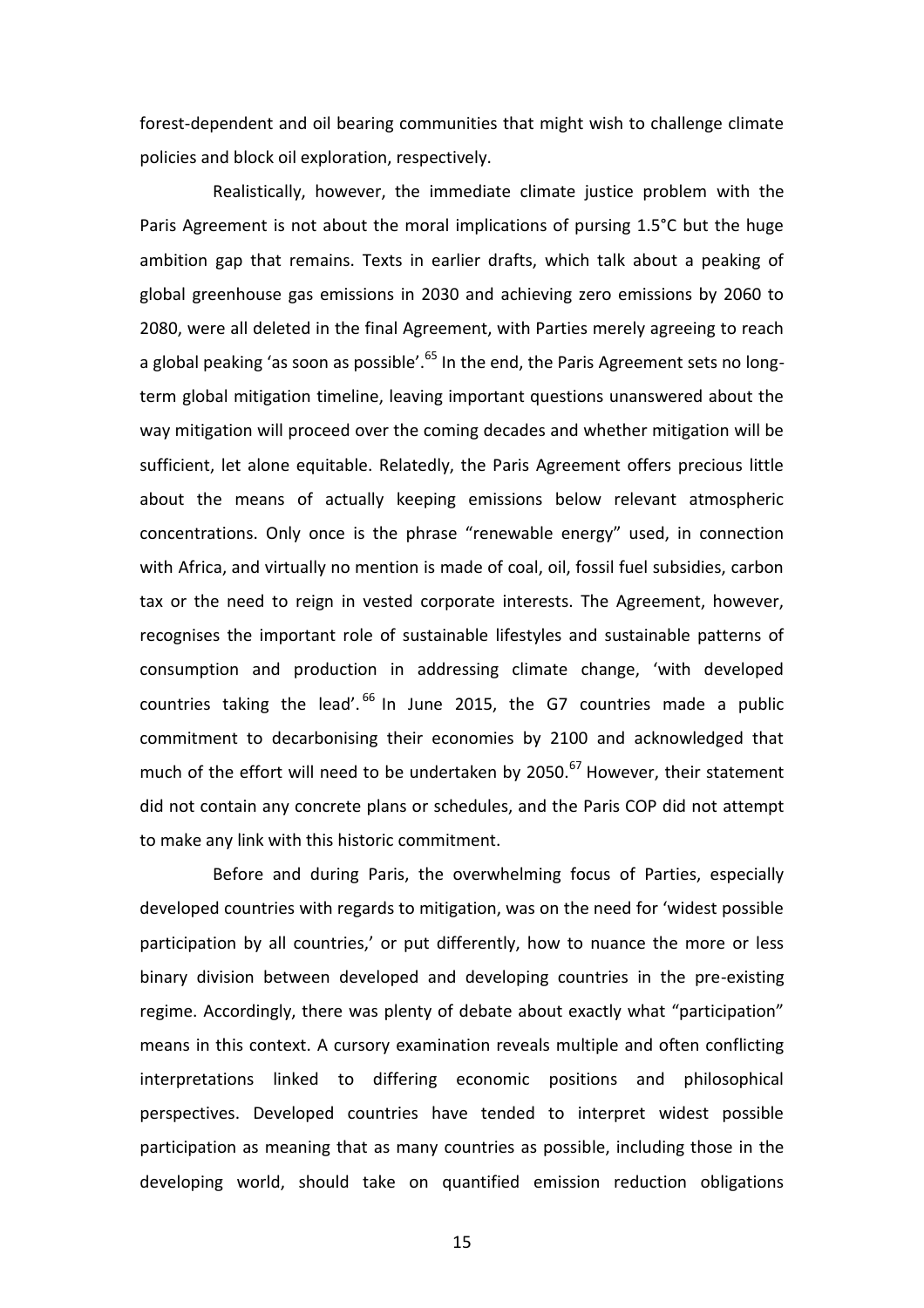forest-dependent and oil bearing communities that might wish to challenge climate policies and block oil exploration, respectively.

Realistically, however, the immediate climate justice problem with the Paris Agreement is not about the moral implications of pursing 1.5°C but the huge ambition gap that remains. Texts in earlier drafts, which talk about a peaking of global greenhouse gas emissions in 2030 and achieving zero emissions by 2060 to 2080, were all deleted in the final Agreement, with Parties merely agreeing to reach a global peaking 'as soon as possible'. $65$  In the end, the Paris Agreement sets no longterm global mitigation timeline, leaving important questions unanswered about the way mitigation will proceed over the coming decades and whether mitigation will be sufficient, let alone equitable. Relatedly, the Paris Agreement offers precious little about the means of actually keeping emissions below relevant atmospheric concentrations. Only once is the phrase "renewable energy" used, in connection with Africa, and virtually no mention is made of coal, oil, fossil fuel subsidies, carbon tax or the need to reign in vested corporate interests. The Agreement, however, recognises the important role of sustainable lifestyles and sustainable patterns of consumption and production in addressing climate change, 'with developed countries taking the lead'.  $^{66}$  In June 2015, the G7 countries made a public commitment to decarbonising their economies by 2100 and acknowledged that much of the effort will need to be undertaken by  $2050$ .<sup>67</sup> However, their statement did not contain any concrete plans or schedules, and the Paris COP did not attempt to make any link with this historic commitment.

Before and during Paris, the overwhelming focus of Parties, especially developed countries with regards to mitigation, was on the need for 'widest possible participation by all countries,' or put differently, how to nuance the more or less binary division between developed and developing countries in the pre-existing regime. Accordingly, there was plenty of debate about exactly what "participation" means in this context. A cursory examination reveals multiple and often conflicting interpretations linked to differing economic positions and philosophical perspectives. Developed countries have tended to interpret widest possible participation as meaning that as many countries as possible, including those in the developing world, should take on quantified emission reduction obligations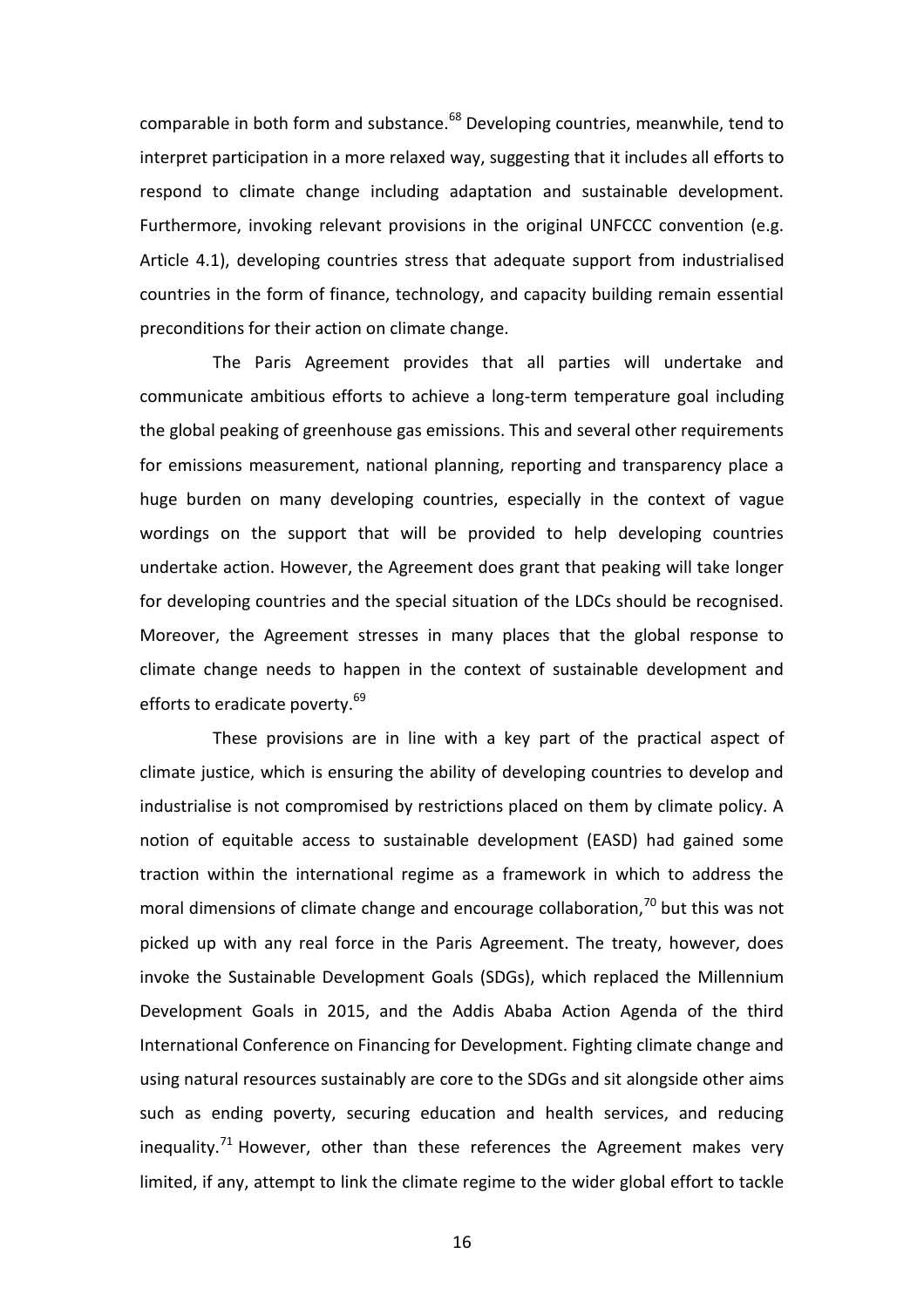comparable in both form and substance.<sup>68</sup> Developing countries, meanwhile, tend to interpret participation in a more relaxed way, suggesting that it includes all efforts to respond to climate change including adaptation and sustainable development. Furthermore, invoking relevant provisions in the original UNFCCC convention (e.g. Article 4.1), developing countries stress that adequate support from industrialised countries in the form of finance, technology, and capacity building remain essential preconditions for their action on climate change.

The Paris Agreement provides that all parties will undertake and communicate ambitious efforts to achieve a long-term temperature goal including the global peaking of greenhouse gas emissions. This and several other requirements for emissions measurement, national planning, reporting and transparency place a huge burden on many developing countries, especially in the context of vague wordings on the support that will be provided to help developing countries undertake action. However, the Agreement does grant that peaking will take longer for developing countries and the special situation of the LDCs should be recognised. Moreover, the Agreement stresses in many places that the global response to climate change needs to happen in the context of sustainable development and efforts to eradicate poverty.<sup>69</sup>

These provisions are in line with a key part of the practical aspect of climate justice, which is ensuring the ability of developing countries to develop and industrialise is not compromised by restrictions placed on them by climate policy. A notion of equitable access to sustainable development (EASD) had gained some traction within the international regime as a framework in which to address the moral dimensions of climate change and encourage collaboration, $70$  but this was not picked up with any real force in the Paris Agreement. The treaty, however, does invoke the Sustainable Development Goals (SDGs), which replaced the Millennium Development Goals in 2015, and the Addis Ababa Action Agenda of the third International Conference on Financing for Development. Fighting climate change and using natural resources sustainably are core to the SDGs and sit alongside other aims such as ending poverty, securing education and health services, and reducing inequality.<sup>71</sup> However, other than these references the Agreement makes very limited, if any, attempt to link the climate regime to the wider global effort to tackle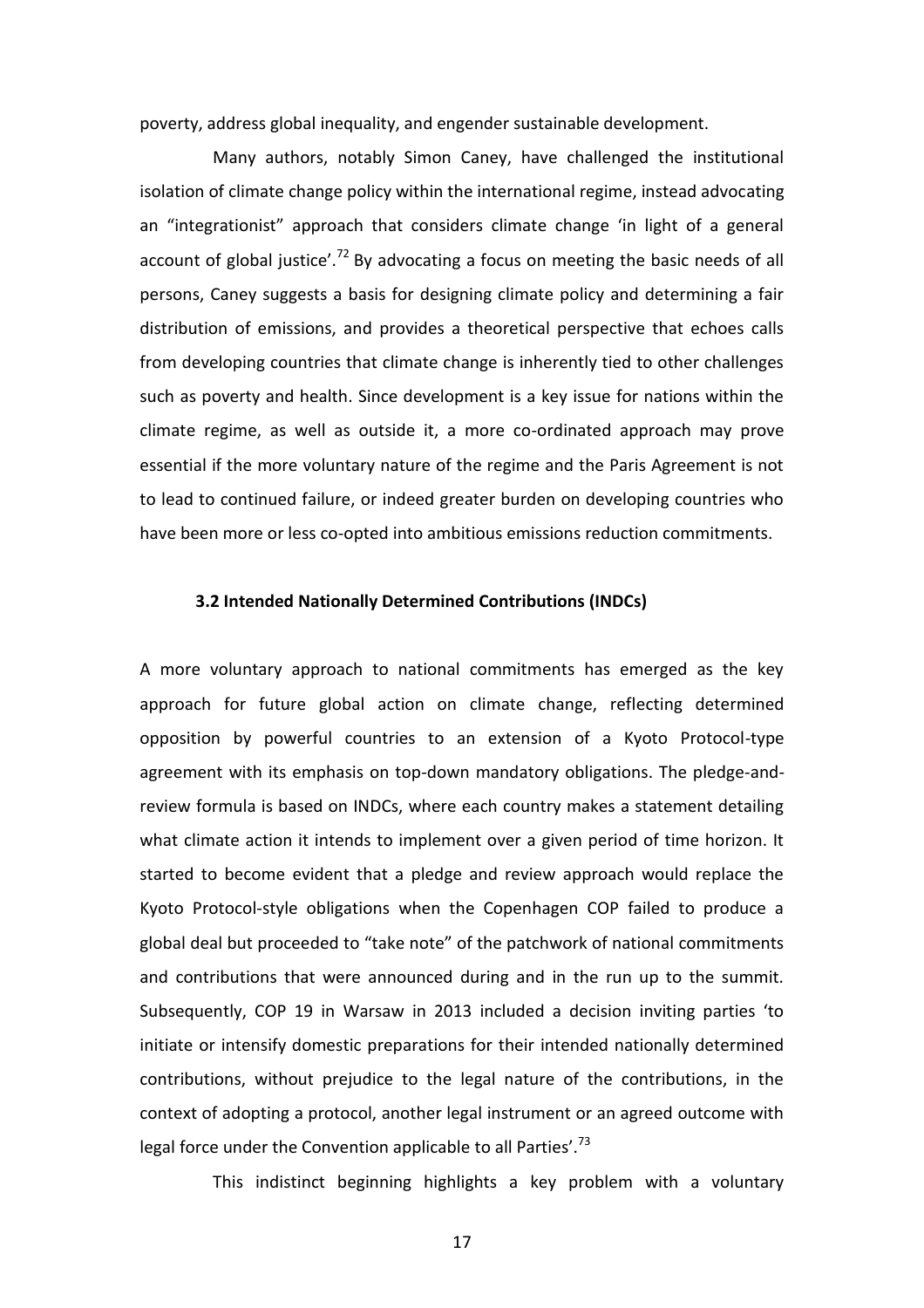poverty, address global inequality, and engender sustainable development.

Many authors, notably Simon Caney, have challenged the institutional isolation of climate change policy within the international regime, instead advocating an "integrationist" approach that considers climate change 'in light of a general account of global justice'.<sup>72</sup> By advocating a focus on meeting the basic needs of all persons, Caney suggests a basis for designing climate policy and determining a fair distribution of emissions, and provides a theoretical perspective that echoes calls from developing countries that climate change is inherently tied to other challenges such as poverty and health. Since development is a key issue for nations within the climate regime, as well as outside it, a more co-ordinated approach may prove essential if the more voluntary nature of the regime and the Paris Agreement is not to lead to continued failure, or indeed greater burden on developing countries who have been more or less co-opted into ambitious emissions reduction commitments.

#### **3.2 Intended Nationally Determined Contributions (INDCs)**

A more voluntary approach to national commitments has emerged as the key approach for future global action on climate change, reflecting determined opposition by powerful countries to an extension of a Kyoto Protocol-type agreement with its emphasis on top-down mandatory obligations. The pledge-andreview formula is based on INDCs, where each country makes a statement detailing what climate action it intends to implement over a given period of time horizon. It started to become evident that a pledge and review approach would replace the Kyoto Protocol-style obligations when the Copenhagen COP failed to produce a global deal but proceeded to "take note" of the patchwork of national commitments and contributions that were announced during and in the run up to the summit. Subsequently, COP 19 in Warsaw in 2013 included a decision inviting parties 'to initiate or intensify domestic preparations for their intended nationally determined contributions, without prejudice to the legal nature of the contributions, in the context of adopting a protocol, another legal instrument or an agreed outcome with legal force under the Convention applicable to all Parties'.<sup>73</sup>

This indistinct beginning highlights a key problem with a voluntary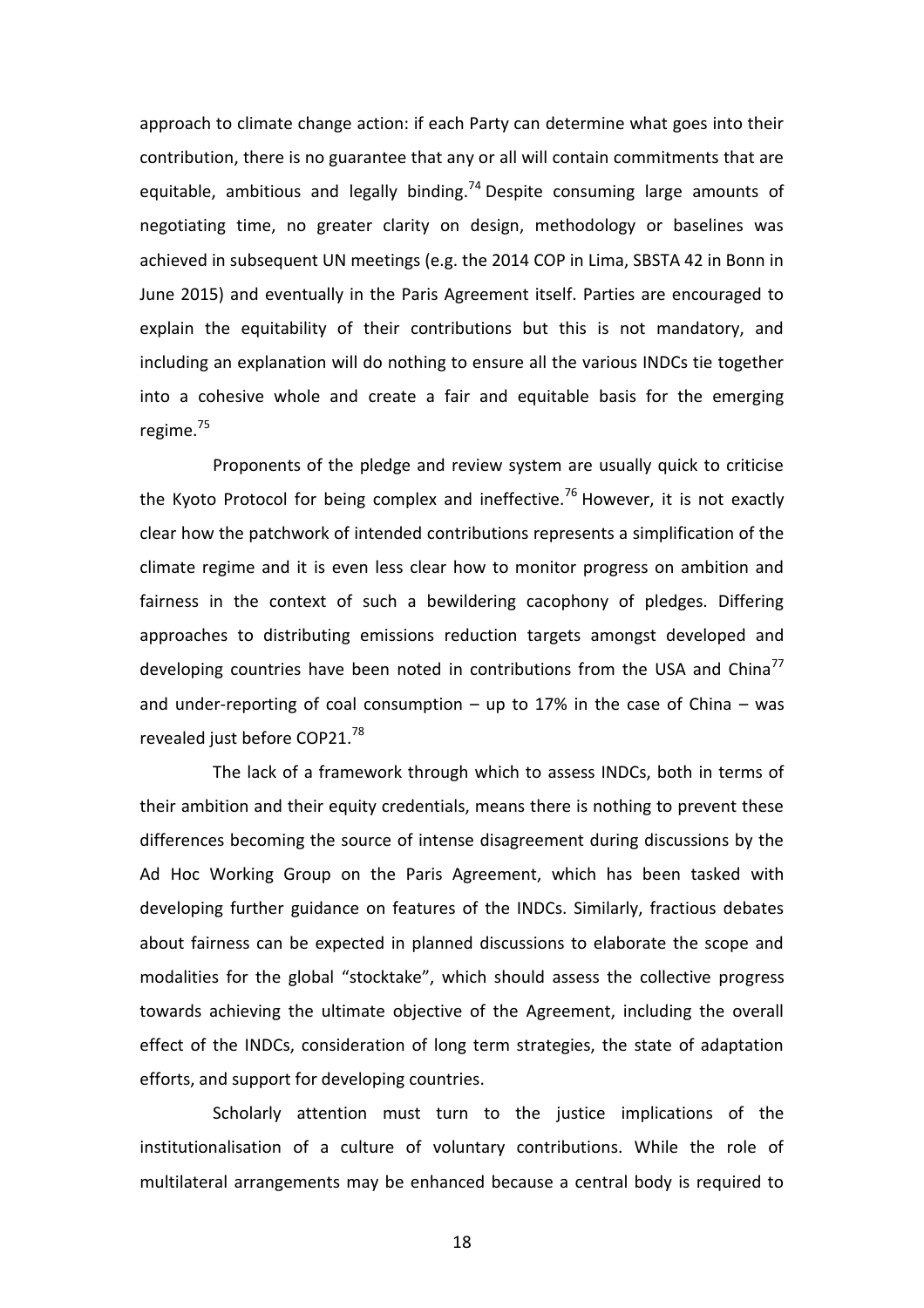approach to climate change action: if each Party can determine what goes into their contribution, there is no guarantee that any or all will contain commitments that are equitable, ambitious and legally binding.<sup>74</sup> Despite consuming large amounts of negotiating time, no greater clarity on design, methodology or baselines was achieved in subsequent UN meetings (e.g. the 2014 COP in Lima, SBSTA 42 in Bonn in June 2015) and eventually in the Paris Agreement itself. Parties are encouraged to explain the equitability of their contributions but this is not mandatory, and including an explanation will do nothing to ensure all the various INDCs tie together into a cohesive whole and create a fair and equitable basis for the emerging regime. $^{75}$ 

Proponents of the pledge and review system are usually quick to criticise the Kyoto Protocol for being complex and ineffective.<sup>76</sup> However, it is not exactly clear how the patchwork of intended contributions represents a simplification of the climate regime and it is even less clear how to monitor progress on ambition and fairness in the context of such a bewildering cacophony of pledges. Differing approaches to distributing emissions reduction targets amongst developed and developing countries have been noted in contributions from the USA and China<sup>77</sup> and under-reporting of coal consumption  $-$  up to 17% in the case of China  $-$  was revealed just before COP21.<sup>78</sup>

The lack of a framework through which to assess INDCs, both in terms of their ambition and their equity credentials, means there is nothing to prevent these differences becoming the source of intense disagreement during discussions by the Ad Hoc Working Group on the Paris Agreement, which has been tasked with developing further guidance on features of the INDCs. Similarly, fractious debates about fairness can be expected in planned discussions to elaborate the scope and modalities for the global "stocktake", which should assess the collective progress towards achieving the ultimate objective of the Agreement, including the overall effect of the INDCs, consideration of long term strategies, the state of adaptation efforts, and support for developing countries.

Scholarly attention must turn to the justice implications of the institutionalisation of a culture of voluntary contributions. While the role of multilateral arrangements may be enhanced because a central body is required to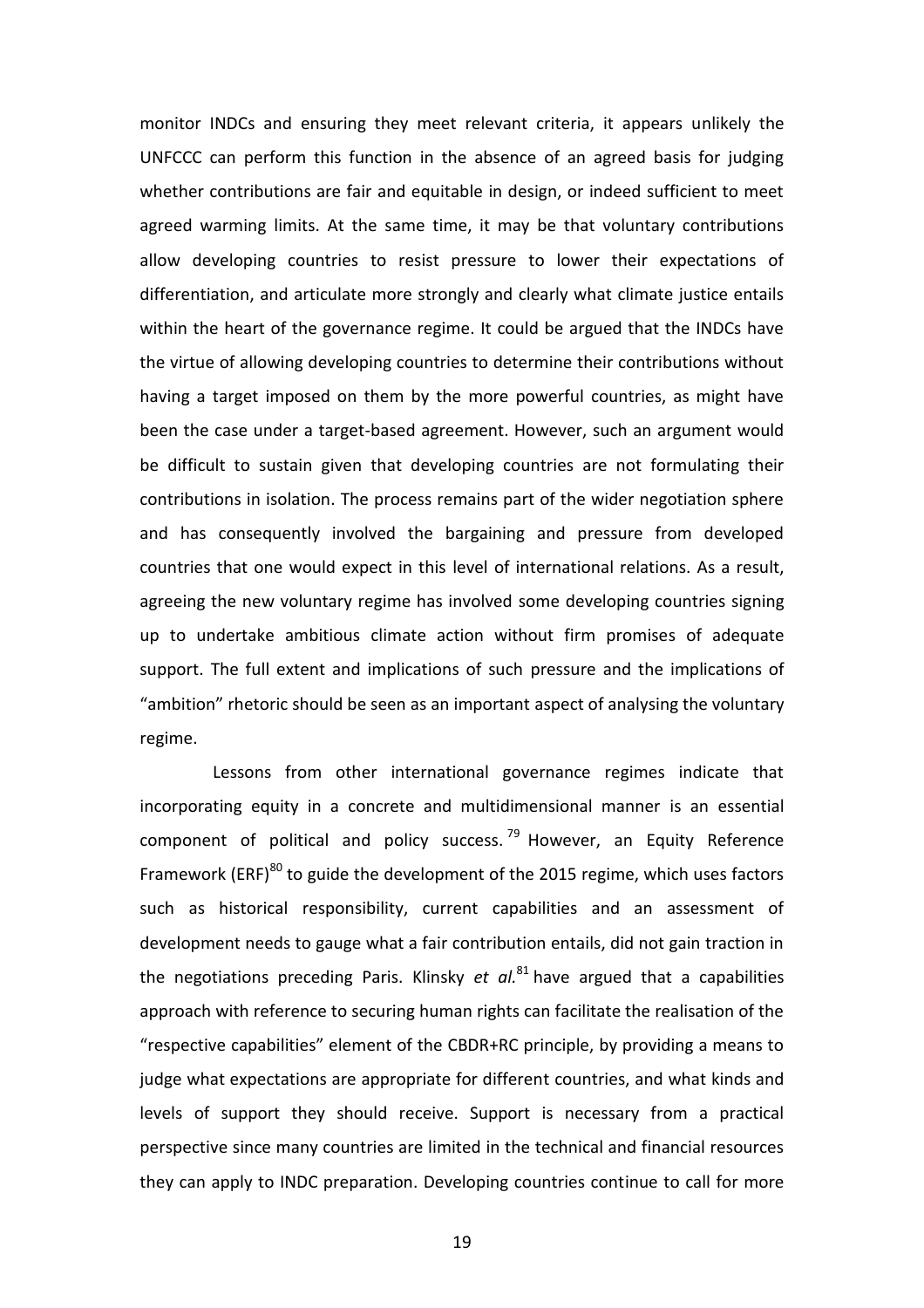monitor INDCs and ensuring they meet relevant criteria, it appears unlikely the UNFCCC can perform this function in the absence of an agreed basis for judging whether contributions are fair and equitable in design, or indeed sufficient to meet agreed warming limits. At the same time, it may be that voluntary contributions allow developing countries to resist pressure to lower their expectations of differentiation, and articulate more strongly and clearly what climate justice entails within the heart of the governance regime. It could be argued that the INDCs have the virtue of allowing developing countries to determine their contributions without having a target imposed on them by the more powerful countries, as might have been the case under a target-based agreement. However, such an argument would be difficult to sustain given that developing countries are not formulating their contributions in isolation. The process remains part of the wider negotiation sphere and has consequently involved the bargaining and pressure from developed countries that one would expect in this level of international relations. As a result, agreeing the new voluntary regime has involved some developing countries signing up to undertake ambitious climate action without firm promises of adequate support. The full extent and implications of such pressure and the implications of "ambition" rhetoric should be seen as an important aspect of analysing the voluntary regime.

Lessons from other international governance regimes indicate that incorporating equity in a concrete and multidimensional manner is an essential component of political and policy success.<sup>79</sup> However, an Equity Reference Framework (ERF) $^{80}$  to guide the development of the 2015 regime, which uses factors such as historical responsibility, current capabilities and an assessment of development needs to gauge what a fair contribution entails, did not gain traction in the negotiations preceding Paris. Klinsky *et al.*<sup>81</sup> have argued that a capabilities approach with reference to securing human rights can facilitate the realisation of the "respective capabilities" element of the CBDR+RC principle, by providing a means to judge what expectations are appropriate for different countries, and what kinds and levels of support they should receive. Support is necessary from a practical perspective since many countries are limited in the technical and financial resources they can apply to INDC preparation. Developing countries continue to call for more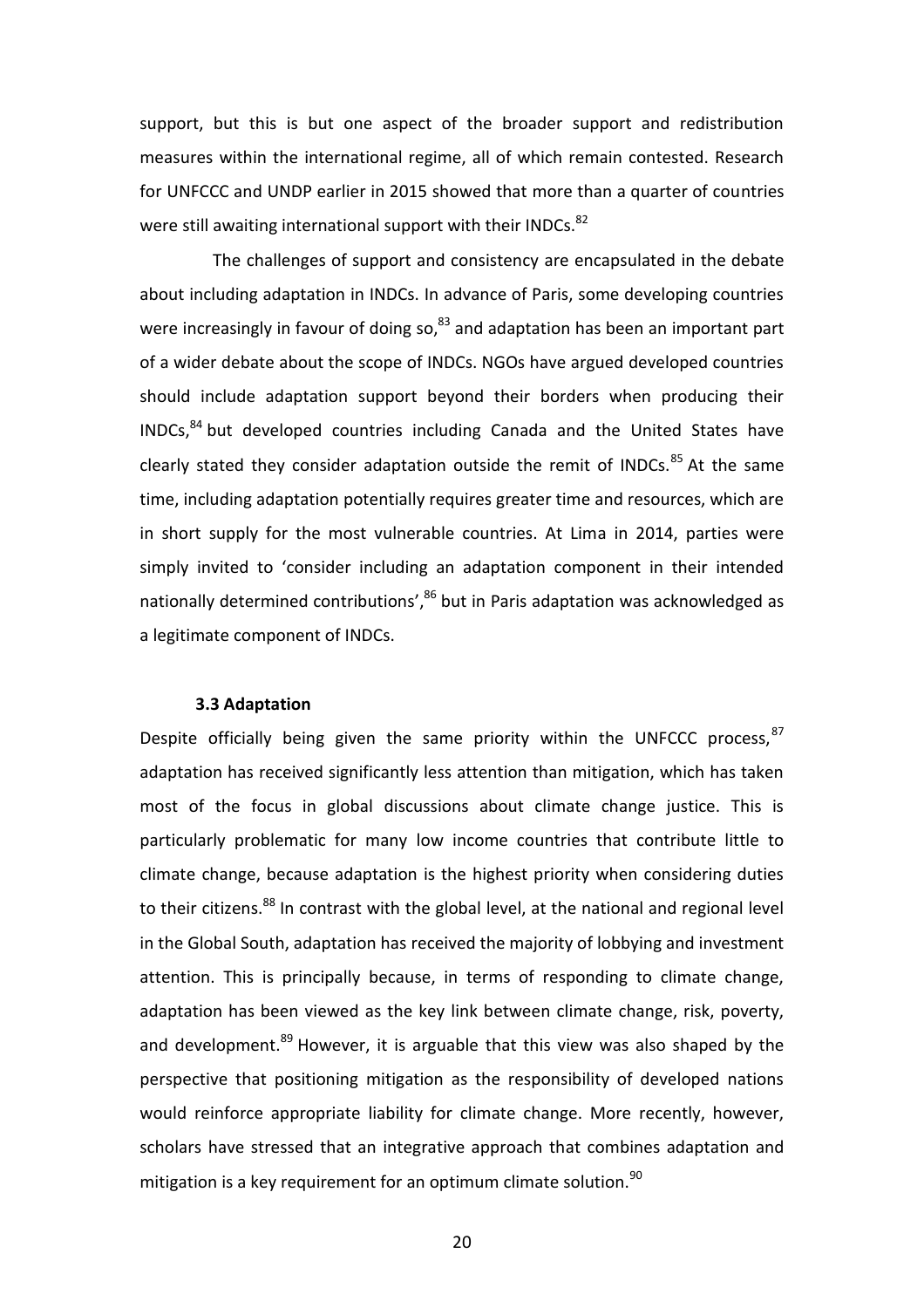support, but this is but one aspect of the broader support and redistribution measures within the international regime, all of which remain contested. Research for UNFCCC and UNDP earlier in 2015 showed that more than a quarter of countries were still awaiting international support with their INDCs.<sup>82</sup>

The challenges of support and consistency are encapsulated in the debate about including adaptation in INDCs. In advance of Paris, some developing countries were increasingly in favour of doing so, $83$  and adaptation has been an important part of a wider debate about the scope of INDCs. NGOs have argued developed countries should include adaptation support beyond their borders when producing their INDCs,<sup>84</sup> but developed countries including Canada and the United States have clearly stated they consider adaptation outside the remit of INDCs. $85$  At the same time, including adaptation potentially requires greater time and resources, which are in short supply for the most vulnerable countries. At Lima in 2014, parties were simply invited to 'consider including an adaptation component in their intended nationally determined contributions',<sup>86</sup> but in Paris adaptation was acknowledged as a legitimate component of INDCs.

#### **3.3 Adaptation**

Despite officially being given the same priority within the UNFCCC process,  $87$ adaptation has received significantly less attention than mitigation, which has taken most of the focus in global discussions about climate change justice. This is particularly problematic for many low income countries that contribute little to climate change, because adaptation is the highest priority when considering duties to their citizens.<sup>88</sup> In contrast with the global level, at the national and regional level in the Global South, adaptation has received the majority of lobbying and investment attention. This is principally because, in terms of responding to climate change, adaptation has been viewed as the key link between climate change, risk, poverty, and development.<sup>89</sup> However, it is arguable that this view was also shaped by the perspective that positioning mitigation as the responsibility of developed nations would reinforce appropriate liability for climate change. More recently, however, scholars have stressed that an integrative approach that combines adaptation and mitigation is a key requirement for an optimum climate solution.<sup>90</sup>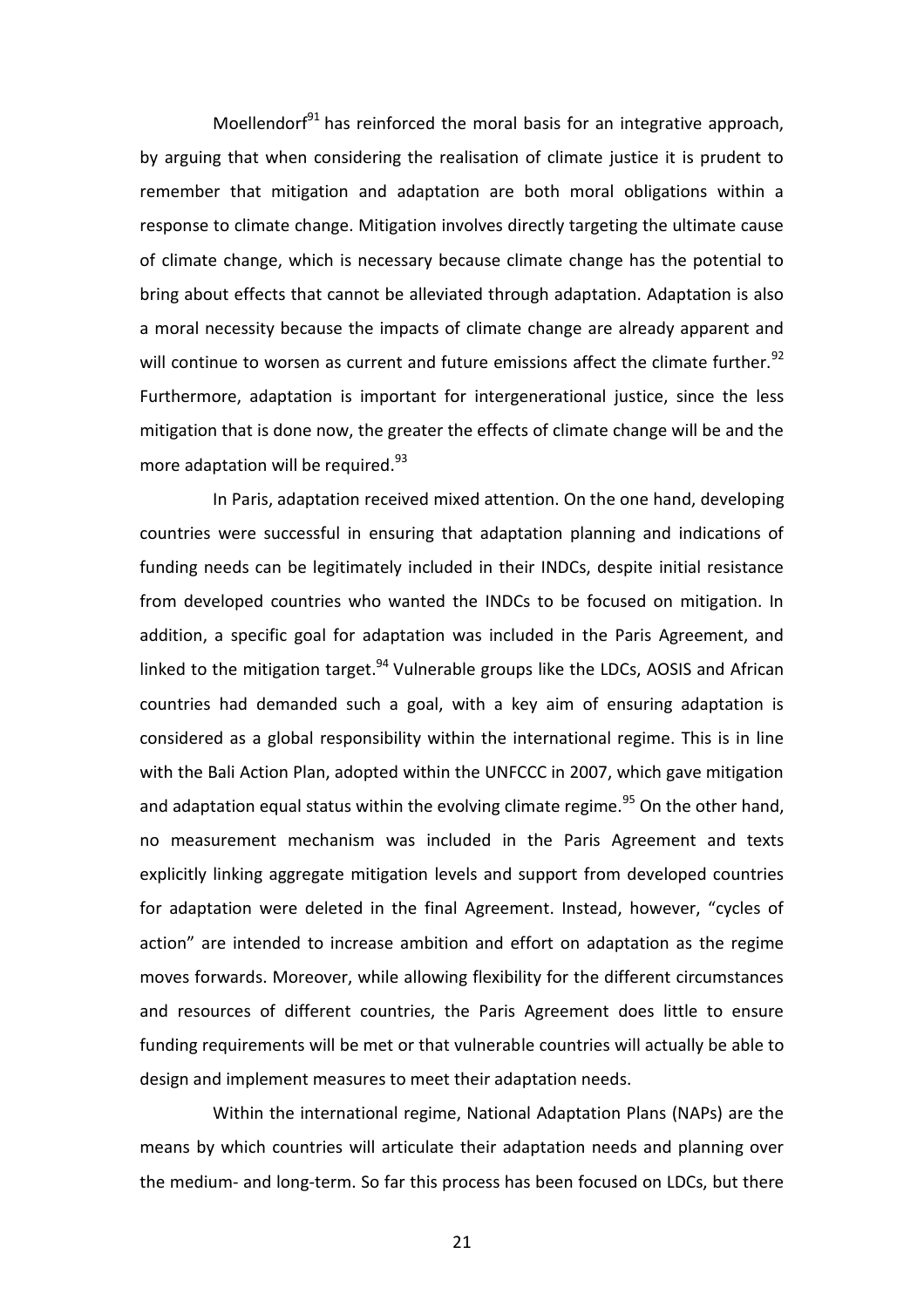Moellendorf $91$  has reinforced the moral basis for an integrative approach, by arguing that when considering the realisation of climate justice it is prudent to remember that mitigation and adaptation are both moral obligations within a response to climate change. Mitigation involves directly targeting the ultimate cause of climate change, which is necessary because climate change has the potential to bring about effects that cannot be alleviated through adaptation. Adaptation is also a moral necessity because the impacts of climate change are already apparent and will continue to worsen as current and future emissions affect the climate further. $92$ Furthermore, adaptation is important for intergenerational justice, since the less mitigation that is done now, the greater the effects of climate change will be and the more adaptation will be required. $93$ 

In Paris, adaptation received mixed attention. On the one hand, developing countries were successful in ensuring that adaptation planning and indications of funding needs can be legitimately included in their INDCs, despite initial resistance from developed countries who wanted the INDCs to be focused on mitigation. In addition, a specific goal for adaptation was included in the Paris Agreement, and linked to the mitigation target. $94$  Vulnerable groups like the LDCs, AOSIS and African countries had demanded such a goal, with a key aim of ensuring adaptation is considered as a global responsibility within the international regime. This is in line with the Bali Action Plan, adopted within the UNFCCC in 2007, which gave mitigation and adaptation equal status within the evolving climate regime.<sup>95</sup> On the other hand, no measurement mechanism was included in the Paris Agreement and texts explicitly linking aggregate mitigation levels and support from developed countries for adaptation were deleted in the final Agreement. Instead, however, "cycles of action" are intended to increase ambition and effort on adaptation as the regime moves forwards. Moreover, while allowing flexibility for the different circumstances and resources of different countries, the Paris Agreement does little to ensure funding requirements will be met or that vulnerable countries will actually be able to design and implement measures to meet their adaptation needs.

Within the international regime, National Adaptation Plans (NAPs) are the means by which countries will articulate their adaptation needs and planning over the medium- and long-term. So far this process has been focused on LDCs, but there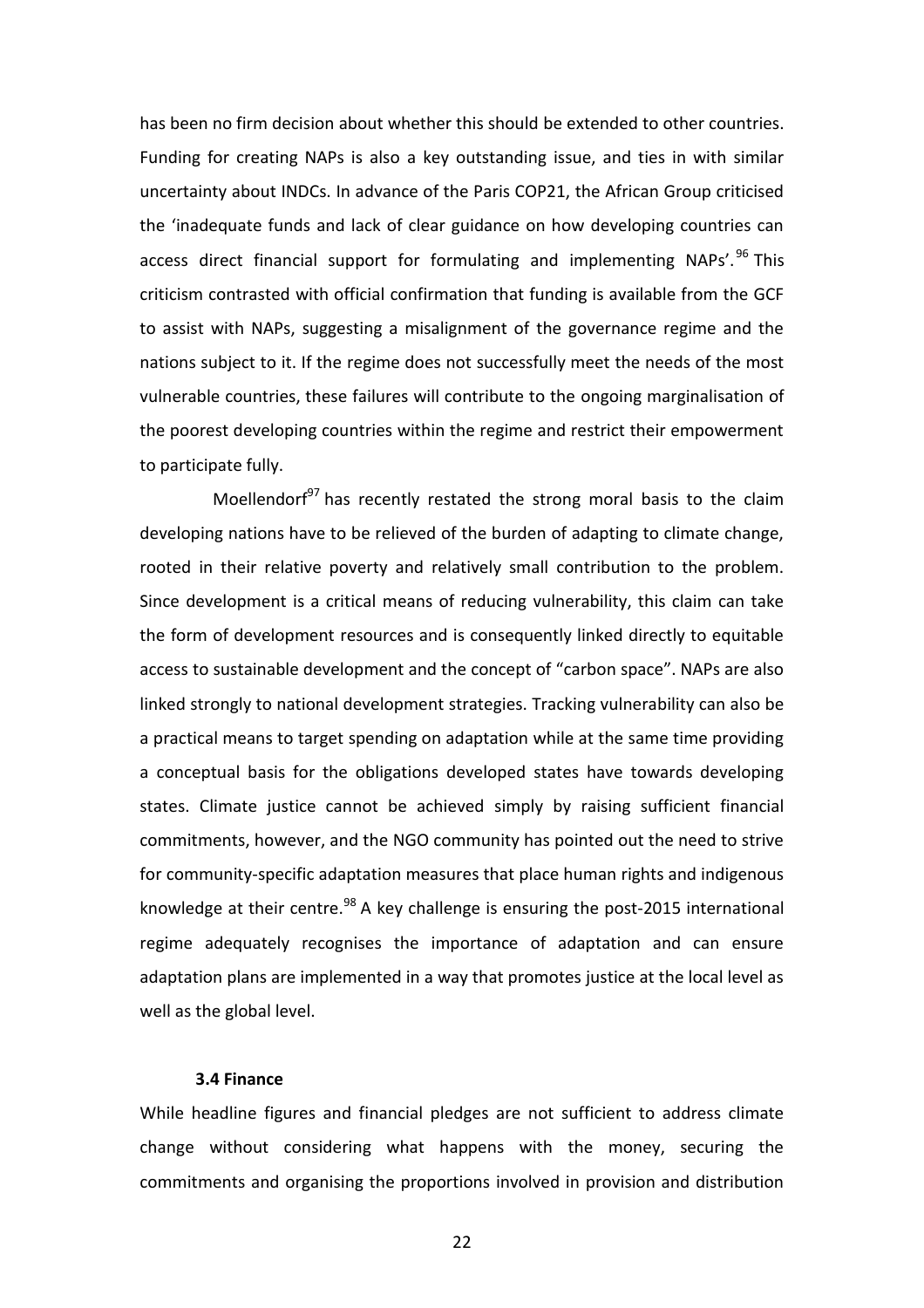has been no firm decision about whether this should be extended to other countries. Funding for creating NAPs is also a key outstanding issue, and ties in with similar uncertainty about INDCs. In advance of the Paris COP21, the African Group criticised the 'inadequate funds and lack of clear guidance on how developing countries can access direct financial support for formulating and implementing  $NAPs'.^{96}$  This criticism contrasted with official confirmation that funding is available from the GCF to assist with NAPs, suggesting a misalignment of the governance regime and the nations subject to it. If the regime does not successfully meet the needs of the most vulnerable countries, these failures will contribute to the ongoing marginalisation of the poorest developing countries within the regime and restrict their empowerment to participate fully.

Moellendorf $97$  has recently restated the strong moral basis to the claim developing nations have to be relieved of the burden of adapting to climate change, rooted in their relative poverty and relatively small contribution to the problem. Since development is a critical means of reducing vulnerability, this claim can take the form of development resources and is consequently linked directly to equitable access to sustainable development and the concept of "carbon space". NAPs are also linked strongly to national development strategies. Tracking vulnerability can also be a practical means to target spending on adaptation while at the same time providing a conceptual basis for the obligations developed states have towards developing states. Climate justice cannot be achieved simply by raising sufficient financial commitments, however, and the NGO community has pointed out the need to strive for community-specific adaptation measures that place human rights and indigenous knowledge at their centre. $^{98}$  A key challenge is ensuring the post-2015 international regime adequately recognises the importance of adaptation and can ensure adaptation plans are implemented in a way that promotes justice at the local level as well as the global level.

#### **3.4 Finance**

While headline figures and financial pledges are not sufficient to address climate change without considering what happens with the money, securing the commitments and organising the proportions involved in provision and distribution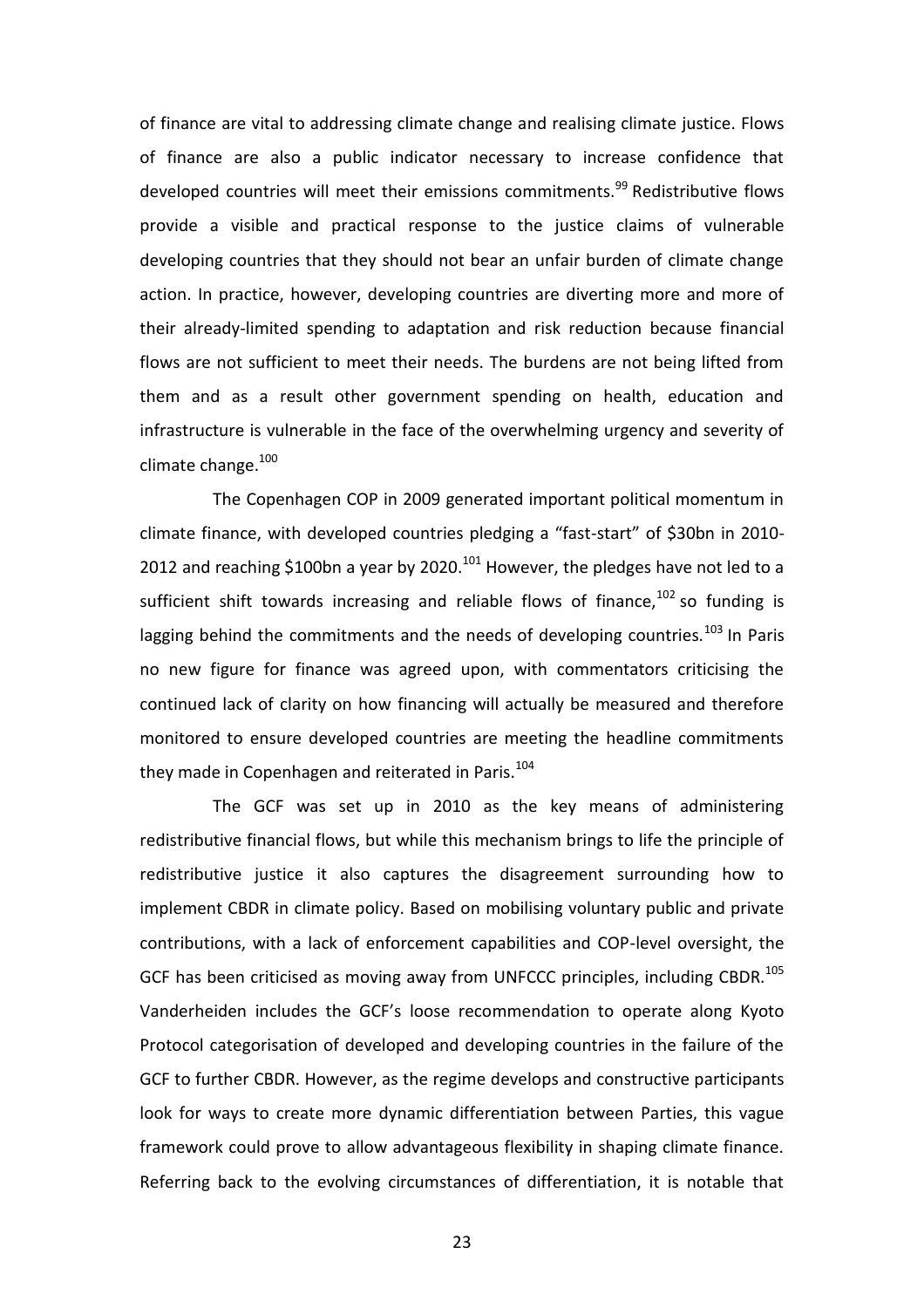of finance are vital to addressing climate change and realising climate justice. Flows of finance are also a public indicator necessary to increase confidence that developed countries will meet their emissions commitments.<sup>99</sup> Redistributive flows provide a visible and practical response to the justice claims of vulnerable developing countries that they should not bear an unfair burden of climate change action. In practice, however, developing countries are diverting more and more of their already-limited spending to adaptation and risk reduction because financial flows are not sufficient to meet their needs. The burdens are not being lifted from them and as a result other government spending on health, education and infrastructure is vulnerable in the face of the overwhelming urgency and severity of climate change. $100$ 

The Copenhagen COP in 2009 generated important political momentum in climate finance, with developed countries pledging a "fast-start" of \$30bn in 2010- 2012 and reaching \$100bn a year by 2020.<sup>101</sup> However, the pledges have not led to a sufficient shift towards increasing and reliable flows of finance,  $102$  so funding is lagging behind the commitments and the needs of developing countries.<sup>103</sup> In Paris no new figure for finance was agreed upon, with commentators criticising the continued lack of clarity on how financing will actually be measured and therefore monitored to ensure developed countries are meeting the headline commitments they made in Copenhagen and reiterated in Paris.<sup>104</sup>

The GCF was set up in 2010 as the key means of administering redistributive financial flows, but while this mechanism brings to life the principle of redistributive justice it also captures the disagreement surrounding how to implement CBDR in climate policy. Based on mobilising voluntary public and private contributions, with a lack of enforcement capabilities and COP-level oversight, the GCF has been criticised as moving away from UNFCCC principles, including CBDR.<sup>105</sup> Vanderheiden includes the GCF's loose recommendation to operate along Kyoto Protocol categorisation of developed and developing countries in the failure of the GCF to further CBDR. However, as the regime develops and constructive participants look for ways to create more dynamic differentiation between Parties, this vague framework could prove to allow advantageous flexibility in shaping climate finance. Referring back to the evolving circumstances of differentiation, it is notable that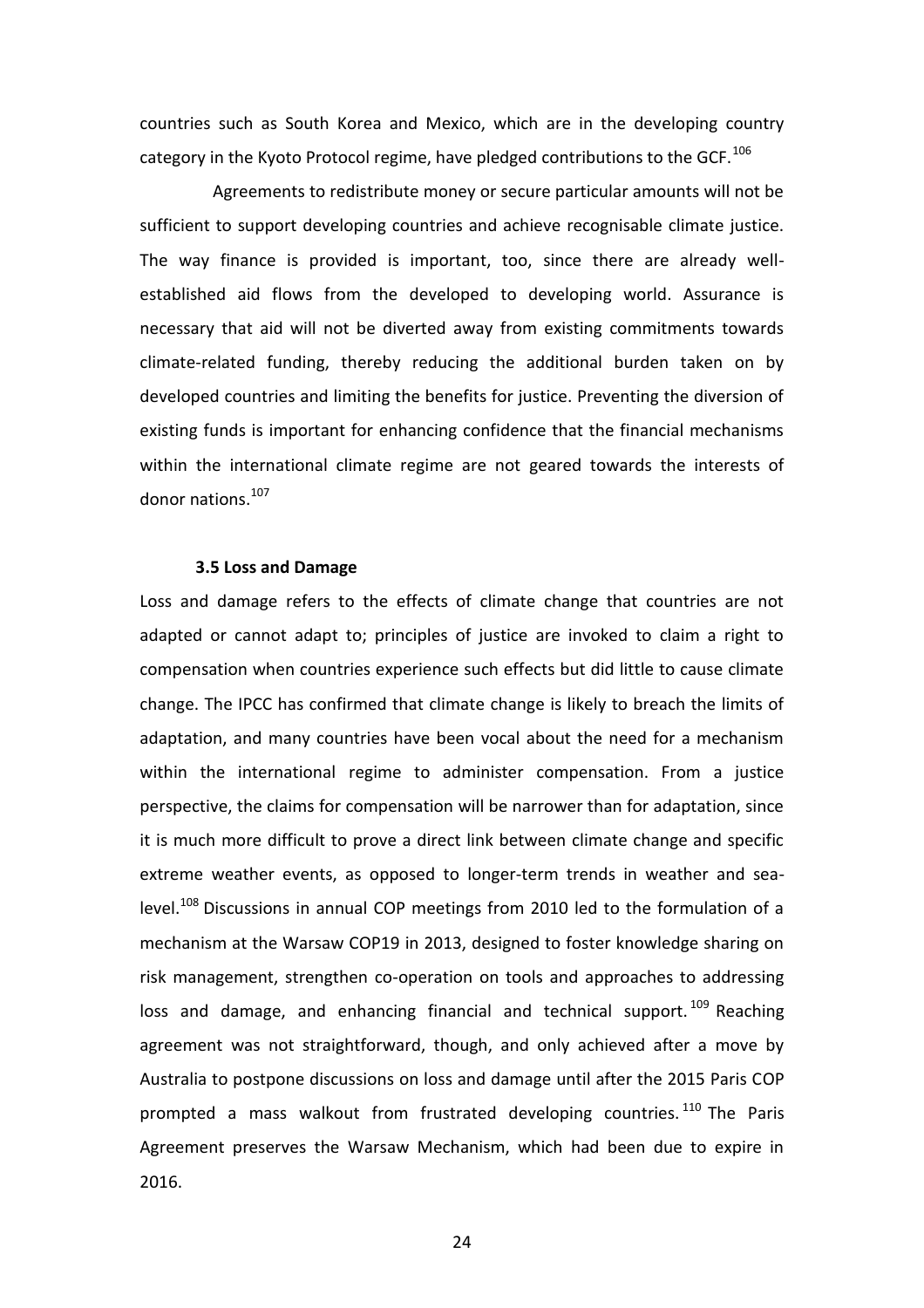countries such as South Korea and Mexico, which are in the developing country category in the Kyoto Protocol regime, have pledged contributions to the GCF. $^{106}$ 

Agreements to redistribute money or secure particular amounts will not be sufficient to support developing countries and achieve recognisable climate justice. The way finance is provided is important, too, since there are already wellestablished aid flows from the developed to developing world. Assurance is necessary that aid will not be diverted away from existing commitments towards climate-related funding, thereby reducing the additional burden taken on by developed countries and limiting the benefits for justice. Preventing the diversion of existing funds is important for enhancing confidence that the financial mechanisms within the international climate regime are not geared towards the interests of donor nations.<sup>107</sup>

#### **3.5 Loss and Damage**

Loss and damage refers to the effects of climate change that countries are not adapted or cannot adapt to; principles of justice are invoked to claim a right to compensation when countries experience such effects but did little to cause climate change. The IPCC has confirmed that climate change is likely to breach the limits of adaptation, and many countries have been vocal about the need for a mechanism within the international regime to administer compensation. From a justice perspective, the claims for compensation will be narrower than for adaptation, since it is much more difficult to prove a direct link between climate change and specific extreme weather events, as opposed to longer-term trends in weather and sealevel.<sup>108</sup> Discussions in annual COP meetings from 2010 led to the formulation of a mechanism at the Warsaw COP19 in 2013, designed to foster knowledge sharing on risk management, strengthen co-operation on tools and approaches to addressing loss and damage, and enhancing financial and technical support.<sup>109</sup> Reaching agreement was not straightforward, though, and only achieved after a move by Australia to postpone discussions on loss and damage until after the 2015 Paris COP prompted a mass walkout from frustrated developing countries.<sup>110</sup> The Paris Agreement preserves the Warsaw Mechanism, which had been due to expire in 2016.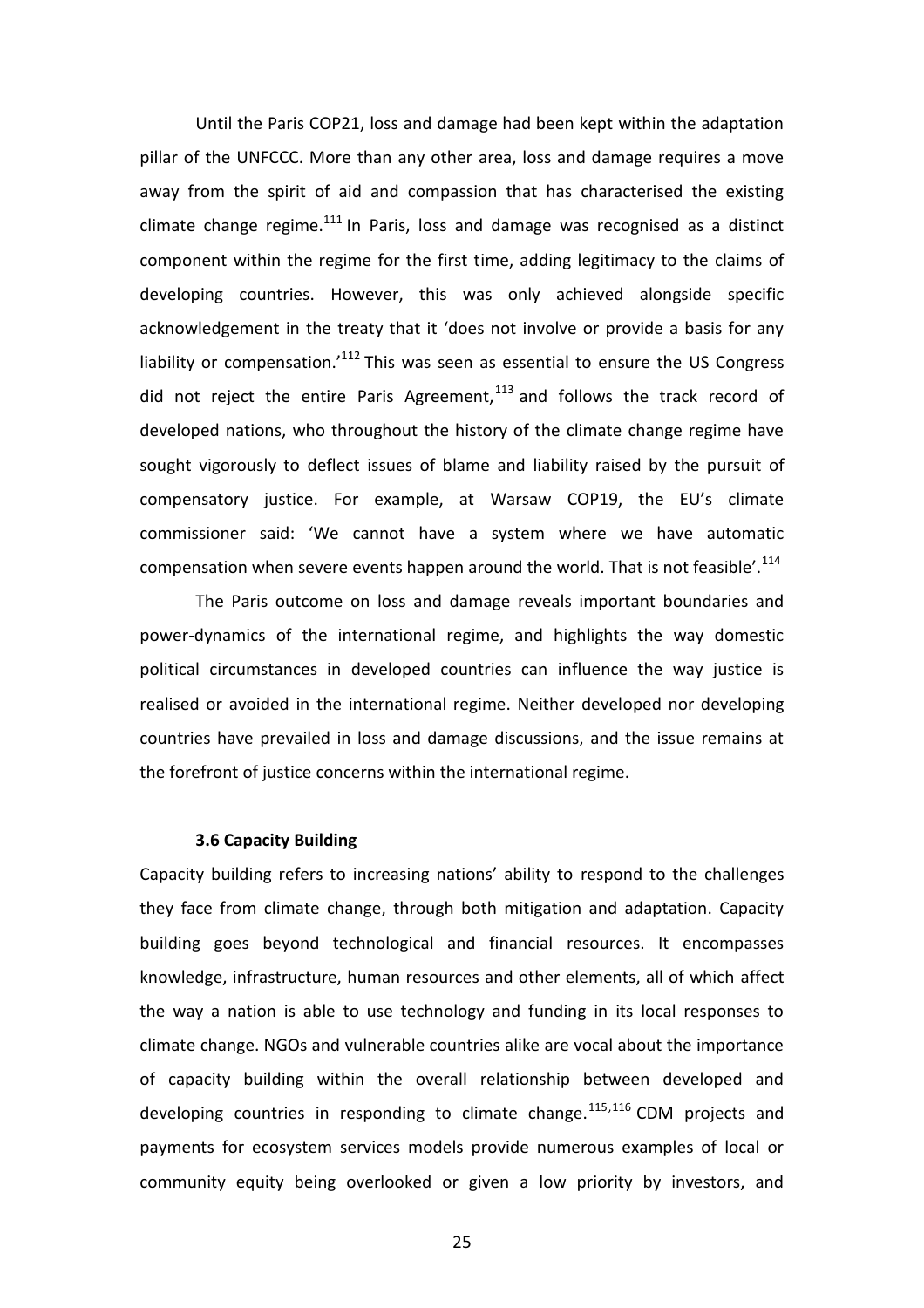Until the Paris COP21, loss and damage had been kept within the adaptation pillar of the UNFCCC. More than any other area, loss and damage requires a move away from the spirit of aid and compassion that has characterised the existing climate change regime. $111$  In Paris, loss and damage was recognised as a distinct component within the regime for the first time, adding legitimacy to the claims of developing countries. However, this was only achieved alongside specific acknowledgement in the treaty that it 'does not involve or provide a basis for any liability or compensation.<sup> $112$ </sup> This was seen as essential to ensure the US Congress did not reject the entire Paris Agreement, $113$  and follows the track record of developed nations, who throughout the history of the climate change regime have sought vigorously to deflect issues of blame and liability raised by the pursuit of compensatory justice. For example, at Warsaw COP19, the EU's climate commissioner said: 'We cannot have a system where we have automatic compensation when severe events happen around the world. That is not feasible'.<sup>114</sup>

The Paris outcome on loss and damage reveals important boundaries and power-dynamics of the international regime, and highlights the way domestic political circumstances in developed countries can influence the way justice is realised or avoided in the international regime. Neither developed nor developing countries have prevailed in loss and damage discussions, and the issue remains at the forefront of justice concerns within the international regime.

#### **3.6 Capacity Building**

Capacity building refers to increasing nations' ability to respond to the challenges they face from climate change, through both mitigation and adaptation. Capacity building goes beyond technological and financial resources. It encompasses knowledge, infrastructure, human resources and other elements, all of which affect the way a nation is able to use technology and funding in its local responses to climate change. NGOs and vulnerable countries alike are vocal about the importance of capacity building within the overall relationship between developed and developing countries in responding to climate change. $115,116$  CDM projects and payments for ecosystem services models provide numerous examples of local or community equity being overlooked or given a low priority by investors, and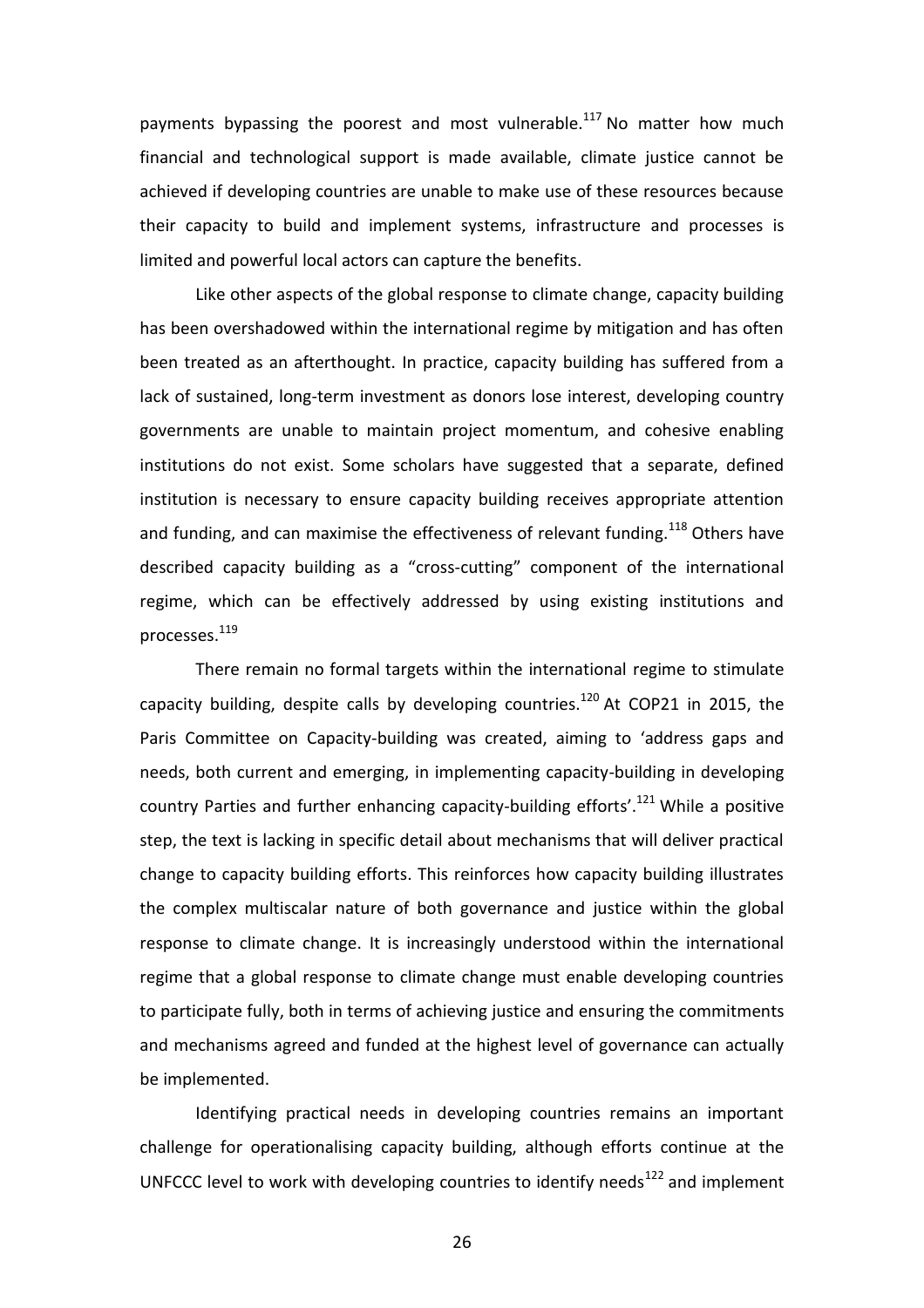payments bypassing the poorest and most vulnerable.<sup>117</sup> No matter how much financial and technological support is made available, climate justice cannot be achieved if developing countries are unable to make use of these resources because their capacity to build and implement systems, infrastructure and processes is limited and powerful local actors can capture the benefits.

Like other aspects of the global response to climate change, capacity building has been overshadowed within the international regime by mitigation and has often been treated as an afterthought. In practice, capacity building has suffered from a lack of sustained, long-term investment as donors lose interest, developing country governments are unable to maintain project momentum, and cohesive enabling institutions do not exist. Some scholars have suggested that a separate, defined institution is necessary to ensure capacity building receives appropriate attention and funding, and can maximise the effectiveness of relevant funding.<sup>118</sup> Others have described capacity building as a "cross-cutting" component of the international regime, which can be effectively addressed by using existing institutions and processes.<sup>119</sup>

There remain no formal targets within the international regime to stimulate capacity building, despite calls by developing countries.<sup>120</sup> At COP21 in 2015, the Paris Committee on Capacity-building was created, aiming to 'address gaps and needs, both current and emerging, in implementing capacity-building in developing country Parties and further enhancing capacity-building efforts'.<sup>121</sup> While a positive step, the text is lacking in specific detail about mechanisms that will deliver practical change to capacity building efforts. This reinforces how capacity building illustrates the complex multiscalar nature of both governance and justice within the global response to climate change. It is increasingly understood within the international regime that a global response to climate change must enable developing countries to participate fully, both in terms of achieving justice and ensuring the commitments and mechanisms agreed and funded at the highest level of governance can actually be implemented.

Identifying practical needs in developing countries remains an important challenge for operationalising capacity building, although efforts continue at the UNFCCC level to work with developing countries to identify needs $^{122}$  and implement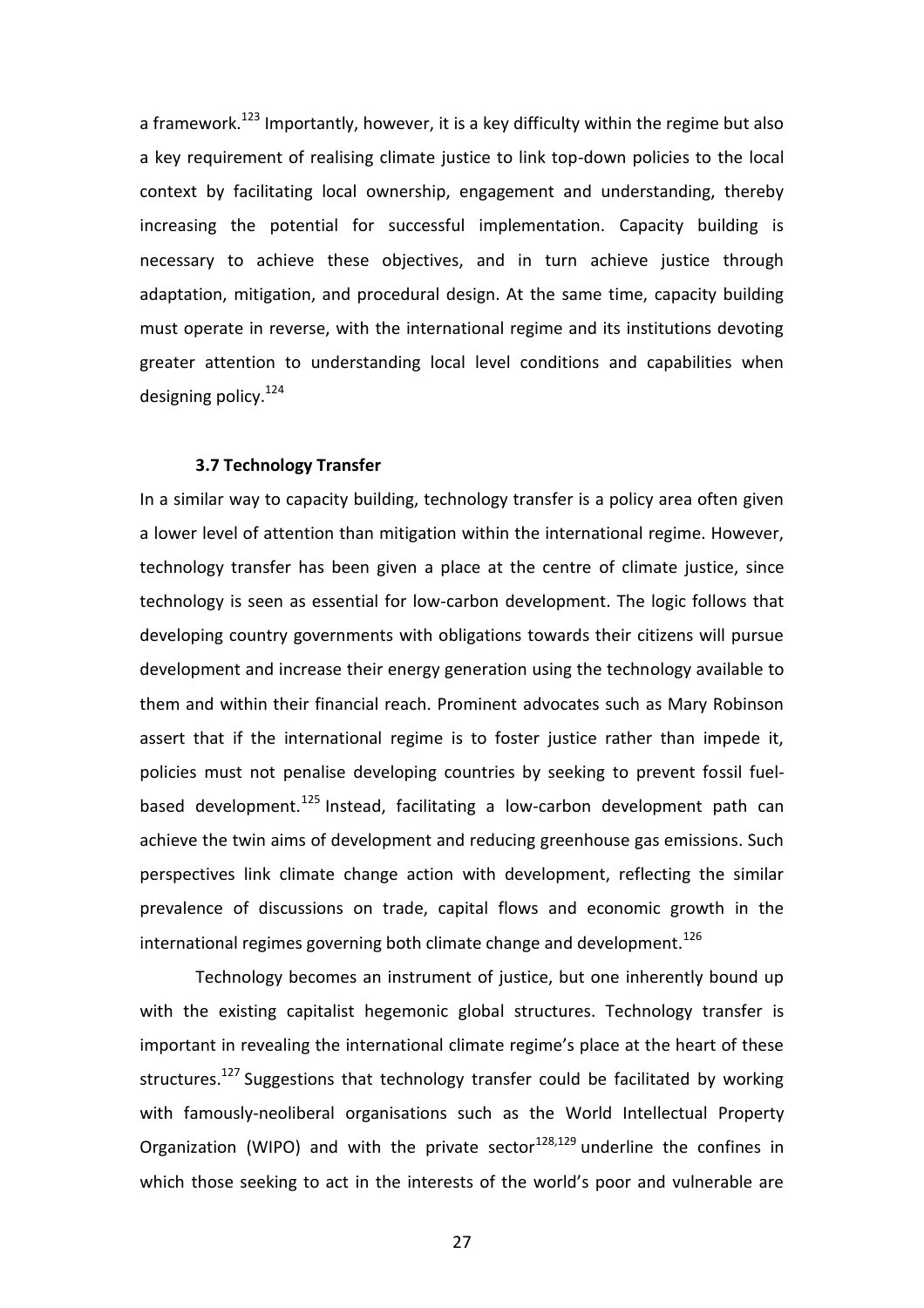a framework.<sup>123</sup> Importantly, however, it is a key difficulty within the regime but also a key requirement of realising climate justice to link top-down policies to the local context by facilitating local ownership, engagement and understanding, thereby increasing the potential for successful implementation. Capacity building is necessary to achieve these objectives, and in turn achieve justice through adaptation, mitigation, and procedural design. At the same time, capacity building must operate in reverse, with the international regime and its institutions devoting greater attention to understanding local level conditions and capabilities when designing policy.<sup>124</sup>

#### **3.7 Technology Transfer**

In a similar way to capacity building, technology transfer is a policy area often given a lower level of attention than mitigation within the international regime. However, technology transfer has been given a place at the centre of climate justice, since technology is seen as essential for low-carbon development. The logic follows that developing country governments with obligations towards their citizens will pursue development and increase their energy generation using the technology available to them and within their financial reach. Prominent advocates such as Mary Robinson assert that if the international regime is to foster justice rather than impede it, policies must not penalise developing countries by seeking to prevent fossil fuelbased development.<sup>125</sup> Instead, facilitating a low-carbon development path can achieve the twin aims of development and reducing greenhouse gas emissions. Such perspectives link climate change action with development, reflecting the similar prevalence of discussions on trade, capital flows and economic growth in the international regimes governing both climate change and development.<sup>126</sup>

Technology becomes an instrument of justice, but one inherently bound up with the existing capitalist hegemonic global structures. Technology transfer is important in revealing the international climate regime's place at the heart of these structures.<sup>127</sup> Suggestions that technology transfer could be facilitated by working with famously-neoliberal organisations such as the World Intellectual Property Organization (WIPO) and with the private sector  $128,129$  underline the confines in which those seeking to act in the interests of the world's poor and vulnerable are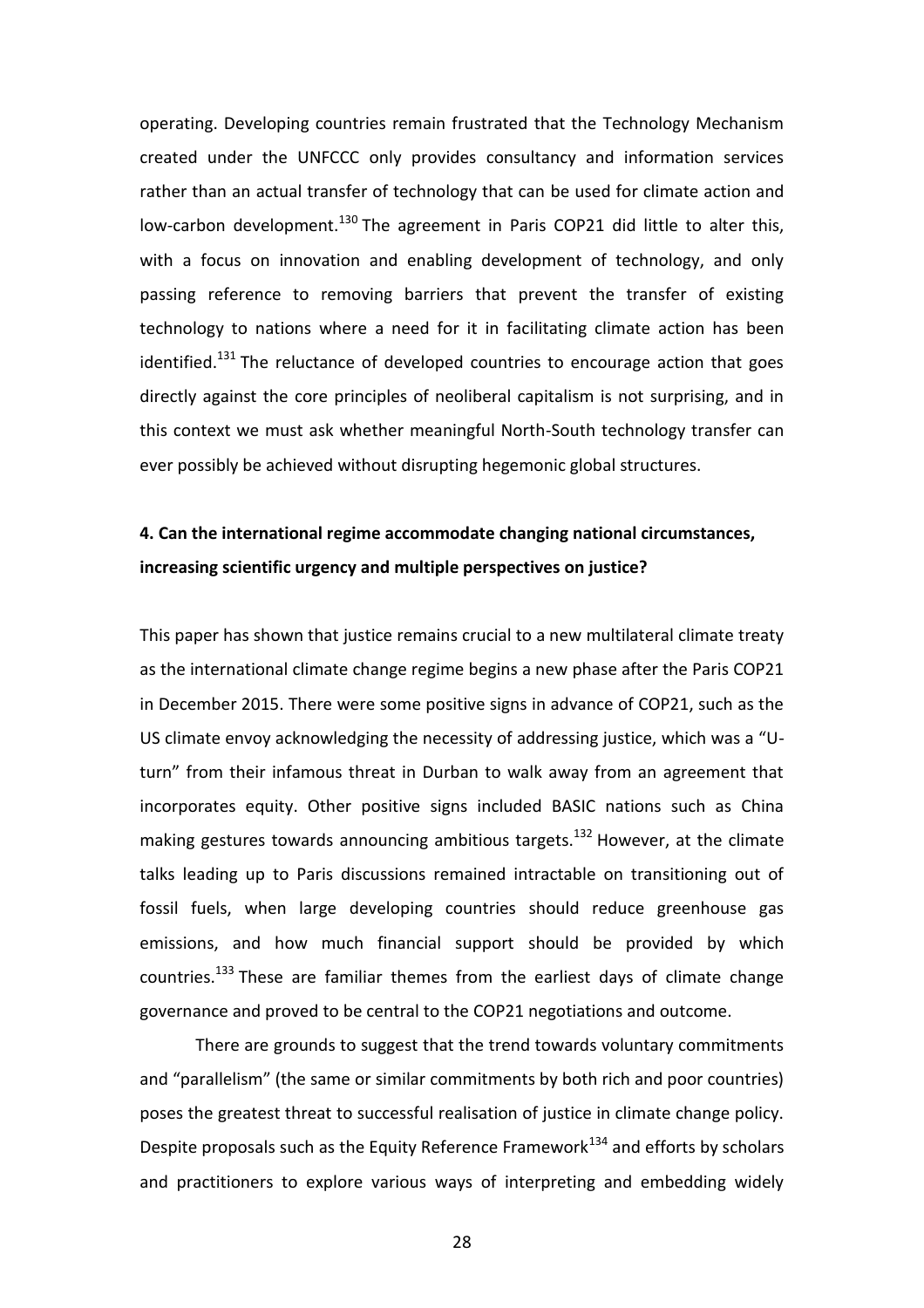operating. Developing countries remain frustrated that the Technology Mechanism created under the UNFCCC only provides consultancy and information services rather than an actual transfer of technology that can be used for climate action and low-carbon development.<sup>130</sup> The agreement in Paris COP21 did little to alter this, with a focus on innovation and enabling development of technology, and only passing reference to removing barriers that prevent the transfer of existing technology to nations where a need for it in facilitating climate action has been identified.<sup>131</sup> The reluctance of developed countries to encourage action that goes directly against the core principles of neoliberal capitalism is not surprising, and in this context we must ask whether meaningful North-South technology transfer can ever possibly be achieved without disrupting hegemonic global structures.

### **4. Can the international regime accommodate changing national circumstances, increasing scientific urgency and multiple perspectives on justice?**

This paper has shown that justice remains crucial to a new multilateral climate treaty as the international climate change regime begins a new phase after the Paris COP21 in December 2015. There were some positive signs in advance of COP21, such as the US climate envoy acknowledging the necessity of addressing justice, which was a "Uturn" from their infamous threat in Durban to walk away from an agreement that incorporates equity. Other positive signs included BASIC nations such as China making gestures towards announcing ambitious targets.<sup>132</sup> However, at the climate talks leading up to Paris discussions remained intractable on transitioning out of fossil fuels, when large developing countries should reduce greenhouse gas emissions, and how much financial support should be provided by which countries.<sup>133</sup> These are familiar themes from the earliest days of climate change governance and proved to be central to the COP21 negotiations and outcome.

There are grounds to suggest that the trend towards voluntary commitments and "parallelism" (the same or similar commitments by both rich and poor countries) poses the greatest threat to successful realisation of justice in climate change policy. Despite proposals such as the Equity Reference Framework $^{134}$  and efforts by scholars and practitioners to explore various ways of interpreting and embedding widely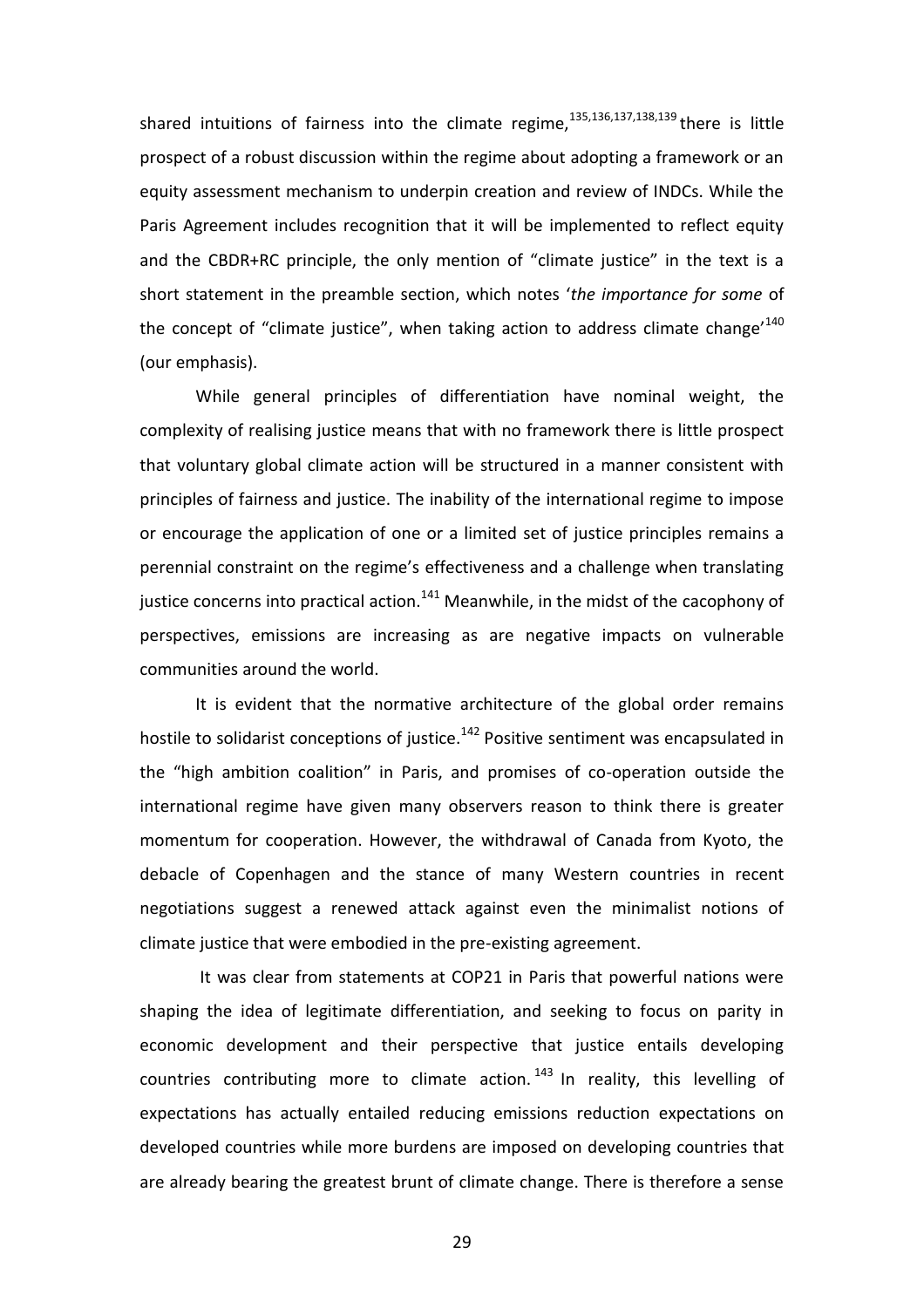shared intuitions of fairness into the climate regime, $135,136,137,138,139$  there is little prospect of a robust discussion within the regime about adopting a framework or an equity assessment mechanism to underpin creation and review of INDCs. While the Paris Agreement includes recognition that it will be implemented to reflect equity and the CBDR+RC principle, the only mention of "climate justice" in the text is a short statement in the preamble section, which notes '*the importance for some* of the concept of "climate justice", when taking action to address climate change<sup> $140$ </sup> (our emphasis).

While general principles of differentiation have nominal weight, the complexity of realising justice means that with no framework there is little prospect that voluntary global climate action will be structured in a manner consistent with principles of fairness and justice. The inability of the international regime to impose or encourage the application of one or a limited set of justice principles remains a perennial constraint on the regime's effectiveness and a challenge when translating justice concerns into practical action.<sup>141</sup> Meanwhile, in the midst of the cacophony of perspectives, emissions are increasing as are negative impacts on vulnerable communities around the world.

It is evident that the normative architecture of the global order remains hostile to solidarist conceptions of justice.<sup>142</sup> Positive sentiment was encapsulated in the "high ambition coalition" in Paris, and promises of co-operation outside the international regime have given many observers reason to think there is greater momentum for cooperation. However, the withdrawal of Canada from Kyoto, the debacle of Copenhagen and the stance of many Western countries in recent negotiations suggest a renewed attack against even the minimalist notions of climate justice that were embodied in the pre-existing agreement.

It was clear from statements at COP21 in Paris that powerful nations were shaping the idea of legitimate differentiation, and seeking to focus on parity in economic development and their perspective that justice entails developing countries contributing more to climate action.<sup>143</sup> In reality, this levelling of expectations has actually entailed reducing emissions reduction expectations on developed countries while more burdens are imposed on developing countries that are already bearing the greatest brunt of climate change. There is therefore a sense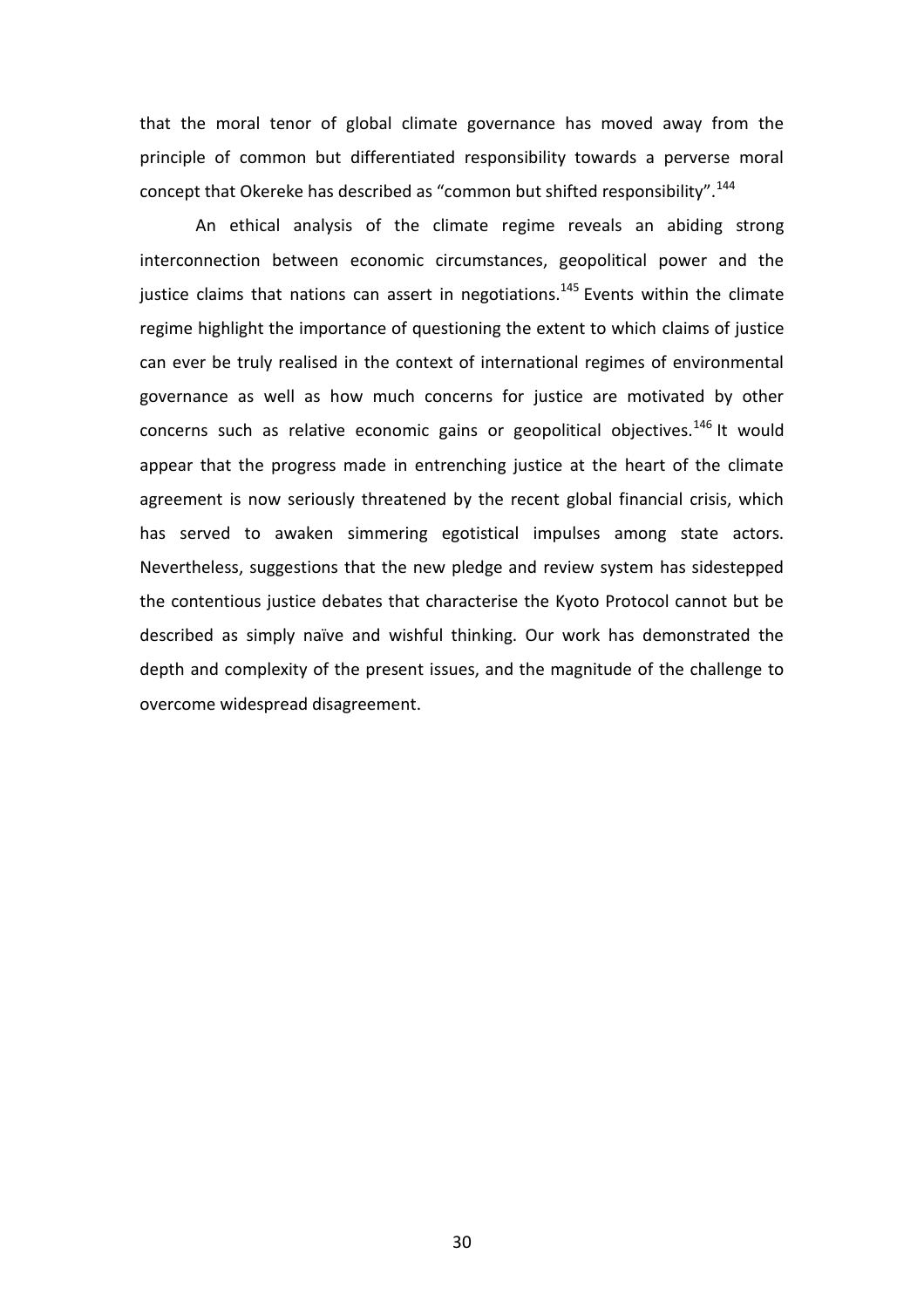that the moral tenor of global climate governance has moved away from the principle of common but differentiated responsibility towards a perverse moral concept that Okereke has described as "common but shifted responsibility".<sup>144</sup>

An ethical analysis of the climate regime reveals an abiding strong interconnection between economic circumstances, geopolitical power and the justice claims that nations can assert in negotiations.<sup>145</sup> Events within the climate regime highlight the importance of questioning the extent to which claims of justice can ever be truly realised in the context of international regimes of environmental governance as well as how much concerns for justice are motivated by other concerns such as relative economic gains or geopolitical objectives.<sup>146</sup> It would appear that the progress made in entrenching justice at the heart of the climate agreement is now seriously threatened by the recent global financial crisis, which has served to awaken simmering egotistical impulses among state actors. Nevertheless, suggestions that the new pledge and review system has sidestepped the contentious justice debates that characterise the Kyoto Protocol cannot but be described as simply naïve and wishful thinking. Our work has demonstrated the depth and complexity of the present issues, and the magnitude of the challenge to overcome widespread disagreement.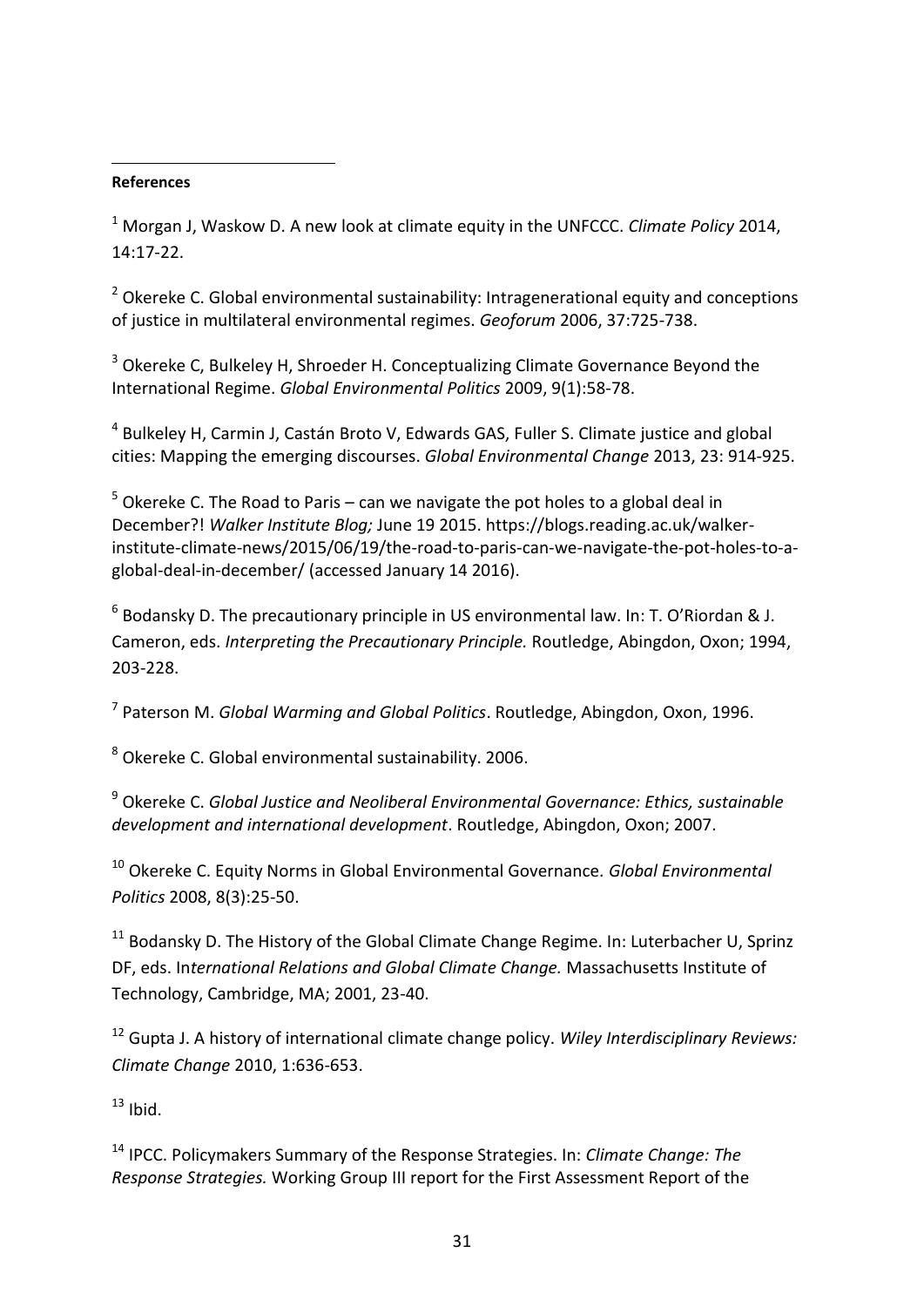#### **References**

1

<sup>1</sup> Morgan J, Waskow D. A new look at climate equity in the UNFCCC. *Climate Policy* 2014, 14:17-22.

 $2$  Okereke C. Global environmental sustainability: Intragenerational equity and conceptions of justice in multilateral environmental regimes. *Geoforum* 2006, 37:725-738.

<sup>3</sup> Okereke C. Bulkeley H. Shroeder H. Conceptualizing Climate Governance Beyond the International Regime. *Global Environmental Politics* 2009, 9(1):58-78.

<sup>4</sup> Bulkeley H, Carmin J, Castán Broto V, Edwards GAS, Fuller S. Climate justice and global cities: Mapping the emerging discourses. *Global Environmental Change* 2013, 23: 914-925.

 $5$  Okereke C. The Road to Paris – can we navigate the pot holes to a global deal in December?! *Walker Institute Blog;* June 19 2015. https://blogs.reading.ac.uk/walkerinstitute-climate-news/2015/06/19/the-road-to-paris-can-we-navigate-the-pot-holes-to-aglobal-deal-in-december/ (accessed January 14 2016).

<sup>6</sup> Bodansky D. The precautionary principle in US environmental law. In: T. O'Riordan & J. Cameron, eds. *Interpreting the Precautionary Principle.* Routledge, Abingdon, Oxon; 1994, 203-228.

7 Paterson M. *Global Warming and Global Politics*. Routledge, Abingdon, Oxon, 1996.

<sup>8</sup> Okereke C. Global environmental sustainability. 2006.

<sup>9</sup> Okereke C. *Global Justice and Neoliberal Environmental Governance: Ethics, sustainable development and international development*. Routledge, Abingdon, Oxon; 2007.

<sup>10</sup> Okereke C. Equity Norms in Global Environmental Governance. *Global Environmental Politics* 2008, 8(3):25-50.

 $11$  Bodansky D. The History of the Global Climate Change Regime. In: Luterbacher U, Sprinz DF, eds. In*ternational Relations and Global Climate Change.* Massachusetts Institute of Technology, Cambridge, MA; 2001, 23-40.

<sup>12</sup> Gupta J. A history of international climate change policy. *Wiley Interdisciplinary Reviews: Climate Change* 2010, 1:636-653.

 $13$  Ibid.

<sup>14</sup> IPCC. Policymakers Summary of the Response Strategies. In: *Climate Change: The Response Strategies.* Working Group III report for the First Assessment Report of the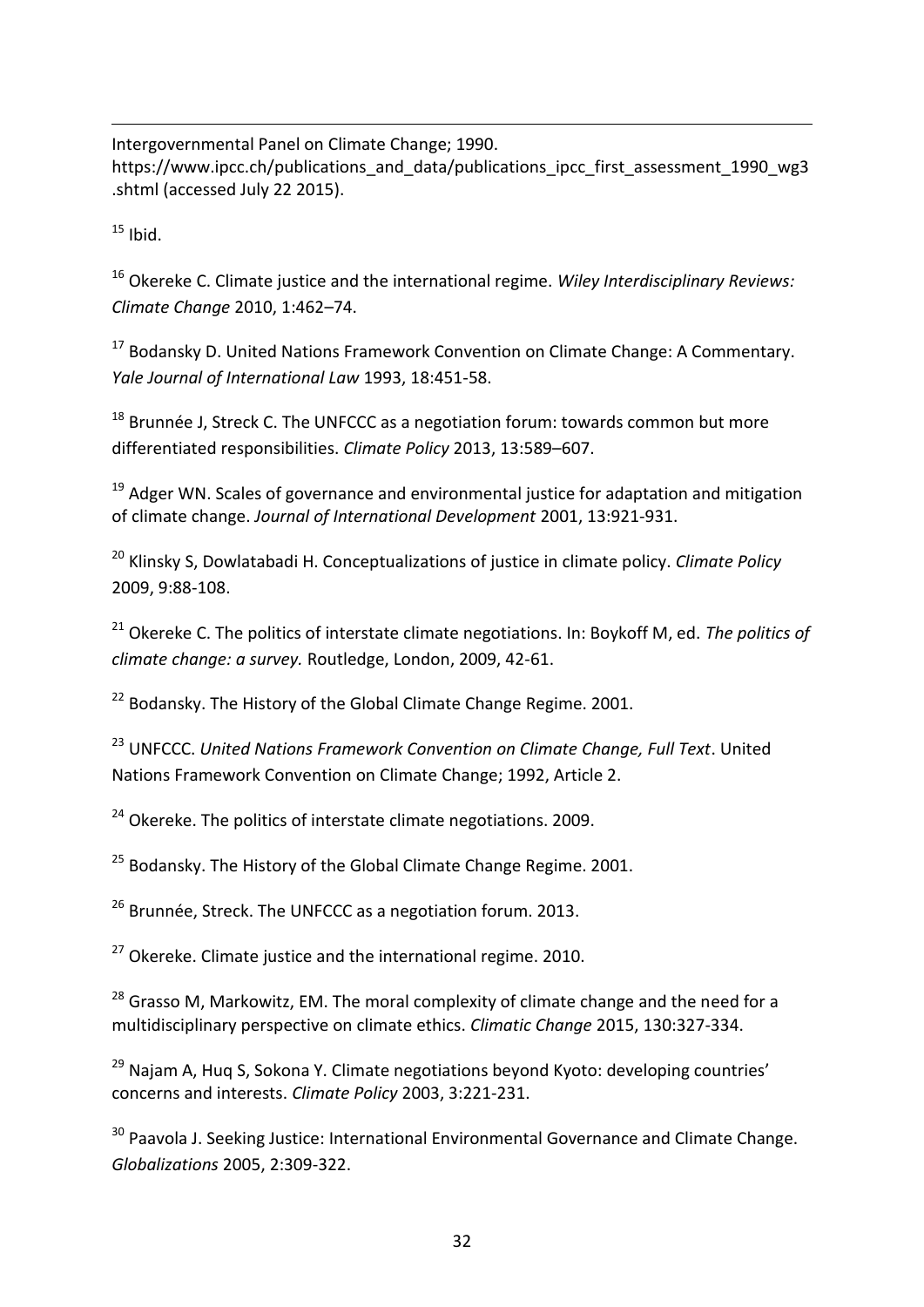Intergovernmental Panel on Climate Change; 1990. https://www.ipcc.ch/publications\_and\_data/publications\_ipcc\_first\_assessment\_1990\_wg3 .shtml (accessed July 22 2015).

 $15$  Ihid.

1

<sup>16</sup> Okereke C. Climate justice and the international regime. *Wiley Interdisciplinary Reviews: Climate Change* 2010, 1:462–74.

<sup>17</sup> Bodansky D. United Nations Framework Convention on Climate Change: A Commentary. *Yale Journal of International Law* 1993, 18:451-58.

 $18$  Brunnée J, Streck C. The UNFCCC as a negotiation forum: towards common but more differentiated responsibilities. *Climate Policy* 2013, 13:589–607.

 $19$  Adger WN. Scales of governance and environmental justice for adaptation and mitigation of climate change. *Journal of International Development* 2001, 13:921-931.

<sup>20</sup> Klinsky S, Dowlatabadi H. Conceptualizations of justice in climate policy. *Climate Policy* 2009, 9:88-108.

<sup>21</sup> Okereke C. The politics of interstate climate negotiations. In: Boykoff M, ed. *The politics of climate change: a survey.* Routledge, London, 2009, 42-61.

<sup>22</sup> Bodansky. The History of the Global Climate Change Regime. 2001.

<sup>23</sup> UNFCCC. *United Nations Framework Convention on Climate Change, Full Text*. United Nations Framework Convention on Climate Change; 1992, Article 2.

 $24$  Okereke. The politics of interstate climate negotiations. 2009.

 $^{25}$  Bodansky. The History of the Global Climate Change Regime. 2001.

 $26$  Brunnée, Streck. The UNFCCC as a negotiation forum. 2013.

 $27$  Okereke. Climate justice and the international regime. 2010.

<sup>28</sup> Grasso M, Markowitz, EM. The moral complexity of climate change and the need for a multidisciplinary perspective on climate ethics. *Climatic Change* 2015, 130:327-334.

<sup>29</sup> Najam A, Huq S, Sokona Y. Climate negotiations beyond Kyoto: developing countries' concerns and interests. *Climate Policy* 2003, 3:221-231.

<sup>30</sup> Paavola J. Seeking Justice: International Environmental Governance and Climate Change. *Globalizations* 2005, 2:309-322.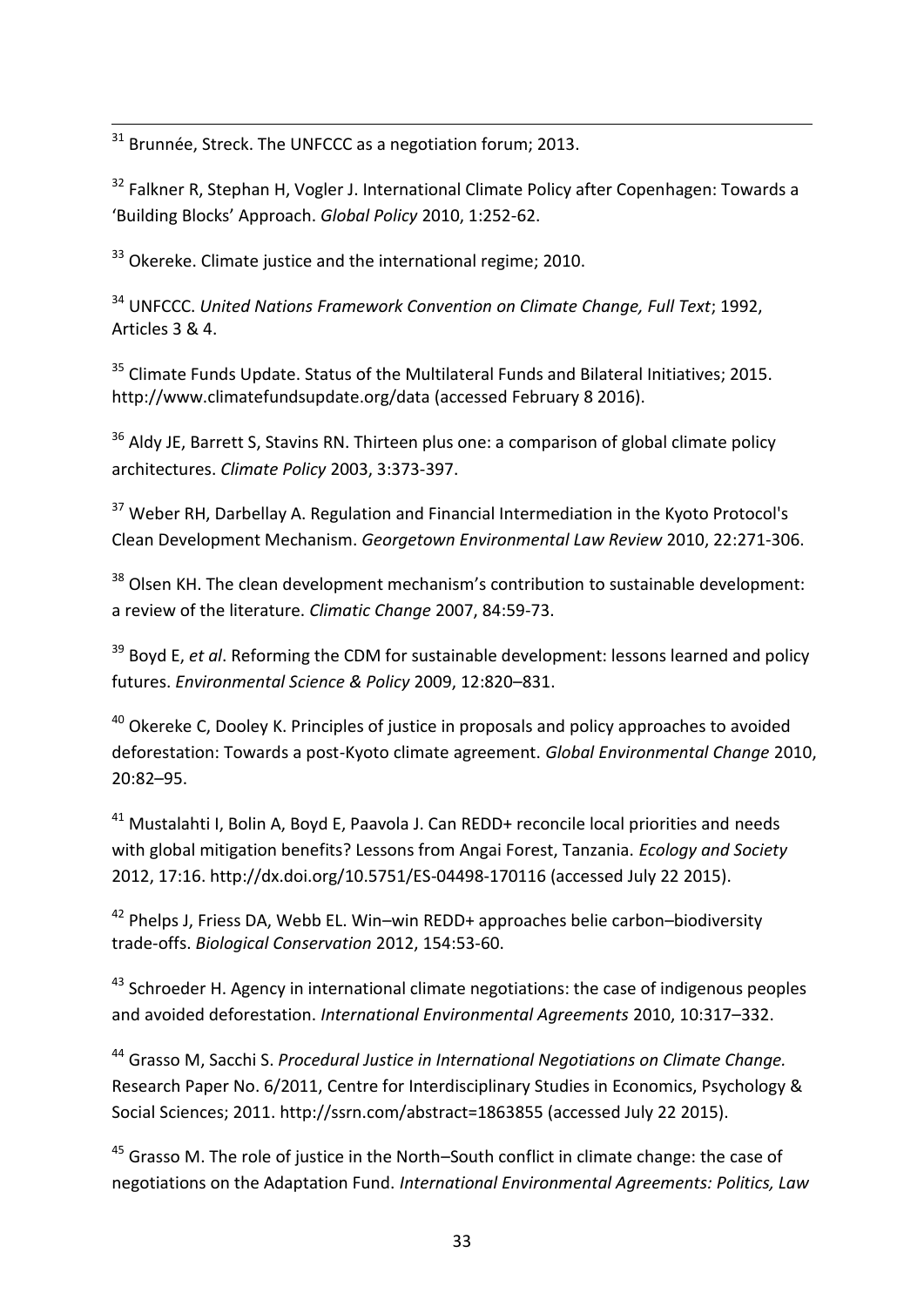1  $31$  Brunnée, Streck. The UNFCCC as a negotiation forum; 2013.

<sup>32</sup> Falkner R, Stephan H, Vogler J. International Climate Policy after Copenhagen: Towards a 'Building Blocks' Approach. *Global Policy* 2010, 1:252-62.

 $33$  Okereke. Climate justice and the international regime; 2010.

<sup>34</sup> UNFCCC. *United Nations Framework Convention on Climate Change, Full Text*; 1992, Articles 3 & 4.

<sup>35</sup> Climate Funds Update. Status of the Multilateral Funds and Bilateral Initiatives; 2015. http://www.climatefundsupdate.org/data (accessed February 8 2016).

<sup>36</sup> Aldy JE, Barrett S, Stavins RN. Thirteen plus one: a comparison of global climate policy architectures. *Climate Policy* 2003, 3:373-397.

<sup>37</sup> Weber RH, Darbellay A. Regulation and Financial Intermediation in the Kyoto Protocol's Clean Development Mechanism. *Georgetown Environmental Law Review* 2010, 22:271-306.

<sup>38</sup> Olsen KH. The clean development mechanism's contribution to sustainable development: a review of the literature. *Climatic Change* 2007, 84:59-73.

<sup>39</sup> Boyd E, *et al*. Reforming the CDM for sustainable development: lessons learned and policy futures. *Environmental Science & Policy* 2009, 12:820–831.

 $40$  Okereke C, Dooley K. Principles of justice in proposals and policy approaches to avoided deforestation: Towards a post-Kyoto climate agreement. *Global Environmental Change* 2010, 20:82–95.

<sup>41</sup> Mustalahti I, Bolin A, Boyd E, Paavola J. Can REDD+ reconcile local priorities and needs with global mitigation benefits? Lessons from Angai Forest, Tanzania. *Ecology and Society* 2012, 17:16. http://dx.doi.org/10.5751/ES-04498-170116 (accessed July 22 2015).

 $42$  Phelps J, Friess DA, Webb EL. Win–win REDD+ approaches belie carbon–biodiversity trade-offs. *Biological Conservation* 2012, 154:53-60.

 $43$  Schroeder H. Agency in international climate negotiations: the case of indigenous peoples and avoided deforestation. *International Environmental Agreements* 2010, 10:317–332.

<sup>44</sup> Grasso M, Sacchi S. *Procedural Justice in International Negotiations on Climate Change.*  Research Paper No. 6/2011, Centre for Interdisciplinary Studies in Economics, Psychology & Social Sciences; 2011. http://ssrn.com/abstract=1863855 (accessed July 22 2015).

 $45$  Grasso M. The role of justice in the North–South conflict in climate change: the case of negotiations on the Adaptation Fund. *International Environmental Agreements: Politics, Law*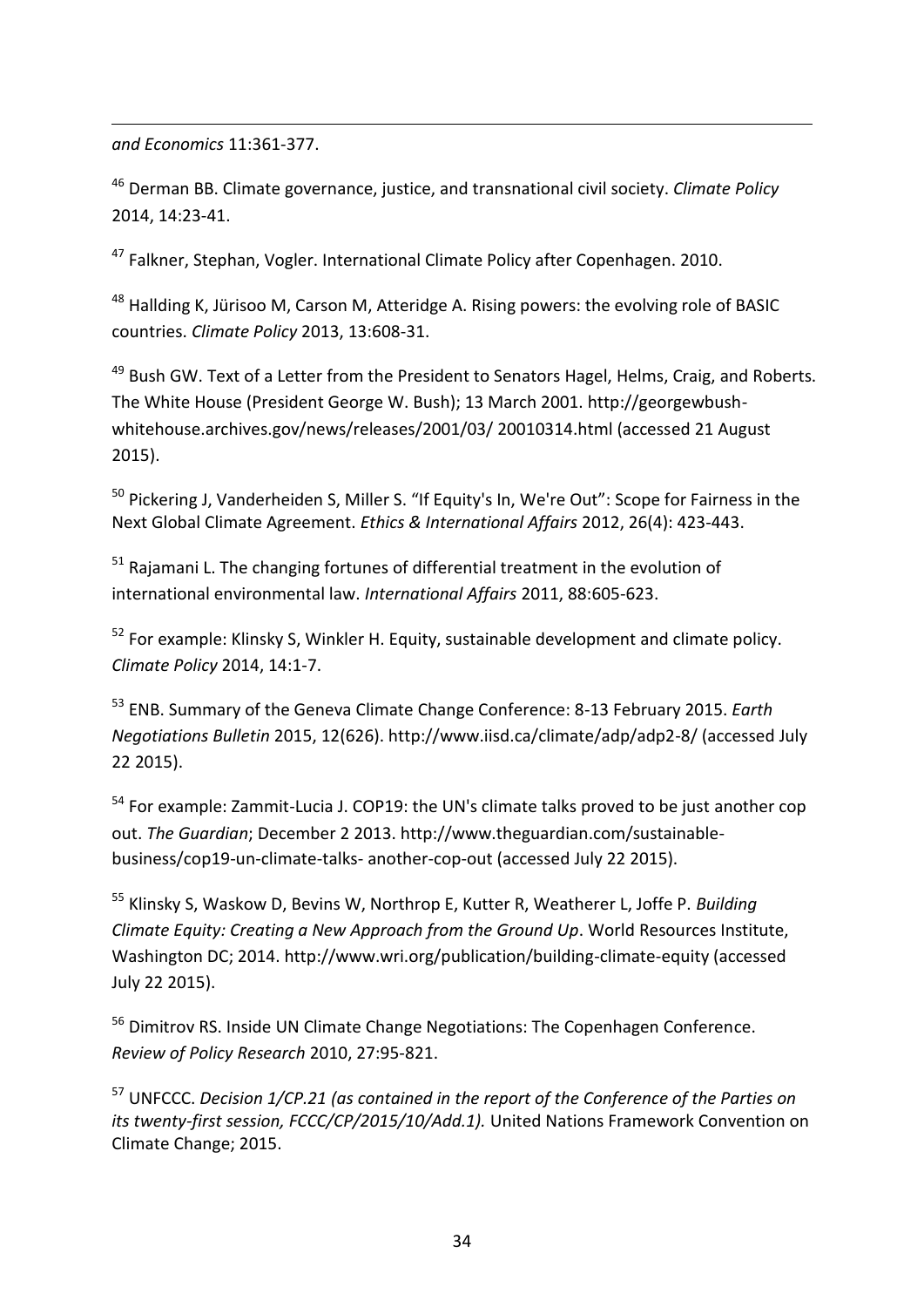*and Economics* 11:361-377.

1

<sup>46</sup> Derman BB. Climate governance, justice, and transnational civil society. *Climate Policy* 2014, 14:23-41.

<sup>47</sup> Falkner, Stephan, Vogler. International Climate Policy after Copenhagen. 2010.

<sup>48</sup> Hallding K, Jürisoo M, Carson M, Atteridge A. Rising powers: the evolving role of BASIC countries. *Climate Policy* 2013, 13:608-31.

<sup>49</sup> Bush GW. Text of a Letter from the President to Senators Hagel, Helms, Craig, and Roberts. The White House (President George W. Bush); 13 March 2001. http://georgewbushwhitehouse.archives.gov/news/releases/2001/03/ 20010314.html (accessed 21 August 2015).

<sup>50</sup> Pickering J, Vanderheiden S, Miller S. "If Equity's In, We're Out": Scope for Fairness in the Next Global Climate Agreement. *Ethics & International Affairs* 2012, 26(4): 423-443.

 $51$  Rajamani L. The changing fortunes of differential treatment in the evolution of international environmental law. *International Affairs* 2011, 88:605-623.

<sup>52</sup> For example: Klinsky S, Winkler H. Equity, sustainable development and climate policy. *Climate Policy* 2014, 14:1-7.

<sup>53</sup> ENB. Summary of the Geneva Climate Change Conference: 8-13 February 2015. *Earth Negotiations Bulletin* 2015, 12(626). http://www.iisd.ca/climate/adp/adp2-8/ (accessed July 22 2015).

<sup>54</sup> For example: Zammit-Lucia J. COP19: the UN's climate talks proved to be just another cop out. *The Guardian*; December 2 2013. http://www.theguardian.com/sustainablebusiness/cop19-un-climate-talks- another-cop-out (accessed July 22 2015).

<sup>55</sup> Klinsky S, Waskow D, Bevins W, Northrop E, Kutter R, Weatherer L, Joffe P. *Building Climate Equity: Creating a New Approach from the Ground Up*. World Resources Institute, Washington DC; 2014. http://www.wri.org/publication/building-climate-equity (accessed July 22 2015).

<sup>56</sup> Dimitrov RS. Inside UN Climate Change Negotiations: The Copenhagen Conference. *Review of Policy Research* 2010, 27:95-821.

<sup>57</sup> UNFCCC. *Decision 1/CP.21 (as contained in the report of the Conference of the Parties on its twenty-first session, FCCC/CP/2015/10/Add.1).* United Nations Framework Convention on Climate Change; 2015.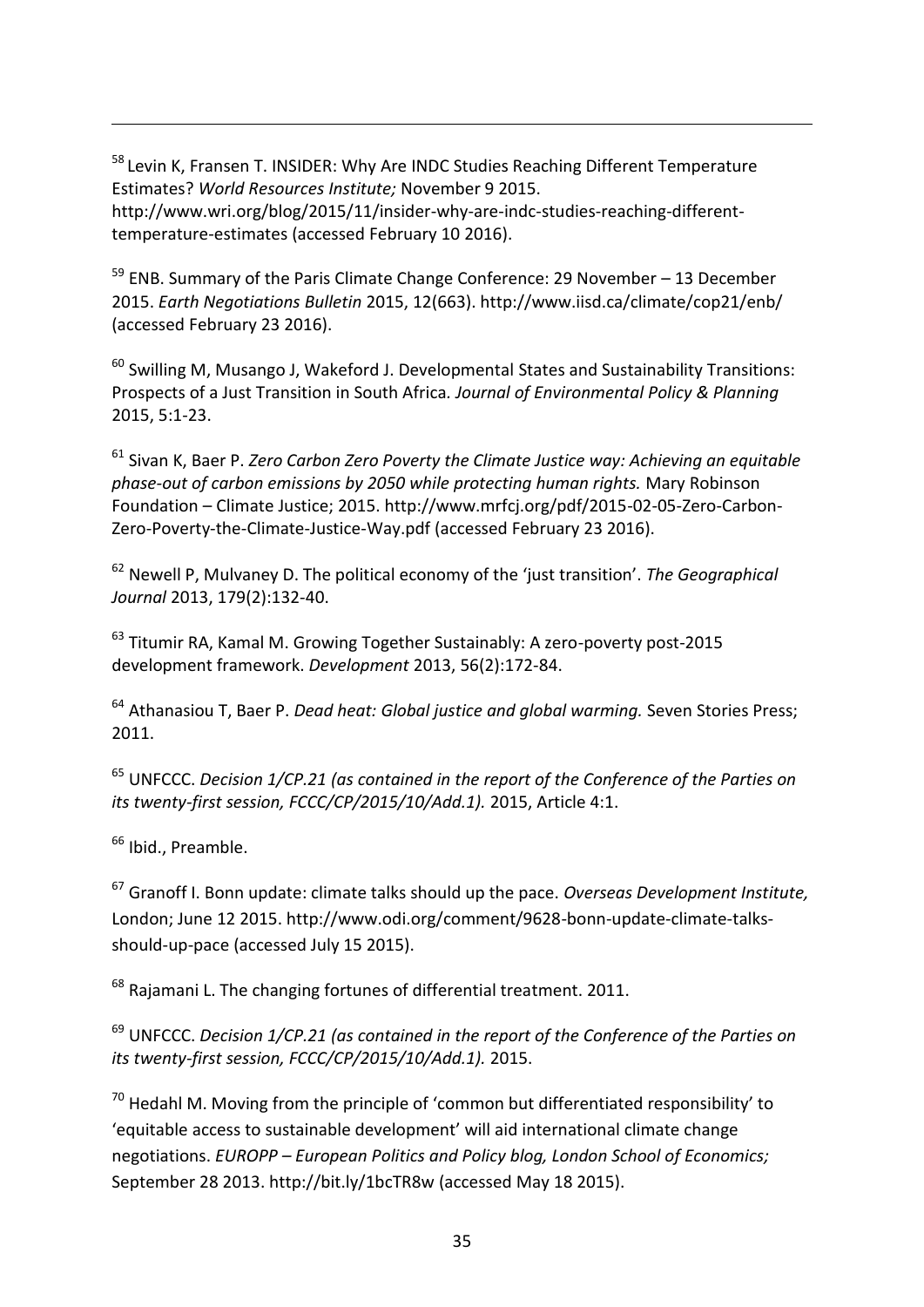<sup>58</sup> Levin K, Fransen T. INSIDER: Why Are INDC Studies Reaching Different Temperature Estimates? *World Resources Institute;* November 9 2015. http://www.wri.org/blog/2015/11/insider-why-are-indc-studies-reaching-differenttemperature-estimates (accessed February 10 2016).

 $59$  ENB. Summary of the Paris Climate Change Conference: 29 November – 13 December 2015. *Earth Negotiations Bulletin* 2015, 12(663). http://www.iisd.ca/climate/cop21/enb/ (accessed February 23 2016).

 $60$  Swilling M, Musango J, Wakeford J. Developmental States and Sustainability Transitions: Prospects of a Just Transition in South Africa*. Journal of Environmental Policy & Planning*  2015, 5:1-23.

<sup>61</sup> Sivan K, Baer P. *Zero Carbon Zero Poverty the Climate Justice way: Achieving an equitable phase-out of carbon emissions by 2050 while protecting human rights.* Mary Robinson Foundation – Climate Justice; 2015. http://www.mrfcj.org/pdf/2015-02-05-Zero-Carbon-Zero-Poverty-the-Climate-Justice-Way.pdf (accessed February 23 2016).

<sup>62</sup> Newell P, Mulvaney D. The political economy of the 'just transition'. *The Geographical Journal* 2013, 179(2):132-40.

<sup>63</sup> Titumir RA, Kamal M. Growing Together Sustainably: A zero-poverty post-2015 development framework. *Development* 2013, 56(2):172-84.

<sup>64</sup> Athanasiou T, Baer P. *Dead heat: Global justice and global warming.* Seven Stories Press; 2011.

<sup>65</sup> UNFCCC. *Decision 1/CP.21 (as contained in the report of the Conference of the Parties on its twenty-first session, FCCC/CP/2015/10/Add.1).* 2015, Article 4:1.

<sup>66</sup> Ibid., Preamble.

1

<sup>67</sup> Granoff I. Bonn update: climate talks should up the pace. *Overseas Development Institute,* London; June 12 2015. http://www.odi.org/comment/9628-bonn-update-climate-talksshould-up-pace (accessed July 15 2015).

 $68$  Rajamani L. The changing fortunes of differential treatment. 2011.

<sup>69</sup> UNFCCC. *Decision 1/CP.21 (as contained in the report of the Conference of the Parties on its twenty-first session, FCCC/CP/2015/10/Add.1).* 2015.

 $70$  Hedahl M. Moving from the principle of 'common but differentiated responsibility' to 'equitable access to sustainable development' will aid international climate change negotiations. *EUROPP – European Politics and Policy blog, London School of Economics;* September 28 2013.<http://bit.ly/1bcTR8w> (accessed May 18 2015).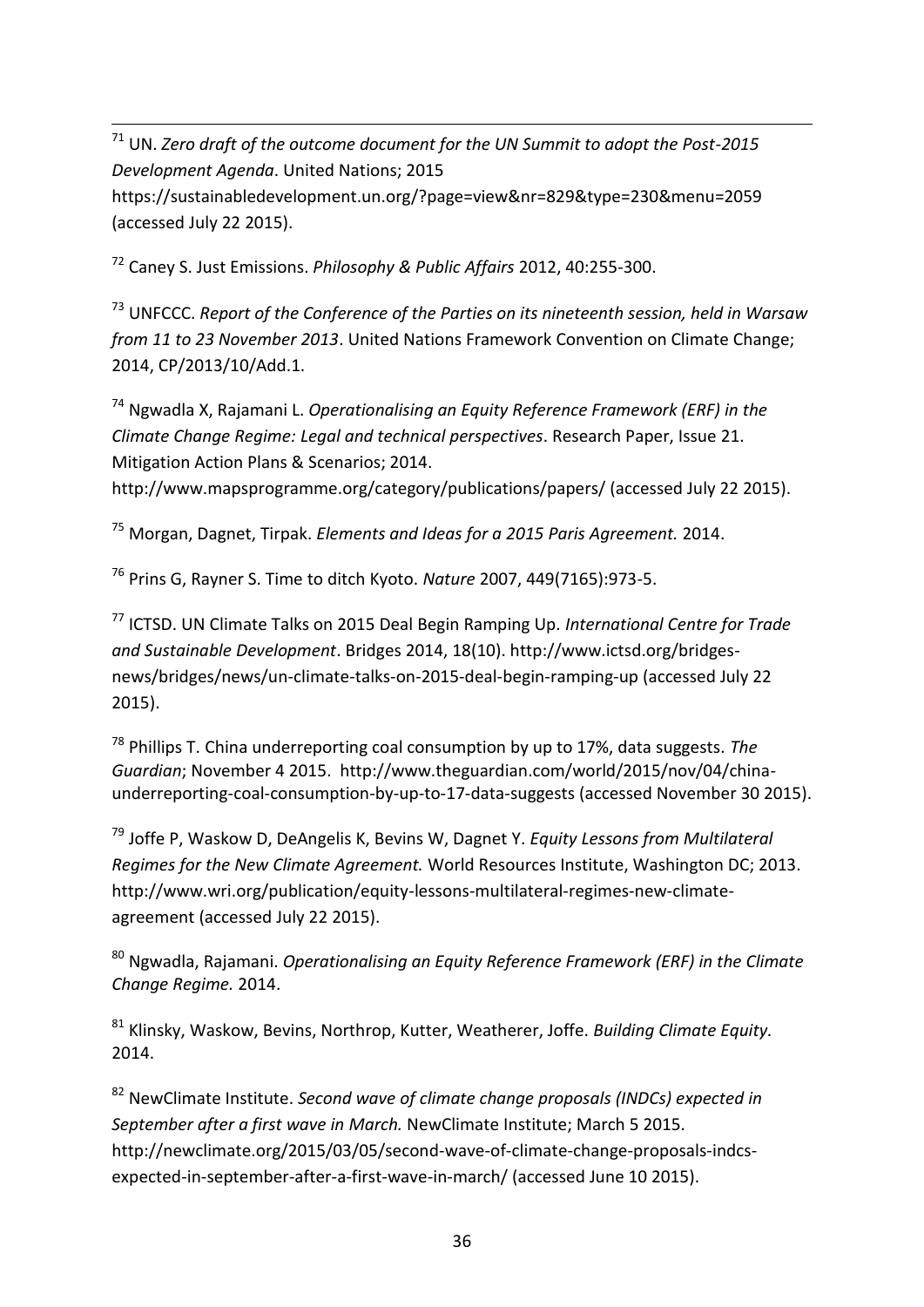1 <sup>71</sup> UN. *Zero draft of the outcome document for the UN Summit to adopt the Post-2015 Development Agenda*. United Nations; 2015 https://sustainabledevelopment.un.org/?page=view&nr=829&type=230&menu=2059 (accessed July 22 2015).

<sup>72</sup> Caney S. Just Emissions. *Philosophy & Public Affairs* 2012, 40:255-300.

<sup>73</sup> UNFCCC. *Report of the Conference of the Parties on its nineteenth session, held in Warsaw from 11 to 23 November 2013*. United Nations Framework Convention on Climate Change; 2014, CP/2013/10/Add.1.

<sup>74</sup> Ngwadla X, Rajamani L. *Operationalising an Equity Reference Framework (ERF) in the Climate Change Regime: Legal and technical perspectives*. Research Paper, Issue 21. Mitigation Action Plans & Scenarios; 2014.

http://www.mapsprogramme.org/category/publications/papers/ (accessed July 22 2015).

<sup>75</sup> Morgan, Dagnet, Tirpak. *Elements and Ideas for a 2015 Paris Agreement.* 2014.

<sup>76</sup> Prins G, Rayner S. Time to ditch Kyoto. *Nature* 2007, 449(7165):973-5.

<sup>77</sup> ICTSD. UN Climate Talks on 2015 Deal Begin Ramping Up. *International Centre for Trade and Sustainable Development*. Bridges 2014, 18(10). http://www.ictsd.org/bridgesnews/bridges/news/un-climate-talks-on-2015-deal-begin-ramping-up (accessed July 22 2015).

<sup>78</sup> Phillips T. China underreporting coal consumption by up to 17%, data suggests. *The Guardian*; November 4 2015. http://www.theguardian.com/world/2015/nov/04/chinaunderreporting-coal-consumption-by-up-to-17-data-suggests (accessed November 30 2015).

<sup>79</sup> Joffe P, Waskow D, DeAngelis K, Bevins W, Dagnet Y. *Equity Lessons from Multilateral Regimes for the New Climate Agreement.* World Resources Institute, Washington DC; 2013. http://www.wri.org/publication/equity-lessons-multilateral-regimes-new-climateagreement (accessed July 22 2015).

<sup>80</sup> Ngwadla, Rajamani. *Operationalising an Equity Reference Framework (ERF) in the Climate Change Regime.* 2014.

<sup>81</sup> Klinsky, Waskow, Bevins, Northrop, Kutter, Weatherer, Joffe. *Building Climate Equity.*  2014.

<sup>82</sup> NewClimate Institute. *Second wave of climate change proposals (INDCs) expected in September after a first wave in March.* NewClimate Institute; March 5 2015. http://newclimate.org/2015/03/05/second-wave-of-climate-change-proposals-indcsexpected-in-september-after-a-first-wave-in-march/ (accessed June 10 2015).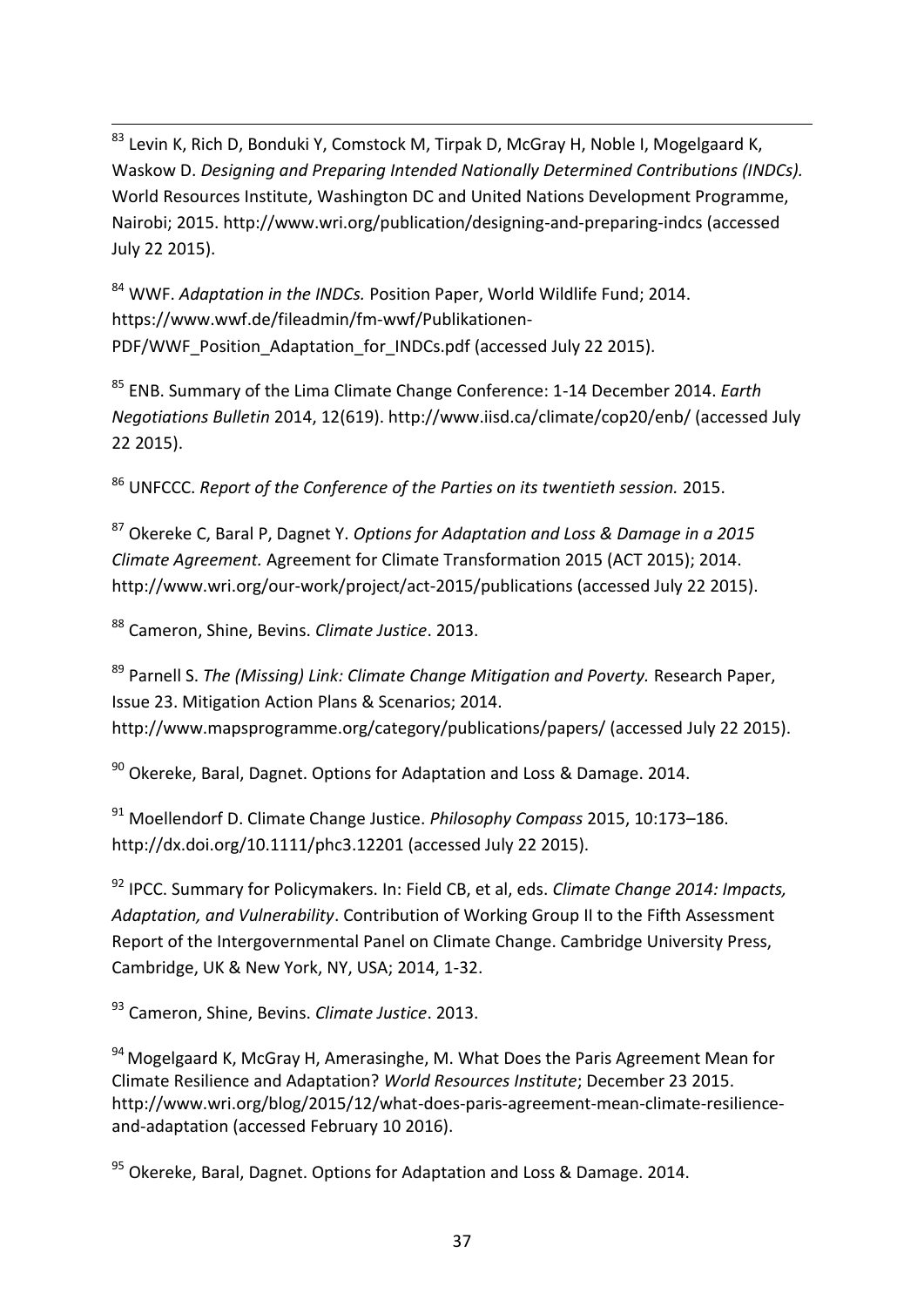1 83 Levin K. Rich D. Bonduki Y, Comstock M, Tirpak D, McGray H, Noble I, Mogelgaard K, Waskow D. *Designing and Preparing Intended Nationally Determined Contributions (INDCs).* World Resources Institute, Washington DC and United Nations Development Programme, Nairobi; 2015.<http://www.wri.org/publication/designing-and-preparing-indcs> (accessed July 22 2015).

<sup>84</sup> WWF. *Adaptation in the INDCs.* Position Paper, World Wildlife Fund; 2014. https://www.wwf.de/fileadmin/fm-wwf/Publikationen-PDF/WWF\_Position\_Adaptation\_for\_INDCs.pdf (accessed July 22 2015).

<sup>85</sup> ENB. Summary of the Lima Climate Change Conference: 1-14 December 2014. *Earth Negotiations Bulletin* 2014, 12(619). http://www.iisd.ca/climate/cop20/enb/ (accessed July 22 2015).

<sup>86</sup> UNFCCC. *Report of the Conference of the Parties on its twentieth session.* 2015.

<sup>87</sup> Okereke C, Baral P, Dagnet Y. *Options for Adaptation and Loss & Damage in a 2015 Climate Agreement.* Agreement for Climate Transformation 2015 (ACT 2015); 2014. http://www.wri.org/our-work/project/act-2015/publications (accessed July 22 2015).

<sup>88</sup> Cameron, Shine, Bevins. *Climate Justice*. 2013.

<sup>89</sup> Parnell S. *The (Missing) Link: Climate Change Mitigation and Poverty.* Research Paper, Issue 23. Mitigation Action Plans & Scenarios; 2014. http://www.mapsprogramme.org/category/publications/papers/ (accessed July 22 2015).

 $90$  Okereke, Baral, Dagnet. Options for Adaptation and Loss & Damage. 2014.

<sup>91</sup> Moellendorf D. Climate Change Justice. *Philosophy Compass* 2015, 10:173–186. http://dx.doi.org/10.1111/phc3.12201 (accessed July 22 2015).

<sup>92</sup> IPCC. Summary for Policymakers. In: Field CB, et al, eds. *Climate Change 2014: Impacts, Adaptation, and Vulnerability*. Contribution of Working Group II to the Fifth Assessment Report of the Intergovernmental Panel on Climate Change. Cambridge University Press, Cambridge, UK & New York, NY, USA; 2014, 1-32.

<sup>93</sup> Cameron, Shine, Bevins. *Climate Justice*. 2013.

 $94$  Mogelgaard K, McGray H, Amerasinghe, M, What Does the Paris Agreement Mean for Climate Resilience and Adaptation? *World Resources Institute*; December 23 2015. http://www.wri.org/blog/2015/12/what-does-paris-agreement-mean-climate-resilienceand-adaptation (accessed February 10 2016).

 $95$  Okereke, Baral, Dagnet. Options for Adaptation and Loss & Damage. 2014.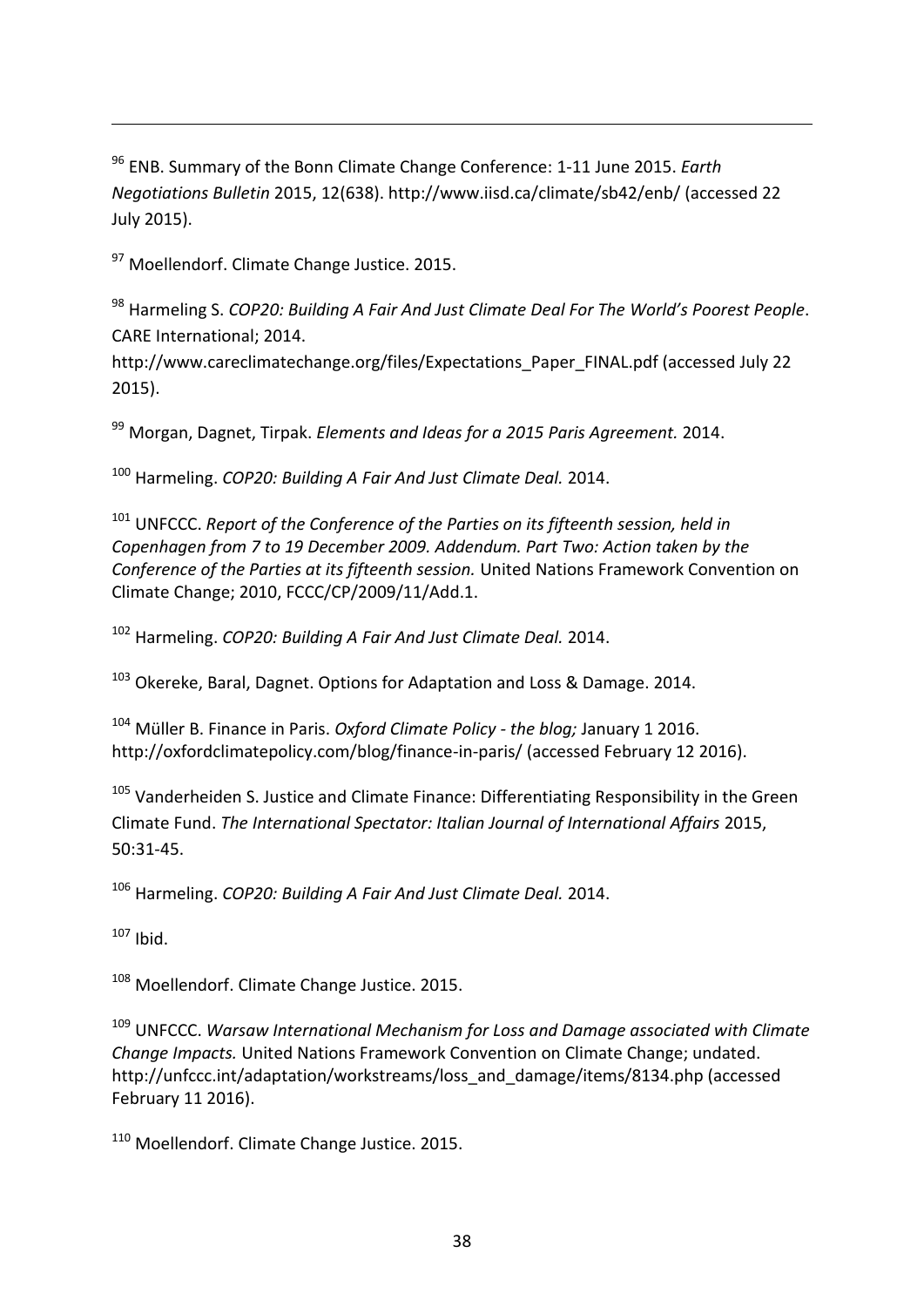<sup>96</sup> ENB. Summary of the Bonn Climate Change Conference: 1-11 June 2015. *Earth Negotiations Bulletin* 2015, 12(638). http://www.iisd.ca/climate/sb42/enb/ (accessed 22 July 2015).

<sup>97</sup> Moellendorf. Climate Change Justice. 2015.

<sup>98</sup> Harmeling S. *COP20: Building A Fair And Just Climate Deal For The World's Poorest People*. CARE International; 2014.

http://www.careclimatechange.org/files/Expectations\_Paper\_FINAL.pdf (accessed July 22 2015).

<sup>99</sup> Morgan, Dagnet, Tirpak. *Elements and Ideas for a 2015 Paris Agreement.* 2014.

<sup>100</sup> Harmeling. *COP20: Building A Fair And Just Climate Deal.* 2014.

<sup>101</sup> UNFCCC. *Report of the Conference of the Parties on its fifteenth session, held in Copenhagen from 7 to 19 December 2009. Addendum. Part Two: Action taken by the Conference of the Parties at its fifteenth session.* United Nations Framework Convention on Climate Change; 2010, FCCC/CP/2009/11/Add.1.

<sup>102</sup> Harmeling. *COP20: Building A Fair And Just Climate Deal.* 2014.

 $103$  Okereke, Baral, Dagnet. Options for Adaptation and Loss & Damage. 2014.

<sup>104</sup> Müller B. Finance in Paris. *Oxford Climate Policy - the blog;* January 1 2016. http://oxfordclimatepolicy.com/blog/finance-in-paris/ (accessed February 12 2016).

<sup>105</sup> Vanderheiden S. Justice and Climate Finance: Differentiating Responsibility in the Green Climate Fund. *The International Spectator: Italian Journal of International Affairs* 2015, 50:31-45.

<sup>106</sup> Harmeling. *COP20: Building A Fair And Just Climate Deal.* 2014.

 $107$  Ibid.

1

<sup>108</sup> Moellendorf. Climate Change Justice. 2015.

<sup>109</sup> UNFCCC. *Warsaw International Mechanism for Loss and Damage associated with Climate Change Impacts.* United Nations Framework Convention on Climate Change; undated. http://unfccc.int/adaptation/workstreams/loss\_and\_damage/items/8134.php (accessed February 11 2016).

<sup>110</sup> Moellendorf. Climate Change Justice. 2015.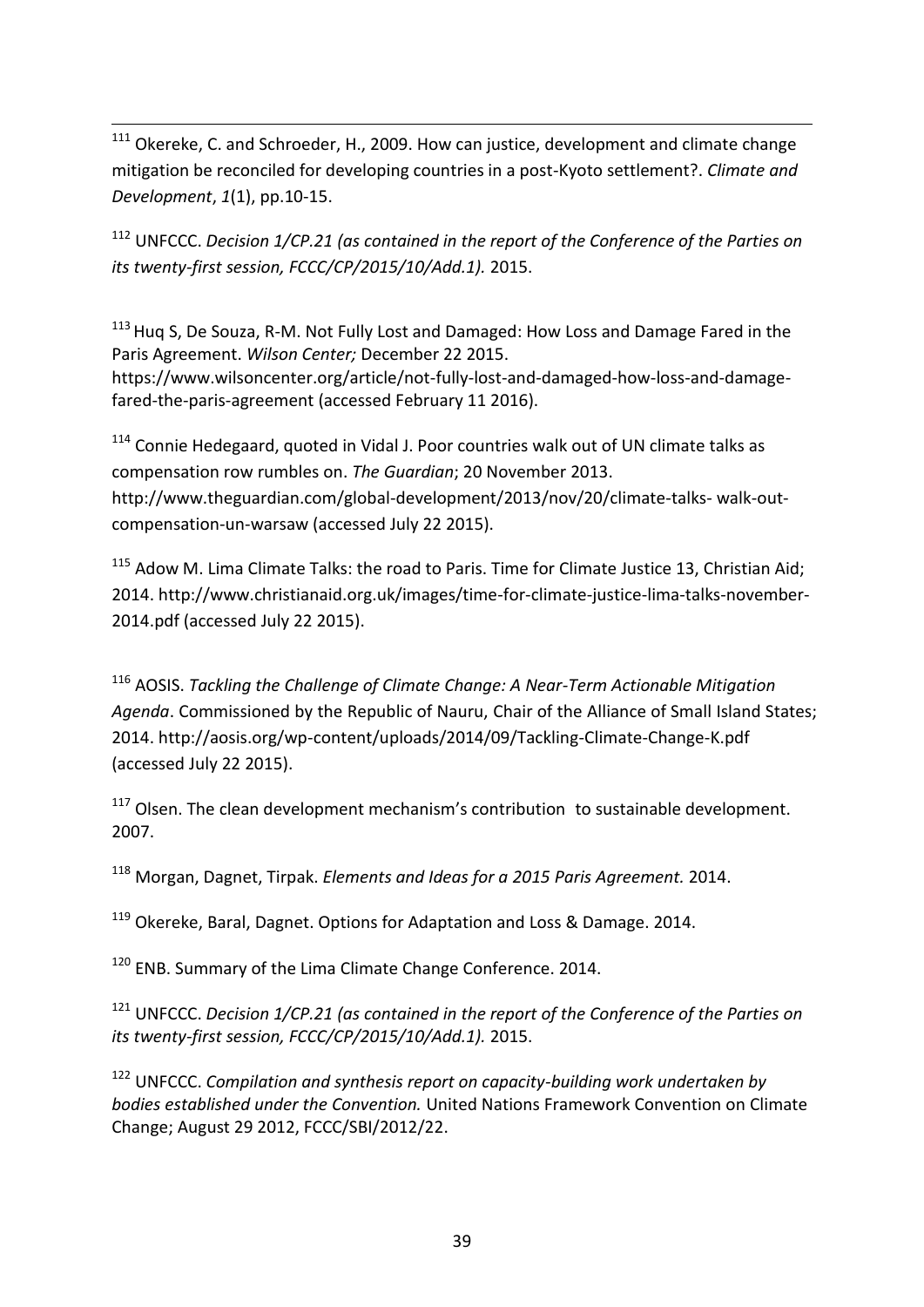1 <sup>111</sup> Okereke. C. and Schroeder, H., 2009. How can justice, development and climate change mitigation be reconciled for developing countries in a post-Kyoto settlement?. *Climate and Development*, *1*(1), pp.10-15.

<sup>112</sup> UNFCCC. *Decision 1/CP.21 (as contained in the report of the Conference of the Parties on its twenty-first session, FCCC/CP/2015/10/Add.1).* 2015.

<sup>113</sup> Hug S, De Souza, R-M. Not Fully Lost and Damaged: How Loss and Damage Fared in the Paris Agreement. *Wilson Center;* December 22 2015. https://www.wilsoncenter.org/article/not-fully-lost-and-damaged-how-loss-and-damagefared-the-paris-agreement (accessed February 11 2016).

<sup>114</sup> Connie Hedegaard, quoted in Vidal J. Poor countries walk out of UN climate talks as compensation row rumbles on. *The Guardian*; 20 November 2013. http://www.theguardian.com/global-development/2013/nov/20/climate-talks- walk-outcompensation-un-warsaw (accessed July 22 2015).

 $115$  Adow M. Lima Climate Talks: the road to Paris. Time for Climate Justice 13, Christian Aid; 2014. http://www.christianaid.org.uk/images/time-for-climate-justice-lima-talks-november-2014.pdf (accessed July 22 2015).

<sup>116</sup> AOSIS. *Tackling the Challenge of Climate Change: A Near-Term Actionable Mitigation Agenda*. Commissioned by the Republic of Nauru, Chair of the Alliance of Small Island States; 2014. http://aosis.org/wp-content/uploads/2014/09/Tackling-Climate-Change-K.pdf (accessed July 22 2015).

 $117$  Olsen. The clean development mechanism's contribution to sustainable development. 2007.

<sup>118</sup> Morgan, Dagnet, Tirpak. *Elements and Ideas for a 2015 Paris Agreement.* 2014.

<sup>119</sup> Okereke, Baral, Dagnet. Options for Adaptation and Loss & Damage. 2014.

 $120$  ENB. Summary of the Lima Climate Change Conference. 2014.

<sup>121</sup> UNFCCC. *Decision 1/CP.21 (as contained in the report of the Conference of the Parties on its twenty-first session, FCCC/CP/2015/10/Add.1).* 2015.

<sup>122</sup> UNFCCC. *Compilation and synthesis report on capacity-building work undertaken by bodies established under the Convention.* United Nations Framework Convention on Climate Change; August 29 2012, FCCC/SBI/2012/22.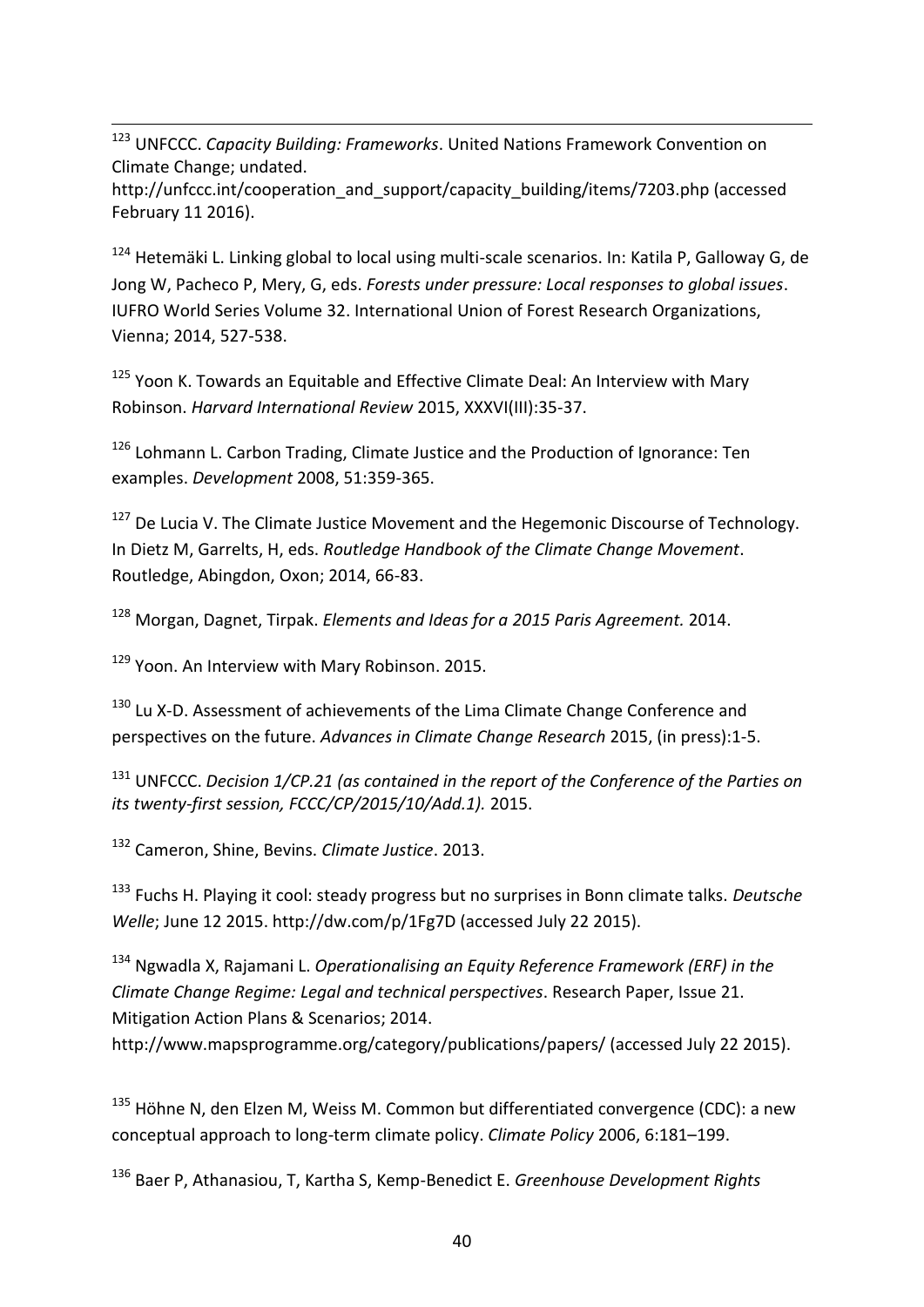1 <sup>123</sup> UNFCCC. *Capacity Building: Frameworks*. United Nations Framework Convention on Climate Change; undated.

http://unfccc.int/cooperation\_and\_support/capacity\_building/items/7203.php (accessed February 11 2016).

<sup>124</sup> Hetemäki L. Linking global to local using multi-scale scenarios. In: Katila P, Galloway G, de Jong W, Pacheco P, Mery, G, eds. *Forests under pressure: Local responses to global issues*. IUFRO World Series Volume 32. International Union of Forest Research Organizations, Vienna; 2014, 527-538.

<sup>125</sup> Yoon K. Towards an Equitable and Effective Climate Deal: An Interview with Mary Robinson. *Harvard International Review* 2015, XXXVI(III):35-37.

 $126$  Lohmann L. Carbon Trading, Climate Justice and the Production of Ignorance: Ten examples. *Development* 2008, 51:359-365.

 $127$  De Lucia V. The Climate Justice Movement and the Hegemonic Discourse of Technology. In Dietz M, Garrelts, H, eds. *Routledge Handbook of the Climate Change Movement*. Routledge, Abingdon, Oxon; 2014, 66-83.

<sup>128</sup> Morgan, Dagnet, Tirpak. *Elements and Ideas for a 2015 Paris Agreement.* 2014.

<sup>129</sup> Yoon. An Interview with Mary Robinson. 2015.

 $130$  Lu X-D. Assessment of achievements of the Lima Climate Change Conference and perspectives on the future. *Advances in Climate Change Research* 2015, (in press):1-5.

<sup>131</sup> UNFCCC. *Decision 1/CP.21 (as contained in the report of the Conference of the Parties on its twenty-first session, FCCC/CP/2015/10/Add.1).* 2015.

<sup>132</sup> Cameron, Shine, Bevins. *Climate Justice*. 2013.

<sup>133</sup> Fuchs H. Playing it cool: steady progress but no surprises in Bonn climate talks. *Deutsche Welle*; June 12 2015. http://dw.com/p/1Fg7D (accessed July 22 2015).

<sup>134</sup> Ngwadla X, Rajamani L. *Operationalising an Equity Reference Framework (ERF) in the Climate Change Regime: Legal and technical perspectives*. Research Paper, Issue 21. Mitigation Action Plans & Scenarios; 2014.

http://www.mapsprogramme.org/category/publications/papers/ (accessed July 22 2015).

 $135$  Höhne N, den Elzen M, Weiss M. Common but differentiated convergence (CDC): a new conceptual approach to long-term climate policy. *Climate Policy* 2006, 6:181–199.

<sup>136</sup> Baer P, Athanasiou, T, Kartha S, Kemp-Benedict E. *Greenhouse Development Rights*